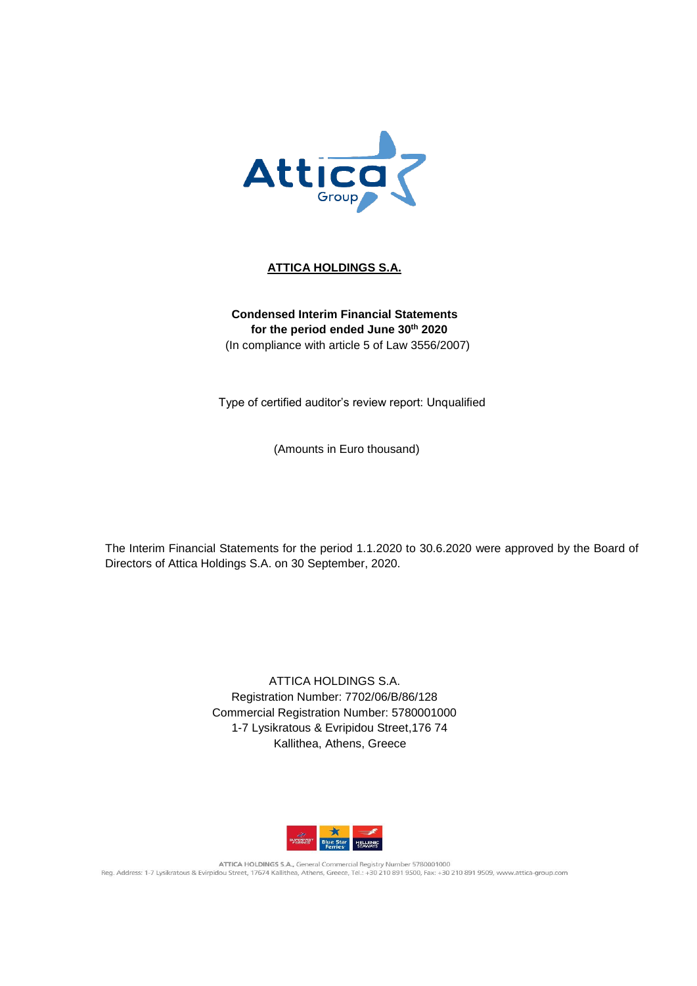

## **ATTICA HOLDINGS S.A.**

## **Condensed Interim Financial Statements for the period ended June 30th 2020** (In compliance with article 5 of Law 3556/2007)

Type of certified auditor's review report: Unqualified

(Amounts in Euro thousand)

The Interim Financial Statements for the period 1.1.2020 to 30.6.2020 were approved by the Board of Directors of Attica Holdings S.A. on 30 September, 2020.

> ATTICA HOLDINGS S.A. Registration Number: 7702/06/B/86/128 Commercial Registration Number: 5780001000 1-7 Lysikratous & Evripidou Street,176 74 Kallithea, Athens, Greece



ATTICA HOLDINGS S.A., General Commercial Registry Number 5780001000 Reg. Address: 1-7 Lysikratous & Evirpidou Street, 17674 Kallithea, Athens, Greece, Tel.: +30 210 891 9500, Fax: +30 210 891 9509, www.attica-group.com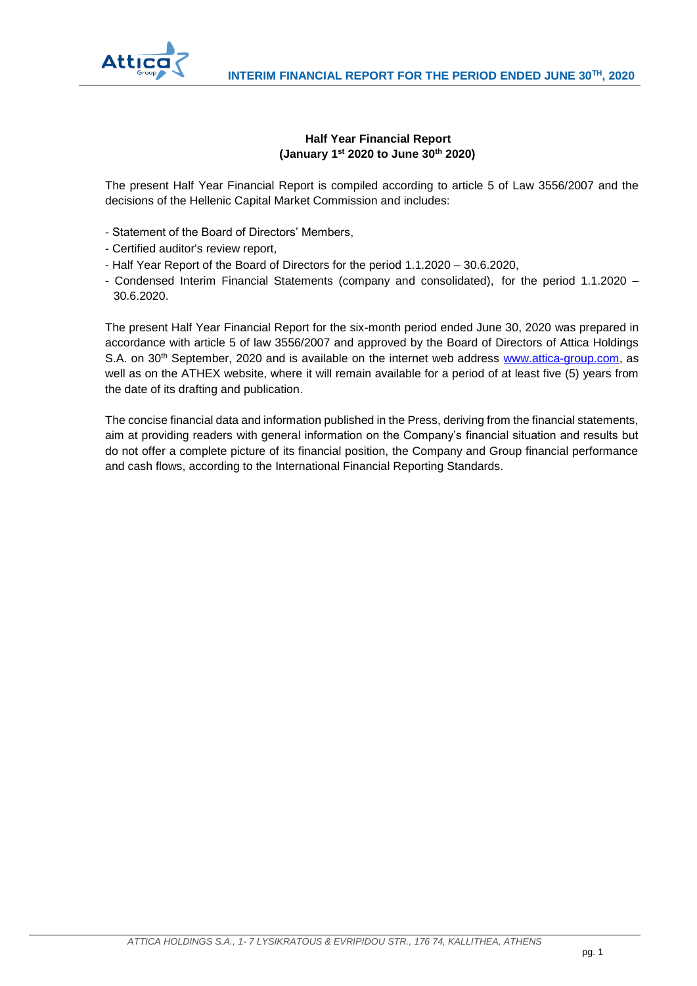

## **Half Year Financial Report (January 1st 2020 to June 30th 2020)**

The present Half Year Financial Report is compiled according to article 5 of Law 3556/2007 and the decisions of the Hellenic Capital Market Commission and includes:

- Statement of the Board of Directors' Members,
- Certified auditor's review report,
- Half Year Report of the Board of Directors for the period 1.1.2020 30.6.2020,
- Condensed Interim Financial Statements (company and consolidated), for the period 1.1.2020 30.6.2020.

The present Half Year Financial Report for the six-month period ended June 30, 2020 was prepared in accordance with article 5 of law 3556/2007 and approved by the Board of Directors of Attica Holdings S.A. on 30<sup>th</sup> September, 2020 and is available on the internet web address [www.attica-group.com,](http://www.attica-group.com/) as well as on the ATHEX website, where it will remain available for a period of at least five (5) years from the date of its drafting and publication.

The concise financial data and information published in the Press, deriving from the financial statements, aim at providing readers with general information on the Company's financial situation and results but do not offer a complete picture of its financial position, the Company and Group financial performance and cash flows, according to the International Financial Reporting Standards.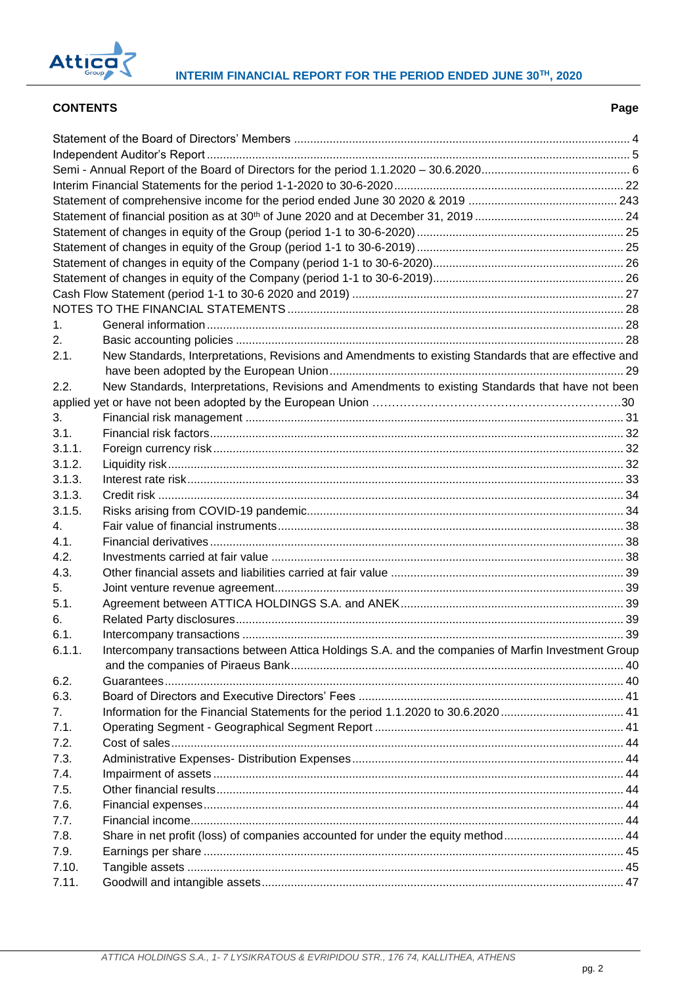

## **CONTENTS Page**

| 1.      |                                                                                                       |  |
|---------|-------------------------------------------------------------------------------------------------------|--|
| 2.      |                                                                                                       |  |
| 2.1.    | New Standards, Interpretations, Revisions and Amendments to existing Standards that are effective and |  |
|         |                                                                                                       |  |
| 2.2.    | New Standards, Interpretations, Revisions and Amendments to existing Standards that have not been     |  |
|         |                                                                                                       |  |
| 3.      |                                                                                                       |  |
| 3.1.    |                                                                                                       |  |
| 3.1.1.  |                                                                                                       |  |
| 3.1.2.  |                                                                                                       |  |
| 3.1.3.  |                                                                                                       |  |
| 3.1.3.  |                                                                                                       |  |
| 3.1.5.  |                                                                                                       |  |
| $4_{-}$ |                                                                                                       |  |
| 4.1.    |                                                                                                       |  |
| 4.2.    |                                                                                                       |  |
| 4.3.    |                                                                                                       |  |
| 5.      |                                                                                                       |  |
| 5.1.    |                                                                                                       |  |
| 6.      |                                                                                                       |  |
| 6.1.    |                                                                                                       |  |
| 6.1.1.  | Intercompany transactions between Attica Holdings S.A. and the companies of Marfin Investment Group   |  |
|         |                                                                                                       |  |
| 6.2.    |                                                                                                       |  |
| 6.3.    |                                                                                                       |  |
| 7.      |                                                                                                       |  |
| 7.1.    |                                                                                                       |  |
| 7.2.    |                                                                                                       |  |
| 7.3.    |                                                                                                       |  |
| 7.4.    |                                                                                                       |  |
| 7.5.    |                                                                                                       |  |
| 7.6.    |                                                                                                       |  |
| 7.7.    |                                                                                                       |  |
| 7.8.    | Share in net profit (loss) of companies accounted for under the equity method 44                      |  |
| 7.9.    |                                                                                                       |  |
| 7.10.   |                                                                                                       |  |
| 7.11.   |                                                                                                       |  |
|         |                                                                                                       |  |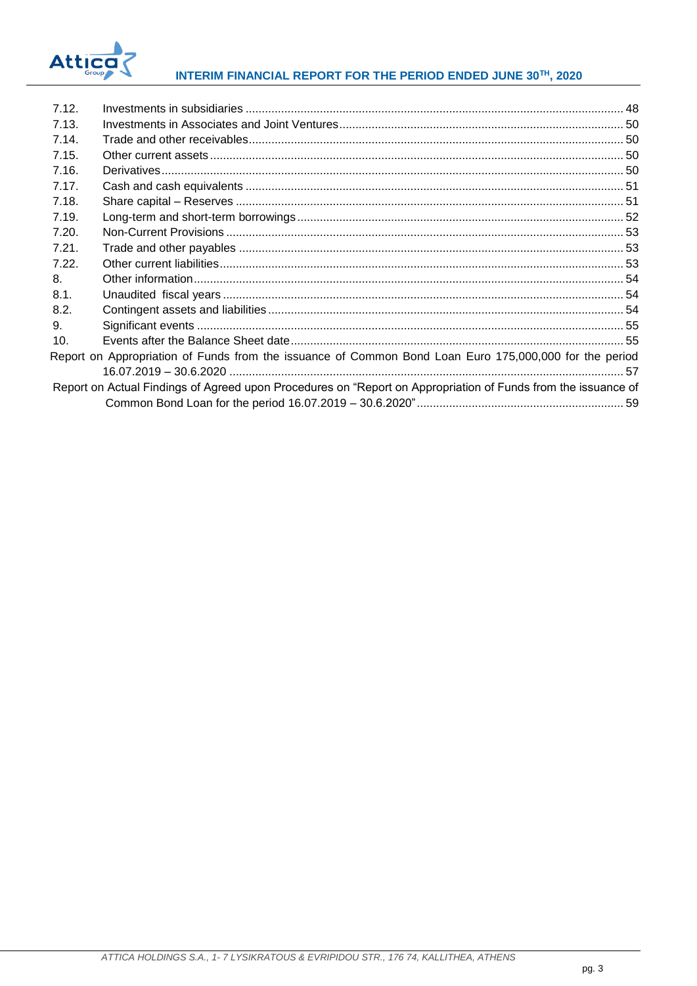

## INTERIM FINANCIAL REPORT FOR THE PERIOD ENDED JUNE 30TH, 2020

| 7.12. |                                                                                                               |  |
|-------|---------------------------------------------------------------------------------------------------------------|--|
| 7.13. |                                                                                                               |  |
| 7.14. |                                                                                                               |  |
| 7.15. |                                                                                                               |  |
| 7.16. |                                                                                                               |  |
| 7.17. |                                                                                                               |  |
| 7.18. |                                                                                                               |  |
| 7.19. |                                                                                                               |  |
| 7.20. |                                                                                                               |  |
| 7.21. |                                                                                                               |  |
| 7.22. |                                                                                                               |  |
| 8.    |                                                                                                               |  |
| 8.1.  |                                                                                                               |  |
| 8.2.  |                                                                                                               |  |
| 9.    |                                                                                                               |  |
| 10.   |                                                                                                               |  |
|       | Report on Appropriation of Funds from the issuance of Common Bond Loan Euro 175,000,000 for the period        |  |
|       |                                                                                                               |  |
|       | Report on Actual Findings of Agreed upon Procedures on "Report on Appropriation of Funds from the issuance of |  |
|       |                                                                                                               |  |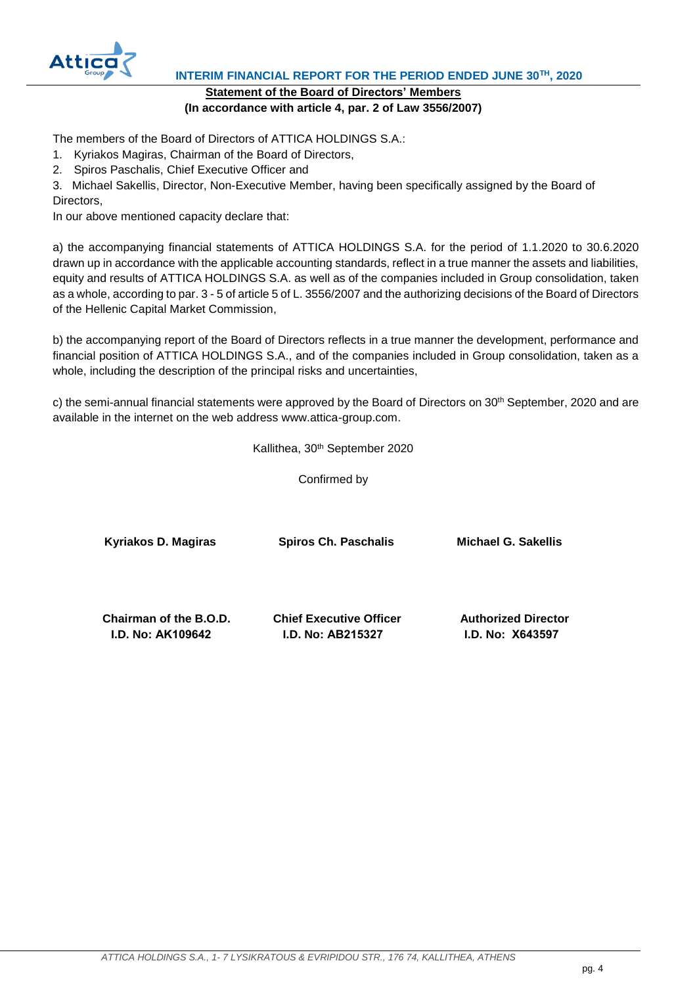

 **INTERIM FINANCIAL REPORT FOR THE PERIOD ENDED JUNE 30TH, 2020**

## **Statement of the Board of Directors' Members (In accordance with article 4, par. 2 of Law 3556/2007)**

<span id="page-4-0"></span>The members of the Board of Directors of ATTICA HOLDINGS S.A.:

- 1. Kyriakos Magiras, Chairman of the Board of Directors,
- 2. Spiros Paschalis, Chief Executive Officer and

3. Michael Sakellis, Director, Non-Executive Member, having been specifically assigned by the Board of Directors,

In our above mentioned capacity declare that:

a) the accompanying financial statements of ATTICA HOLDINGS S.A. for the period of 1.1.2020 to 30.6.2020 drawn up in accordance with the applicable accounting standards, reflect in a true manner the assets and liabilities, equity and results of ATTICA HOLDINGS S.A. as well as of the companies included in Group consolidation, taken as a whole, according to par. 3 - 5 of article 5 of L. 3556/2007 and the authorizing decisions of the Board of Directors of the Hellenic Capital Market Commission,

b) the accompanying report of the Board of Directors reflects in a true manner the development, performance and financial position of ATTICA HOLDINGS S.A., and of the companies included in Group consolidation, taken as a whole, including the description of the principal risks and uncertainties,

c) the semi-annual financial statements were approved by the Board of Directors on 30<sup>th</sup> September, 2020 and are available in the internet on the web address www.attica-group.com.

Kallithea, 30<sup>th</sup> September 2020

Confirmed by

**Kyriakos D. Magiras Spiros Ch. Paschalis Michael G. Sakellis**

 **Chairman of the B.O.D. Chief Executive Officer Authorized Director I.D. No: ΑΚ109642 I.D. No: ΑΒ215327 I.D. No: Χ643597**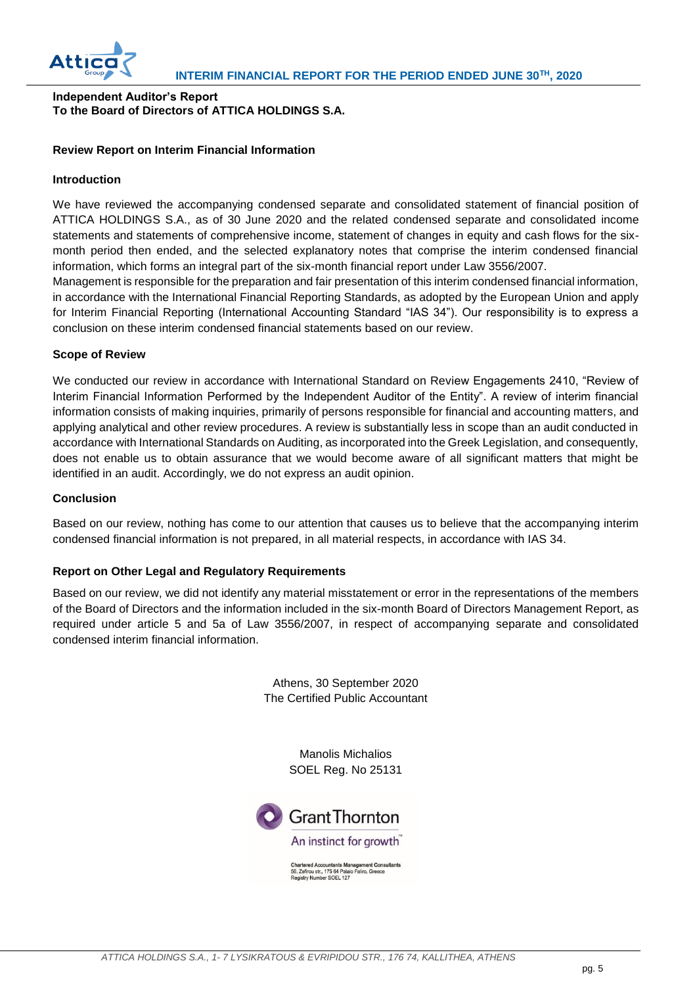

## <span id="page-5-0"></span>**Independent Auditor's Report To the Board of Directors of ATTICA HOLDINGS S.A.**

## **Review Report on Interim Financial Information**

#### **Introduction**

We have reviewed the accompanying condensed separate and consolidated statement of financial position of ATTICA HOLDINGS S.A., as of 30 June 2020 and the related condensed separate and consolidated income statements and statements of comprehensive income, statement of changes in equity and cash flows for the sixmonth period then ended, and the selected explanatory notes that comprise the interim condensed financial information, which forms an integral part of the six-month financial report under Law 3556/2007.

Management is responsible for the preparation and fair presentation of this interim condensed financial information, in accordance with the International Financial Reporting Standards, as adopted by the European Union and apply for Interim Financial Reporting (International Accounting Standard "IAS 34"). Our responsibility is to express a conclusion on these interim condensed financial statements based on our review.

#### **Scope of Review**

We conducted our review in accordance with International Standard on Review Engagements 2410, "Review of Interim Financial Information Performed by the Independent Auditor of the Entity". A review of interim financial information consists of making inquiries, primarily of persons responsible for financial and accounting matters, and applying analytical and other review procedures. A review is substantially less in scope than an audit conducted in accordance with International Standards on Auditing, as incorporated into the Greek Legislation, and consequently, does not enable us to obtain assurance that we would become aware of all significant matters that might be identified in an audit. Accordingly, we do not express an audit opinion.

#### **Conclusion**

Based on our review, nothing has come to our attention that causes us to believe that the accompanying interim condensed financial information is not prepared, in all material respects, in accordance with IAS 34.

## **Report on Other Legal and Regulatory Requirements**

Based on our review, we did not identify any material misstatement or error in the representations of the members of the Board of Directors and the information included in the six-month Board of Directors Management Report, as required under article 5 and 5a of Law 3556/2007, in respect of accompanying separate and consolidated condensed interim financial information.

> Athens, 30 September 2020 The Certified Public Accountant

> > Manolis Michalios SOEL Reg. No 25131



Chartered Accountants Management Consultants<br>56, Zefirou str., 175 64 Palaio Faliro, Greece<br>Registry Number SOEL 127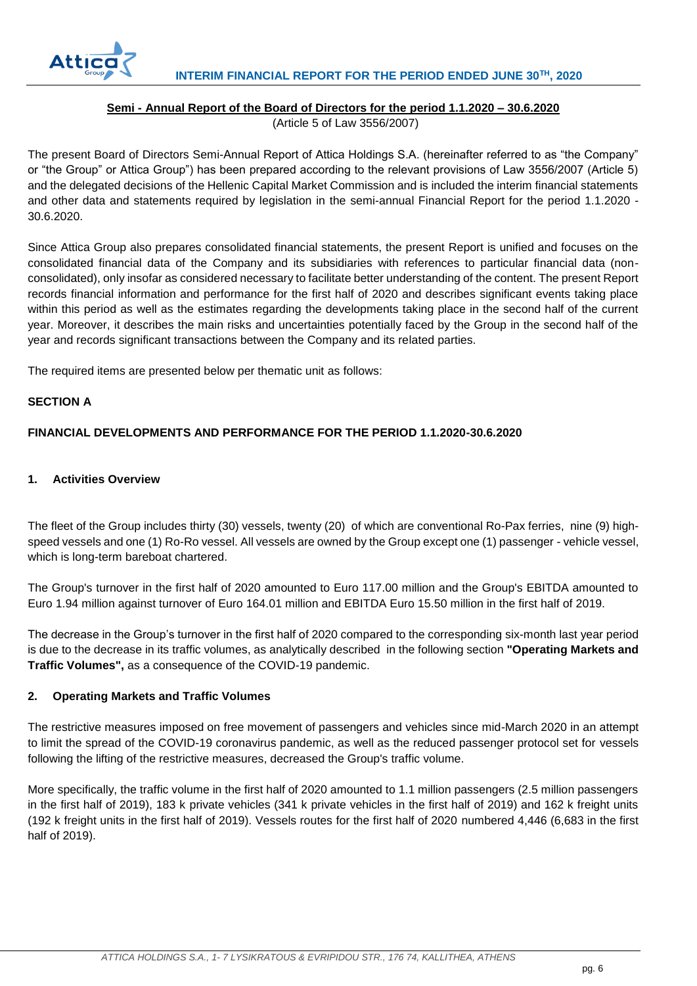

## **Semi - Annual Report of the Board of Directors for the period 1.1.2020 – 30.6.2020**

(Article 5 of Law 3556/2007)

<span id="page-6-0"></span>The present Board of Directors Semi-Annual Report of Attica Holdings S.A. (hereinafter referred to as "the Company" or "the Group" or Attica Group") has been prepared according to the relevant provisions of Law 3556/2007 (Article 5) and the delegated decisions of the Hellenic Capital Market Commission and is included the interim financial statements and other data and statements required by legislation in the semi-annual Financial Report for the period 1.1.2020 - 30.6.2020.

Since Attica Group also prepares consolidated financial statements, the present Report is unified and focuses on the consolidated financial data of the Company and its subsidiaries with references to particular financial data (nonconsolidated), only insofar as considered necessary to facilitate better understanding of the content. The present Report records financial information and performance for the first half of 2020 and describes significant events taking place within this period as well as the estimates regarding the developments taking place in the second half of the current year. Moreover, it describes the main risks and uncertainties potentially faced by the Group in the second half of the year and records significant transactions between the Company and its related parties.

The required items are presented below per thematic unit as follows:

## **SECTION A**

## **FINANCIAL DEVELOPMENTS AND PERFORMANCE FOR THE PERIOD 1.1.2020-30.6.2020**

## **1. Activities Overview**

The fleet of the Group includes thirty (30) vessels, twenty (20) of which are conventional Ro-Pax ferries, nine (9) highspeed vessels and one (1) Ro-Ro vessel. All vessels are owned by the Group except one (1) passenger - vehicle vessel, which is long-term bareboat chartered.

The Group's turnover in the first half of 2020 amounted to Euro 117.00 million and the Group's EBITDA amounted to Euro 1.94 million against turnover of Euro 164.01 million and EBITDA Euro 15.50 million in the first half of 2019.

The decrease in the Group's turnover in the first half of 2020 compared to the corresponding six-month last year period is due to the decrease in its traffic volumes, as analytically described in the following section **"Operating Markets and Traffic Volumes",** as a consequence of the COVID-19 pandemic.

## **2. Operating Markets and Traffic Volumes**

The restrictive measures imposed on free movement of passengers and vehicles since mid-March 2020 in an attempt to limit the spread of the COVID-19 coronavirus pandemic, as well as the reduced passenger protocol set for vessels following the lifting of the restrictive measures, decreased the Group's traffic volume.

More specifically, the traffic volume in the first half of 2020 amounted to 1.1 million passengers (2.5 million passengers in the first half of 2019), 183 k private vehicles (341 k private vehicles in the first half of 2019) and 162 k freight units (192 k freight units in the first half of 2019). Vessels routes for the first half of 2020 numbered 4,446 (6,683 in the first half of 2019).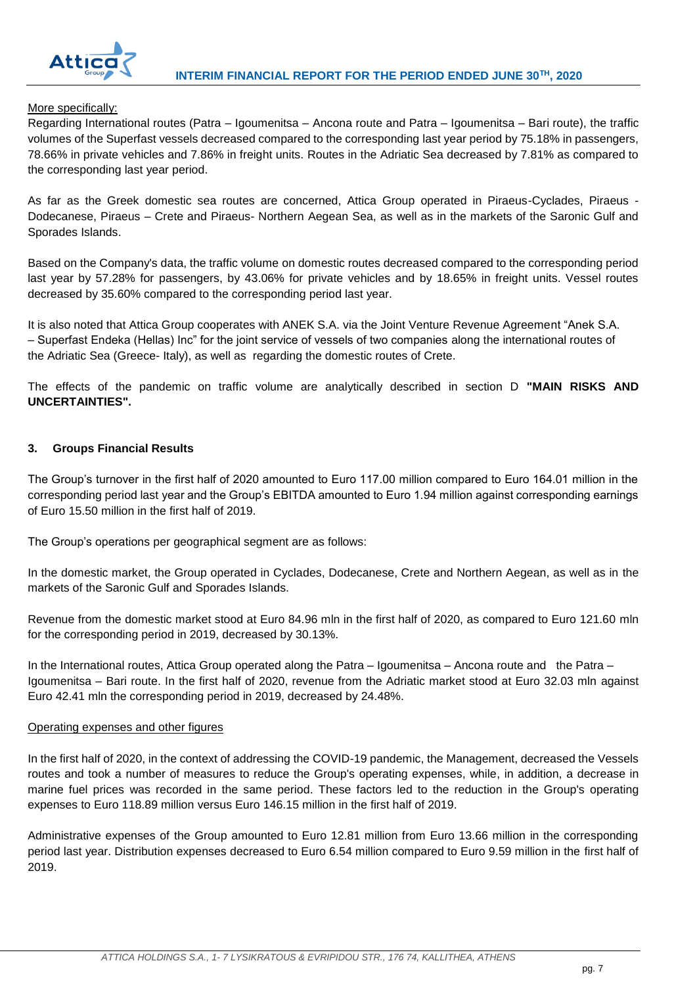

## More specifically:

Regarding International routes (Patra – Igoumenitsa – Ancona route and Patra – Igoumenitsa – Bari route), the traffic volumes of the Superfast vessels decreased compared to the corresponding last year period by 75.18% in passengers, 78.66% in private vehicles and 7.86% in freight units. Routes in the Adriatic Sea decreased by 7.81% as compared to the corresponding last year period.

As far as the Greek domestic sea routes are concerned, Attica Group operated in Piraeus-Cyclades, Piraeus - Dodecanese, Piraeus – Crete and Piraeus- Northern Aegean Sea, as well as in the markets of the Saronic Gulf and Sporades Islands.

Based on the Company's data, the traffic volume on domestic routes decreased compared to the corresponding period last year by 57.28% for passengers, by 43.06% for private vehicles and by 18.65% in freight units. Vessel routes decreased by 35.60% compared to the corresponding period last year.

It is also noted that Attica Group cooperates with ANEK S.A. via the Joint Venture Revenue Agreement "Anek S.A. – Superfast Endeka (Hellas) Inc" for the joint service of vessels of two companies along the international routes of the Adriatic Sea (Greece- Italy), as well as regarding the domestic routes of Crete.

The effects of the pandemic on traffic volume are analytically described in section D **"MAIN RISKS AND UNCERTAINTIES".**

## **3. Groups Financial Results**

The Group's turnover in the first half of 2020 amounted to Euro 117.00 million compared to Euro 164.01 million in the corresponding period last year and the Group's EBITDA amounted to Euro 1.94 million against corresponding earnings of Euro 15.50 million in the first half of 2019.

The Group's operations per geographical segment are as follows:

In the domestic market, the Group operated in Cyclades, Dodecanese, Crete and Northern Aegean, as well as in the markets of the Saronic Gulf and Sporades Islands.

Revenue from the domestic market stood at Euro 84.96 mln in the first half of 2020, as compared to Euro 121.60 mln for the corresponding period in 2019, decreased by 30.13%.

In the International routes, Attica Group operated along the Patra – Igoumenitsa – Ancona route and the Patra – Igoumenitsa – Bari route. In the first half of 2020, revenue from the Adriatic market stood at Euro 32.03 mln against Euro 42.41 mln the corresponding period in 2019, decreased by 24.48%.

#### Operating expenses and other figures

In the first half of 2020, in the context of addressing the COVID-19 pandemic, the Management, decreased the Vessels routes and took a number of measures to reduce the Group's operating expenses, while, in addition, a decrease in marine fuel prices was recorded in the same period. These factors led to the reduction in the Group's operating expenses to Euro 118.89 million versus Euro 146.15 million in the first half of 2019.

Administrative expenses of the Group amounted to Euro 12.81 million from Euro 13.66 million in the corresponding period last year. Distribution expenses decreased to Euro 6.54 million compared to Euro 9.59 million in the first half of 2019.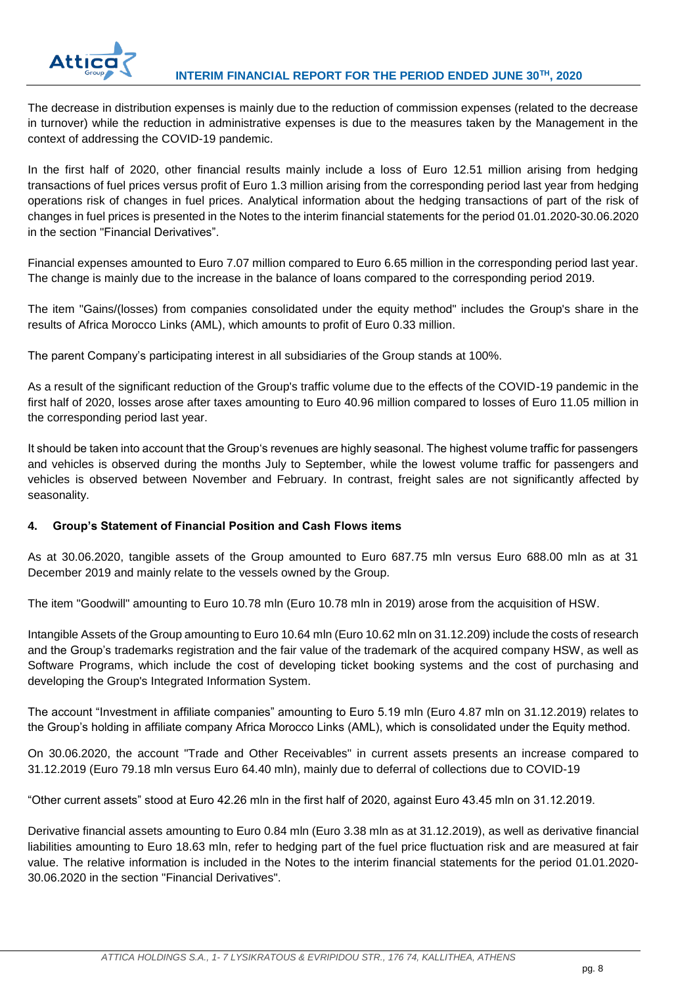

The decrease in distribution expenses is mainly due to the reduction of commission expenses (related to the decrease in turnover) while the reduction in administrative expenses is due to the measures taken by the Management in the context of addressing the COVID-19 pandemic.

In the first half of 2020, other financial results mainly include a loss of Euro 12.51 million arising from hedging transactions of fuel prices versus profit of Euro 1.3 million arising from the corresponding period last year from hedging operations risk of changes in fuel prices. Analytical information about the hedging transactions of part of the risk of changes in fuel prices is presented in the Notes to the interim financial statements for the period 01.01.2020-30.06.2020 in the section "Financial Derivatives".

Financial expenses amounted to Euro 7.07 million compared to Euro 6.65 million in the corresponding period last year. The change is mainly due to the increase in the balance of loans compared to the corresponding period 2019.

The item "Gains/(losses) from companies consolidated under the equity method" includes the Group's share in the results of Africa Morocco Links (AML), which amounts to profit of Euro 0.33 million.

The parent Company's participating interest in all subsidiaries of the Group stands at 100%.

As a result of the significant reduction of the Group's traffic volume due to the effects of the COVID-19 pandemic in the first half of 2020, losses arose after taxes amounting to Euro 40.96 million compared to losses of Euro 11.05 million in the corresponding period last year.

It should be taken into account that the Group's revenues are highly seasonal. The highest volume traffic for passengers and vehicles is observed during the months July to September, while the lowest volume traffic for passengers and vehicles is observed between November and February. In contrast, freight sales are not significantly affected by seasonality.

## **4. Group's Statement of Financial Position and Cash Flows items**

As at 30.06.2020, tangible assets of the Group amounted to Euro 687.75 mln versus Euro 688.00 mln as at 31 December 2019 and mainly relate to the vessels owned by the Group.

The item "Goodwill" amounting to Euro 10.78 mln (Euro 10.78 mln in 2019) arose from the acquisition of HSW.

Intangible Assets of the Group amounting to Euro 10.64 mln (Euro 10.62 mln on 31.12.209) include the costs of research and the Group's trademarks registration and the fair value of the trademark of the acquired company HSW, as well as Software Programs, which include the cost of developing ticket booking systems and the cost of purchasing and developing the Group's Integrated Information System.

The account "Investment in affiliate companies" amounting to Euro 5.19 mln (Euro 4.87 mln on 31.12.2019) relates to the Group's holding in affiliate company Africa Morocco Links (AML), which is consolidated under the Equity method.

On 30.06.2020, the account "Trade and Other Receivables" in current assets presents an increase compared to 31.12.2019 (Euro 79.18 mln versus Euro 64.40 mln), mainly due to deferral of collections due to COVID-19

"Other current assets" stood at Euro 42.26 mln in the first half of 2020, against Euro 43.45 mln on 31.12.2019.

Derivative financial assets amounting to Euro 0.84 mln (Euro 3.38 mln as at 31.12.2019), as well as derivative financial liabilities amounting to Euro 18.63 mln, refer to hedging part of the fuel price fluctuation risk and are measured at fair value. The relative information is included in the Notes to the interim financial statements for the period 01.01.2020- 30.06.2020 in the section "Financial Derivatives".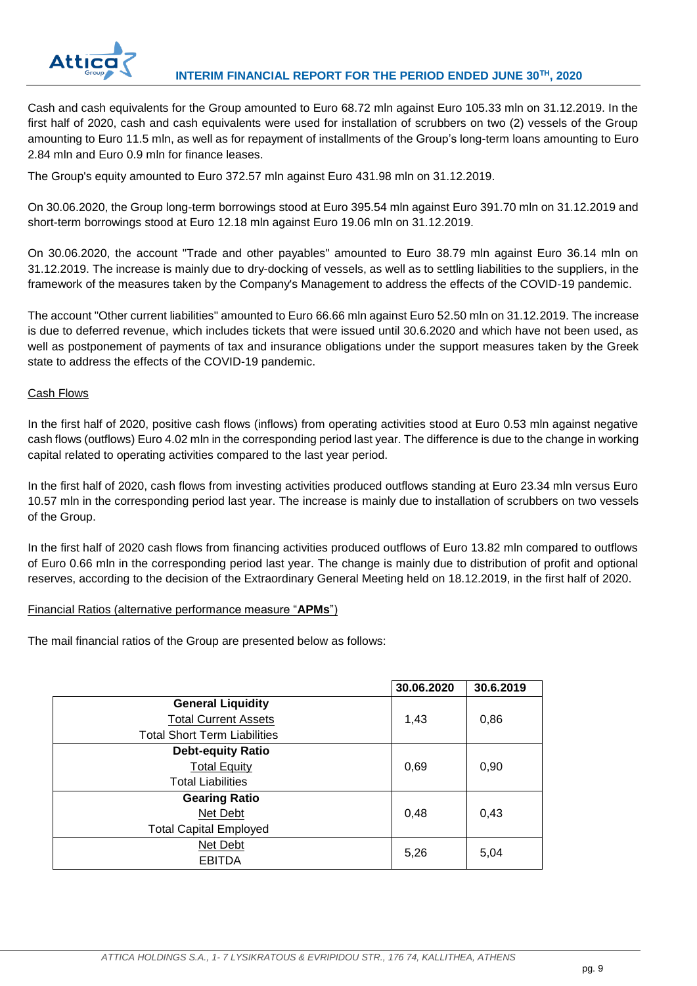

Cash and cash equivalents for the Group amounted to Euro 68.72 mln against Euro 105.33 mln on 31.12.2019. In the first half of 2020, cash and cash equivalents were used for installation of scrubbers on two (2) vessels of the Group amounting to Euro 11.5 mln, as well as for repayment of installments of the Group's long-term loans amounting to Euro 2.84 mln and Euro 0.9 mln for finance leases.

The Group's equity amounted to Euro 372.57 mln against Euro 431.98 mln on 31.12.2019.

On 30.06.2020, the Group long-term borrowings stood at Euro 395.54 mln against Euro 391.70 mln on 31.12.2019 and short-term borrowings stood at Euro 12.18 mln against Euro 19.06 mln on 31.12.2019.

On 30.06.2020, the account "Trade and other payables" amounted to Euro 38.79 mln against Euro 36.14 mln on 31.12.2019. The increase is mainly due to dry-docking of vessels, as well as to settling liabilities to the suppliers, in the framework of the measures taken by the Company's Management to address the effects of the COVID-19 pandemic.

The account "Other current liabilities" amounted to Euro 66.66 mln against Euro 52.50 mln on 31.12.2019. The increase is due to deferred revenue, which includes tickets that were issued until 30.6.2020 and which have not been used, as well as postponement of payments of tax and insurance obligations under the support measures taken by the Greek state to address the effects of the COVID-19 pandemic.

## Cash Flows

In the first half of 2020, positive cash flows (inflows) from operating activities stood at Euro 0.53 mln against negative cash flows (outflows) Euro 4.02 mln in the corresponding period last year. The difference is due to the change in working capital related to operating activities compared to the last year period.

In the first half of 2020, cash flows from investing activities produced outflows standing at Euro 23.34 mln versus Euro 10.57 mln in the corresponding period last year. The increase is mainly due to installation of scrubbers on two vessels of the Group.

In the first half of 2020 cash flows from financing activities produced outflows of Euro 13.82 mln compared to outflows of Euro 0.66 mln in the corresponding period last year. The change is mainly due to distribution of profit and optional reserves, according to the decision of the Extraordinary General Meeting held on 18.12.2019, in the first half of 2020.

## Financial Ratios (alternative performance measure "**APMs**")

The mail financial ratios of the Group are presented below as follows:

|                                     | 30.06.2020 | 30.6.2019 |
|-------------------------------------|------------|-----------|
| <b>General Liquidity</b>            |            |           |
| <b>Total Current Assets</b>         | 1,43       | 0,86      |
| <b>Total Short Term Liabilities</b> |            |           |
| <b>Debt-equity Ratio</b>            |            |           |
| <b>Total Equity</b>                 | 0,69       | 0,90      |
| <b>Total Liabilities</b>            |            |           |
| <b>Gearing Ratio</b>                |            |           |
| Net Debt                            | 0,48       | 0,43      |
| <b>Total Capital Employed</b>       |            |           |
| Net Debt                            | 5,26       | 5,04      |
| <b>EBITDA</b>                       |            |           |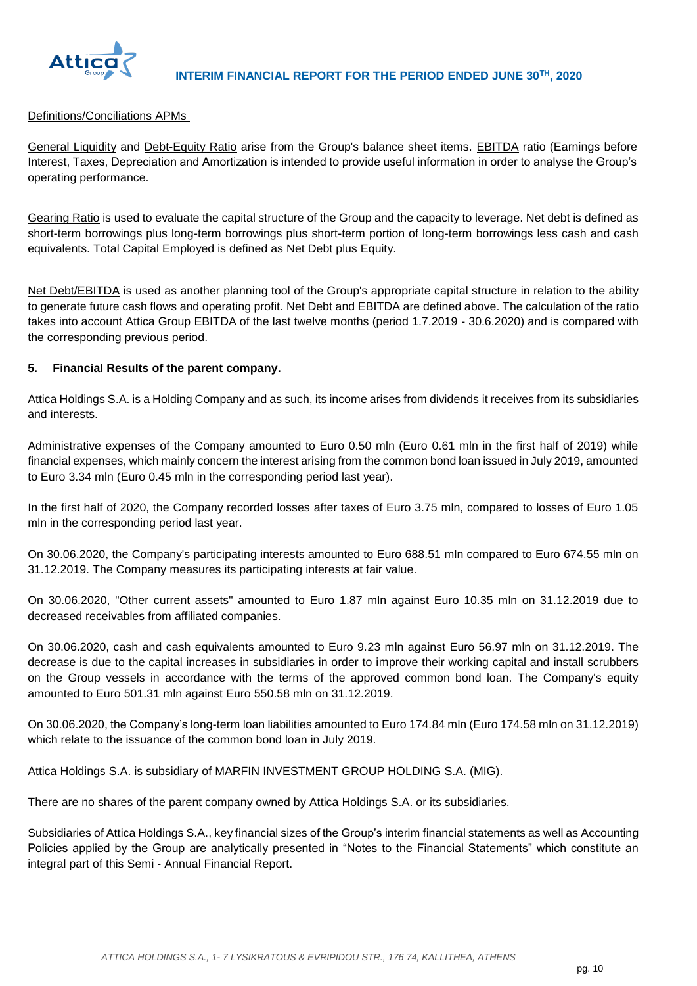

## Definitions/Conciliations APMs

General Liquidity and Debt-Equity Ratio arise from the Group's balance sheet items. EBITDA ratio (Earnings before Interest, Taxes, Depreciation and Amortization is intended to provide useful information in order to analyse the Group's operating performance.

Gearing Ratio is used to evaluate the capital structure of the Group and the capacity to leverage. Net debt is defined as short-term borrowings plus long-term borrowings plus short-term portion of long-term borrowings less cash and cash equivalents. Total Capital Employed is defined as Net Debt plus Equity.

Net Debt/EBITDA is used as another planning tool of the Group's appropriate capital structure in relation to the ability to generate future cash flows and operating profit. Net Debt and EBITDA are defined above. The calculation of the ratio takes into account Attica Group EBITDA of the last twelve months (period 1.7.2019 - 30.6.2020) and is compared with the corresponding previous period.

## **5. Financial Results of the parent company.**

Attica Holdings S.A. is a Holding Company and as such, its income arises from dividends it receives from its subsidiaries and interests.

Administrative expenses of the Company amounted to Euro 0.50 mln (Euro 0.61 mln in the first half of 2019) while financial expenses, which mainly concern the interest arising from the common bond loan issued in July 2019, amounted to Euro 3.34 mln (Euro 0.45 mln in the corresponding period last year).

In the first half of 2020, the Company recorded losses after taxes of Euro 3.75 mln, compared to losses of Euro 1.05 mln in the corresponding period last year.

On 30.06.2020, the Company's participating interests amounted to Euro 688.51 mln compared to Euro 674.55 mln on 31.12.2019. The Company measures its participating interests at fair value.

On 30.06.2020, "Other current assets" amounted to Euro 1.87 mln against Euro 10.35 mln on 31.12.2019 due to decreased receivables from affiliated companies.

On 30.06.2020, cash and cash equivalents amounted to Euro 9.23 mln against Euro 56.97 mln on 31.12.2019. The decrease is due to the capital increases in subsidiaries in order to improve their working capital and install scrubbers on the Group vessels in accordance with the terms of the approved common bond loan. The Company's equity amounted to Euro 501.31 mln against Euro 550.58 mln on 31.12.2019.

On 30.06.2020, the Company's long-term loan liabilities amounted to Euro 174.84 mln (Euro 174.58 mln on 31.12.2019) which relate to the issuance of the common bond loan in July 2019.

Attica Holdings S.A. is subsidiary of MARFIN INVESTMENT GROUP HOLDING S.A. (MIG).

There are no shares of the parent company owned by Attica Holdings S.A. or its subsidiaries.

Subsidiaries of Attica Holdings S.A., key financial sizes of the Group's interim financial statements as well as Accounting Policies applied by the Group are analytically presented in "Notes to the Financial Statements" which constitute an integral part of this Semi - Annual Financial Report.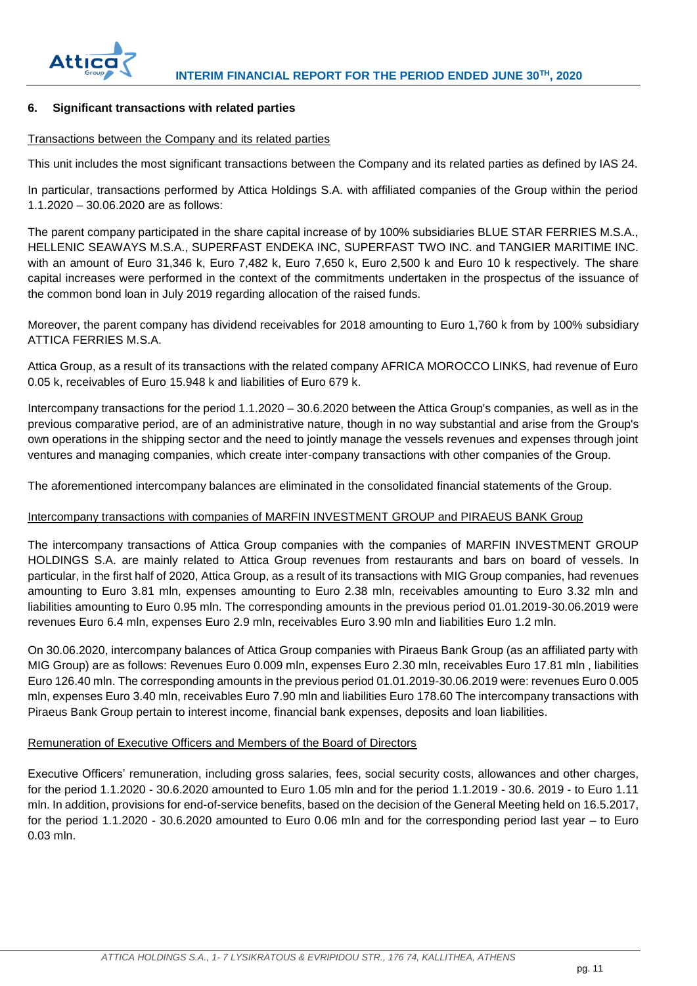

## **6. Significant transactions with related parties**

#### Transactions between the Company and its related parties

This unit includes the most significant transactions between the Company and its related parties as defined by IAS 24.

In particular, transactions performed by Attica Holdings S.A. with affiliated companies of the Group within the period 1.1.2020 – 30.06.2020 are as follows:

The parent company participated in the share capital increase of by 100% subsidiaries BLUE STAR FERRIES M.S.A., HELLENIC SEAWAYS M.S.A., SUPERFAST ENDEKA INC, SUPERFAST TWO INC. and TANGIER MARITIME INC. with an amount of Euro 31,346 k, Euro 7,482 k, Euro 7,650 k, Euro 2,500 k and Euro 10 k respectively. The share capital increases were performed in the context of the commitments undertaken in the prospectus of the issuance of the common bond loan in July 2019 regarding allocation of the raised funds.

Moreover, the parent company has dividend receivables for 2018 amounting to Euro 1,760 k from by 100% subsidiary ATTICA FERRIES M.S.A.

Attica Group, as a result of its transactions with the related company AFRICA MOROCCO LINKS, had revenue of Euro 0.05 k, receivables of Euro 15.948 k and liabilities of Euro 679 k.

Intercompany transactions for the period 1.1.2020 – 30.6.2020 between the Attica Group's companies, as well as in the previous comparative period, are of an administrative nature, though in no way substantial and arise from the Group's own operations in the shipping sector and the need to jointly manage the vessels revenues and expenses through joint ventures and managing companies, which create inter-company transactions with other companies of the Group.

The aforementioned intercompany balances are eliminated in the consolidated financial statements of the Group.

## Intercompany transactions with companies of MARFIN INVESTMENT GROUP and PIRAEUS BANK Group

The intercompany transactions of Attica Group companies with the companies of MARFIN INVESTMENT GROUP HOLDINGS S.A. are mainly related to Attica Group revenues from restaurants and bars on board of vessels. In particular, in the first half of 2020, Attica Group, as a result of its transactions with MIG Group companies, had revenues amounting to Euro 3.81 mln, expenses amounting to Euro 2.38 mln, receivables amounting to Euro 3.32 mln and liabilities amounting to Euro 0.95 mln. The corresponding amounts in the previous period 01.01.2019-30.06.2019 were revenues Euro 6.4 mln, expenses Euro 2.9 mln, receivables Euro 3.90 mln and liabilities Euro 1.2 mln.

On 30.06.2020, intercompany balances of Attica Group companies with Piraeus Bank Group (as an affiliated party with MIG Group) are as follows: Revenues Euro 0.009 mln, expenses Euro 2.30 mln, receivables Euro 17.81 mln , liabilities Euro 126.40 mln. The corresponding amounts in the previous period 01.01.2019-30.06.2019 were: revenues Euro 0.005 mln, expenses Euro 3.40 mln, receivables Euro 7.90 mln and liabilities Euro 178.60 The intercompany transactions with Piraeus Bank Group pertain to interest income, financial bank expenses, deposits and loan liabilities.

## Remuneration of Executive Officers and Members of the Board of Directors

Executive Officers' remuneration, including gross salaries, fees, social security costs, allowances and other charges, for the period 1.1.2020 - 30.6.2020 amounted to Euro 1.05 mln and for the period 1.1.2019 - 30.6. 2019 - to Euro 1.11 mln. In addition, provisions for end-of-service benefits, based on the decision of the General Meeting held on 16.5.2017, for the period 1.1.2020 - 30.6.2020 amounted to Euro 0.06 mln and for the corresponding period last year – to Euro 0.03 mln.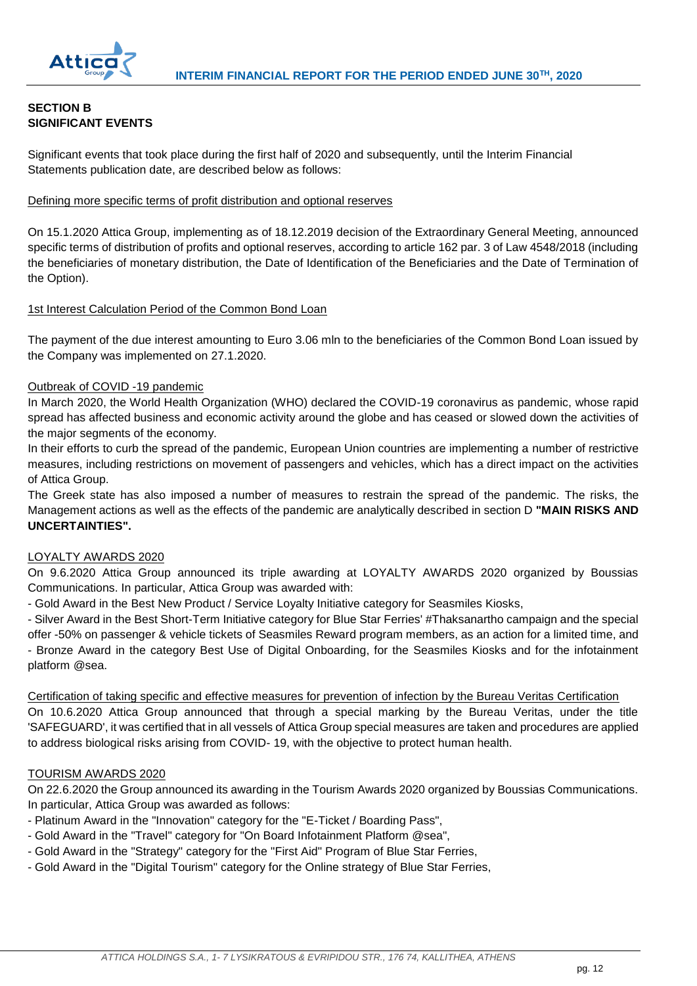

## **SECTION B SIGNIFICANT EVENTS**

Significant events that took place during the first half of 2020 and subsequently, until the Interim Financial Statements publication date, are described below as follows:

## Defining more specific terms of profit distribution and optional reserves

On 15.1.2020 Attica Group, implementing as of 18.12.2019 decision of the Extraordinary General Meeting, announced specific terms of distribution of profits and optional reserves, according to article 162 par. 3 of Law 4548/2018 (including the beneficiaries of monetary distribution, the Date of Identification of the Beneficiaries and the Date of Termination of the Option).

## 1st Interest Calculation Period of the Common Bond Loan

The payment of the due interest amounting to Euro 3.06 mln to the beneficiaries of the Common Bond Loan issued by the Company was implemented on 27.1.2020.

## Outbreak of COVID -19 pandemic

In March 2020, the World Health Organization (WHO) declared the COVID-19 coronavirus as pandemic, whose rapid spread has affected business and economic activity around the globe and has ceased or slowed down the activities of the major segments of the economy.

In their efforts to curb the spread of the pandemic, European Union countries are implementing a number of restrictive measures, including restrictions on movement of passengers and vehicles, which has a direct impact on the activities of Attica Group.

The Greek state has also imposed a number of measures to restrain the spread of the pandemic. The risks, the Management actions as well as the effects of the pandemic are analytically described in section D **"MAIN RISKS AND UNCERTAINTIES".**

## LOYALTY AWARDS 2020

On 9.6.2020 Attica Group announced its triple awarding at LOYALTY AWARDS 2020 organized by Boussias Communications. In particular, Attica Group was awarded with:

- Gold Award in the Best New Product / Service Loyalty Initiative category for Seasmiles Kiosks,

- Silver Award in the Best Short-Term Initiative category for Blue Star Ferries' #Thaksanartho campaign and the special offer -50% on passenger & vehicle tickets of Seasmiles Reward program members, as an action for a limited time, and - Bronze Award in the category Best Use of Digital Onboarding, for the Seasmiles Kiosks and for the infotainment platform @sea.

Certification of taking specific and effective measures for prevention of infection by the Bureau Veritas Certification On 10.6.2020 Attica Group announced that through a special marking by the Bureau Veritas, under the title 'SAFEGUARD', it was certified that in all vessels of Attica Group special measures are taken and procedures are applied to address biological risks arising from COVID- 19, with the objective to protect human health.

#### TOURISM AWARDS 2020

On 22.6.2020 the Group announced its awarding in the Tourism Awards 2020 organized by Boussias Communications. In particular, Attica Group was awarded as follows:

- Platinum Award in the "Innovation" category for the "E-Ticket / Boarding Pass",
- Gold Award in the "Travel" category for "On Board Infotainment Platform @sea",
- Gold Award in the "Strategy" category for the "First Aid" Program of Blue Star Ferries,
- Gold Award in the "Digital Tourism" category for the Online strategy of Blue Star Ferries,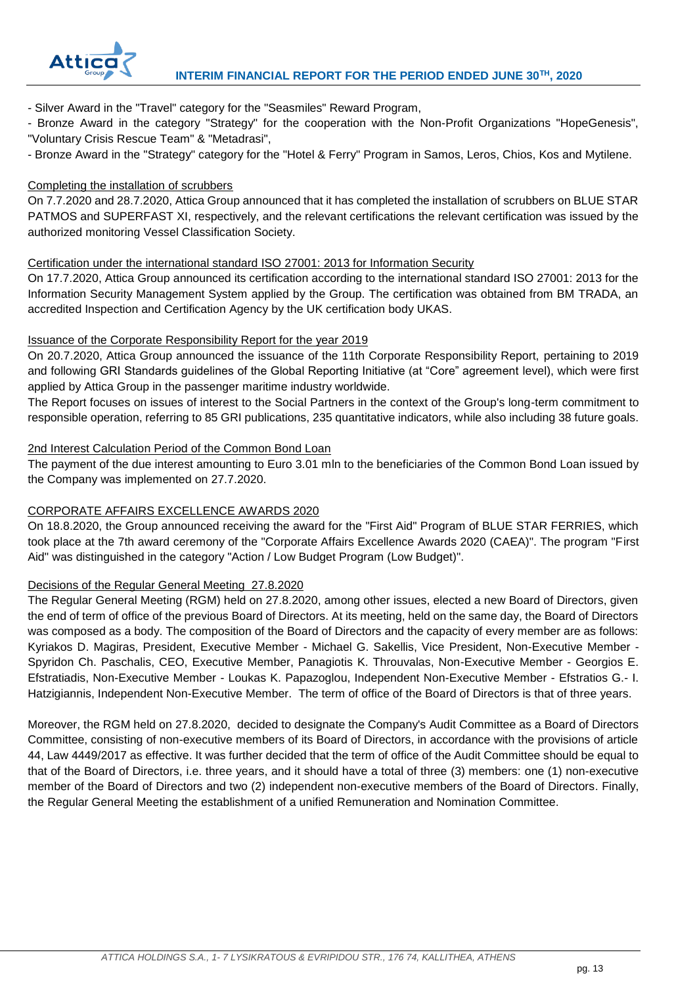

- Silver Award in the "Travel" category for the "Seasmiles" Reward Program,

- Bronze Award in the category "Strategy" for the cooperation with the Non-Profit Organizations "HopeGenesis", "Voluntary Crisis Rescue Team" & "Metadrasi",

- Bronze Award in the "Strategy" category for the "Hotel & Ferry" Program in Samos, Leros, Chios, Kos and Mytilene.

## Completing the installation of scrubbers

On 7.7.2020 and 28.7.2020, Attica Group announced that it has completed the installation of scrubbers on BLUE STAR PATMOS and SUPERFAST XI, respectively, and the relevant certifications the relevant certification was issued by the authorized monitoring Vessel Classification Society.

## Certification under the international standard ISO 27001: 2013 for Information Security

On 17.7.2020, Attica Group announced its certification according to the international standard ISO 27001: 2013 for the Information Security Management System applied by the Group. The certification was obtained from BM TRADA, an accredited Inspection and Certification Agency by the UK certification body UKAS.

## Issuance of the Corporate Responsibility Report for the year 2019

On 20.7.2020, Attica Group announced the issuance of the 11th Corporate Responsibility Report, pertaining to 2019 and following GRI Standards guidelines of the Global Reporting Initiative (at "Core" agreement level), which were first applied by Attica Group in the passenger maritime industry worldwide.

The Report focuses on issues of interest to the Social Partners in the context of the Group's long-term commitment to responsible operation, referring to 85 GRI publications, 235 quantitative indicators, while also including 38 future goals.

## 2nd Interest Calculation Period of the Common Bond Loan

The payment of the due interest amounting to Euro 3.01 mln to the beneficiaries of the Common Bond Loan issued by the Company was implemented on 27.7.2020.

## CORPORATE AFFAIRS EXCELLENCE AWARDS 2020

On 18.8.2020, the Group announced receiving the award for the "First Aid" Program of BLUE STAR FERRIES, which took place at the 7th award ceremony of the "Corporate Affairs Excellence Awards 2020 (CAEA)". The program "First Aid" was distinguished in the category "Action / Low Budget Program (Low Budget)".

## Decisions of the Regular General Meeting 27.8.2020

The Regular General Meeting (RGM) held on 27.8.2020, among other issues, elected a new Board of Directors, given the end of term of office of the previous Board of Directors. At its meeting, held on the same day, the Board of Directors was composed as a body. The composition of the Board of Directors and the capacity of every member are as follows: Kyriakos D. Magiras, President, Executive Member - Michael G. Sakellis, Vice President, Non-Executive Member - Spyridon Ch. Paschalis, CEO, Executive Member, Panagiotis K. Throuvalas, Non-Executive Member - Georgios E. Efstratiadis, Non-Executive Member - Loukas K. Papazoglou, Independent Non-Executive Member - Efstratios G.- I. Hatzigiannis, Independent Non-Executive Member. The term of office of the Board of Directors is that of three years.

Moreover, the RGM held on 27.8.2020, decided to designate the Company's Audit Committee as a Board of Directors Committee, consisting of non-executive members of its Board of Directors, in accordance with the provisions of article 44, Law 4449/2017 as effective. It was further decided that the term of office of the Audit Committee should be equal to that of the Board of Directors, i.e. three years, and it should have a total of three (3) members: one (1) non-executive member of the Board of Directors and two (2) independent non-executive members of the Board of Directors. Finally, the Regular General Meeting the establishment of a unified Remuneration and Nomination Committee.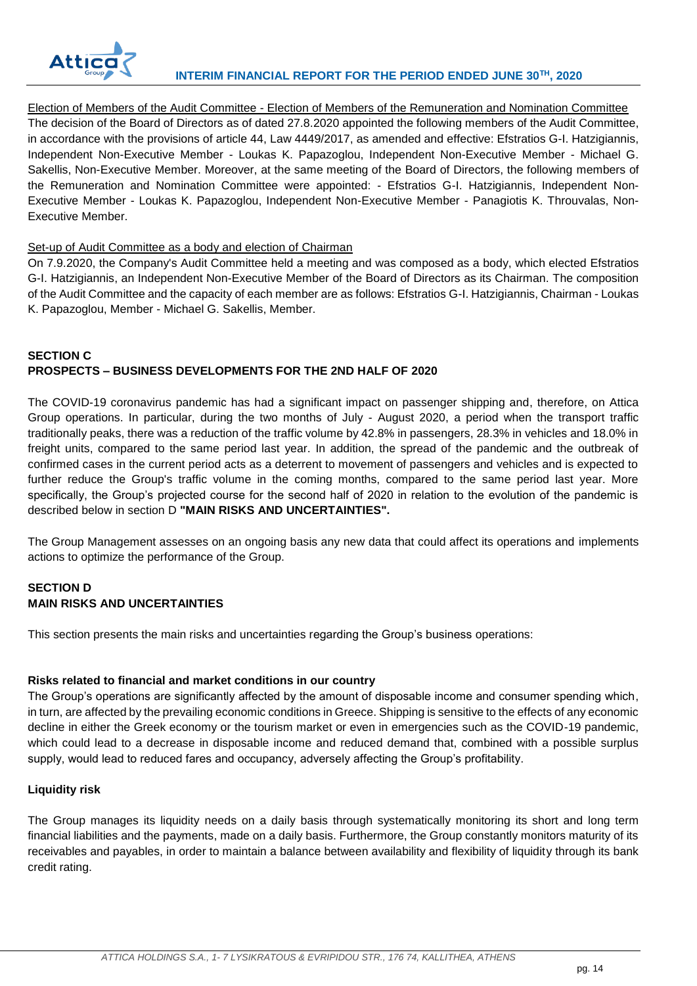

Election of Members of the Audit Committee - Election of Members of the Remuneration and Nomination Committee The decision of the Board of Directors as of dated 27.8.2020 appointed the following members of the Audit Committee, in accordance with the provisions of article 44, Law 4449/2017, as amended and effective: Efstratios G-I. Hatzigiannis, Independent Non-Executive Member - Loukas K. Papazoglou, Independent Non-Executive Member - Michael G. Sakellis, Non-Executive Member. Moreover, at the same meeting of the Board of Directors, the following members of the Remuneration and Nomination Committee were appointed: - Efstratios G-I. Hatzigiannis, Independent Non-Executive Member - Loukas K. Papazoglou, Independent Non-Executive Member - Panagiotis K. Throuvalas, Non-Executive Member.

## Set-up of Audit Committee as a body and election of Chairman

On 7.9.2020, the Company's Audit Committee held a meeting and was composed as a body, which elected Efstratios G-I. Hatzigiannis, an Independent Non-Executive Member of the Board of Directors as its Chairman. The composition of the Audit Committee and the capacity of each member are as follows: Efstratios G-I. Hatzigiannis, Chairman - Loukas K. Papazoglou, Member - Michael G. Sakellis, Member.

## **SECTION C PROSPECTS – BUSINESS DEVELOPMENTS FOR THE 2ND HALF OF 2020**

The COVID-19 coronavirus pandemic has had a significant impact on passenger shipping and, therefore, on Attica Group operations. In particular, during the two months of July - August 2020, a period when the transport traffic traditionally peaks, there was a reduction of the traffic volume by 42.8% in passengers, 28.3% in vehicles and 18.0% in freight units, compared to the same period last year. In addition, the spread of the pandemic and the outbreak of confirmed cases in the current period acts as a deterrent to movement of passengers and vehicles and is expected to further reduce the Group's traffic volume in the coming months, compared to the same period last year. More specifically, the Group's projected course for the second half of 2020 in relation to the evolution of the pandemic is described below in section D **"MAIN RISKS AND UNCERTAINTIES".**

The Group Management assesses on an ongoing basis any new data that could affect its operations and implements actions to optimize the performance of the Group.

## **SECTION D MAIN RISKS AND UNCERTAINTIES**

This section presents the main risks and uncertainties regarding the Group's business operations:

## **Risks related to financial and market conditions in our country**

The Group's operations are significantly affected by the amount of disposable income and consumer spending which, in turn, are affected by the prevailing economic conditions in Greece. Shipping is sensitive to the effects of any economic decline in either the Greek economy or the tourism market or even in emergencies such as the COVID-19 pandemic, which could lead to a decrease in disposable income and reduced demand that, combined with a possible surplus supply, would lead to reduced fares and occupancy, adversely affecting the Group's profitability.

## **Liquidity risk**

The Group manages its liquidity needs on a daily basis through systematically monitoring its short and long term financial liabilities and the payments, made on a daily basis. Furthermore, the Group constantly monitors maturity of its receivables and payables, in order to maintain a balance between availability and flexibility of liquidity through its bank credit rating.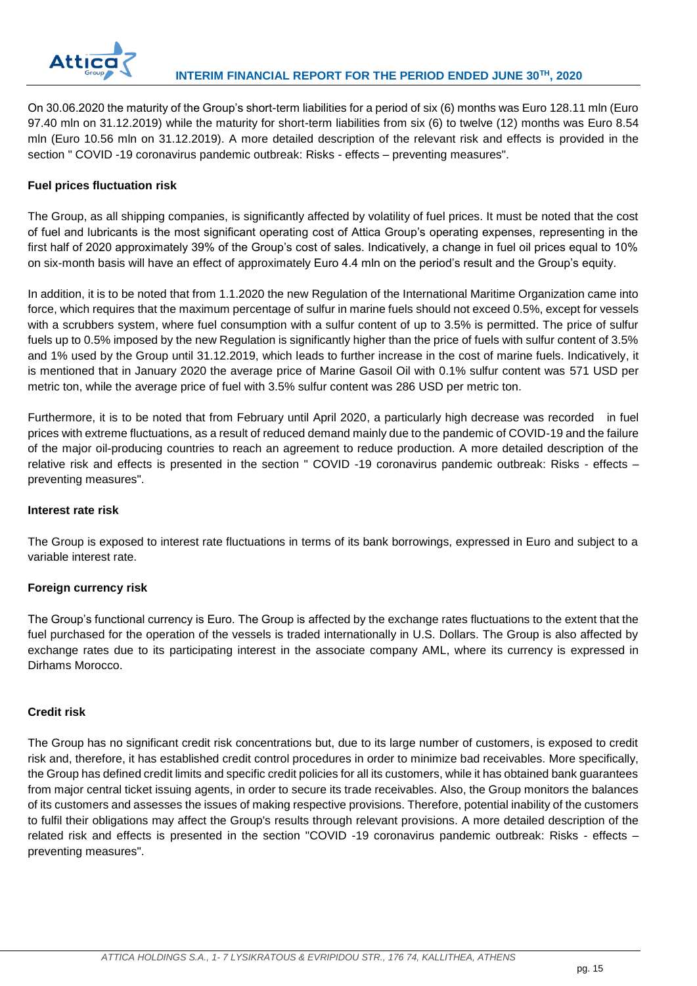

On 30.06.2020 the maturity of the Group's short-term liabilities for a period of six (6) months was Euro 128.11 mln (Euro 97.40 mln on 31.12.2019) while the maturity for short-term liabilities from six (6) to twelve (12) months was Euro 8.54 mln (Euro 10.56 mln on 31.12.2019). A more detailed description of the relevant risk and effects is provided in the section " COVID -19 coronavirus pandemic outbreak: Risks - effects – preventing measures".

## **Fuel prices fluctuation risk**

The Group, as all shipping companies, is significantly affected by volatility of fuel prices. It must be noted that the cost of fuel and lubricants is the most significant operating cost of Attica Group's operating expenses, representing in the first half of 2020 approximately 39% of the Group's cost of sales. Indicatively, a change in fuel oil prices equal to 10% on six-month basis will have an effect of approximately Euro 4.4 mln on the period's result and the Group's equity.

In addition, it is to be noted that from 1.1.2020 the new Regulation of the International Maritime Organization came into force, which requires that the maximum percentage of sulfur in marine fuels should not exceed 0.5%, except for vessels with a scrubbers system, where fuel consumption with a sulfur content of up to 3.5% is permitted. The price of sulfur fuels up to 0.5% imposed by the new Regulation is significantly higher than the price of fuels with sulfur content of 3.5% and 1% used by the Group until 31.12.2019, which leads to further increase in the cost of marine fuels. Indicatively, it is mentioned that in January 2020 the average price of Marine Gasoil Oil with 0.1% sulfur content was 571 USD per metric ton, while the average price of fuel with 3.5% sulfur content was 286 USD per metric ton.

Furthermore, it is to be noted that from February until April 2020, a particularly high decrease was recorded in fuel prices with extreme fluctuations, as a result of reduced demand mainly due to the pandemic of COVID-19 and the failure of the major oil-producing countries to reach an agreement to reduce production. A more detailed description of the relative risk and effects is presented in the section " COVID -19 coronavirus pandemic outbreak: Risks - effects – preventing measures".

## **Interest rate risk**

The Group is exposed to interest rate fluctuations in terms of its bank borrowings, expressed in Euro and subject to a variable interest rate.

## **Foreign currency risk**

The Group's functional currency is Euro. The Group is affected by the exchange rates fluctuations to the extent that the fuel purchased for the operation of the vessels is traded internationally in U.S. Dollars. The Group is also affected by exchange rates due to its participating interest in the associate company AML, where its currency is expressed in Dirhams Morocco.

## **Credit risk**

The Group has no significant credit risk concentrations but, due to its large number of customers, is exposed to credit risk and, therefore, it has established credit control procedures in order to minimize bad receivables. More specifically, the Group has defined credit limits and specific credit policies for all its customers, while it has obtained bank guarantees from major central ticket issuing agents, in order to secure its trade receivables. Also, the Group monitors the balances of its customers and assesses the issues of making respective provisions. Therefore, potential inability of the customers to fulfil their obligations may affect the Group's results through relevant provisions. A more detailed description of the related risk and effects is presented in the section "COVID -19 coronavirus pandemic outbreak: Risks - effects – preventing measures".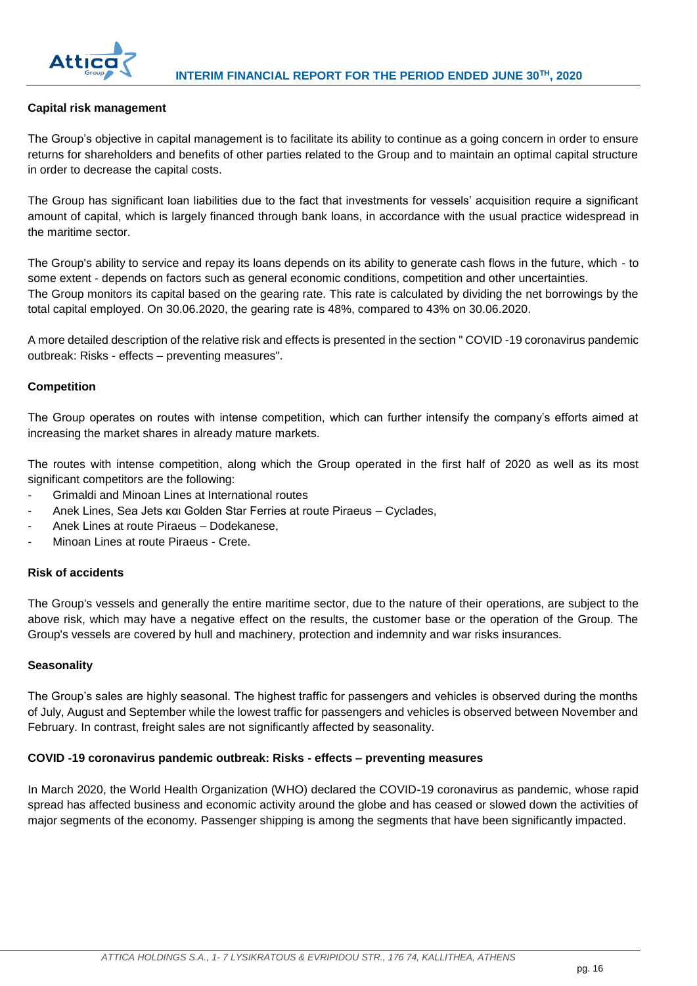

## **Capital risk management**

The Group's objective in capital management is to facilitate its ability to continue as a going concern in order to ensure returns for shareholders and benefits of other parties related to the Group and to maintain an optimal capital structure in order to decrease the capital costs.

The Group has significant loan liabilities due to the fact that investments for vessels' acquisition require a significant amount of capital, which is largely financed through bank loans, in accordance with the usual practice widespread in the maritime sector.

The Group's ability to service and repay its loans depends on its ability to generate cash flows in the future, which - to some extent - depends on factors such as general economic conditions, competition and other uncertainties. The Group monitors its capital based on the gearing rate. This rate is calculated by dividing the net borrowings by the total capital employed. On 30.06.2020, the gearing rate is 48%, compared to 43% on 30.06.2020.

A more detailed description of the relative risk and effects is presented in the section " COVID -19 coronavirus pandemic outbreak: Risks - effects – preventing measures".

## **Competition**

The Group operates on routes with intense competition, which can further intensify the company's efforts aimed at increasing the market shares in already mature markets.

The routes with intense competition, along which the Group operated in the first half of 2020 as well as its most significant competitors are the following:

- Grimaldi and Minoan Lines at International routes
- Anek Lines, Sea Jets και Golden Star Ferries at route Piraeus Cyclades,
- Anek Lines at route Piraeus Dodekanese,
- Minoan Lines at route Piraeus Crete.

## **Risk of accidents**

The Group's vessels and generally the entire maritime sector, due to the nature of their operations, are subject to the above risk, which may have a negative effect on the results, the customer base or the operation of the Group. The Group's vessels are covered by hull and machinery, protection and indemnity and war risks insurances.

#### **Seasonality**

The Group's sales are highly seasonal. The highest traffic for passengers and vehicles is observed during the months of July, August and September while the lowest traffic for passengers and vehicles is observed between November and February. In contrast, freight sales are not significantly affected by seasonality.

#### **COVID -19 coronavirus pandemic outbreak: Risks - effects – preventing measures**

In March 2020, the World Health Organization (WHO) declared the COVID-19 coronavirus as pandemic, whose rapid spread has affected business and economic activity around the globe and has ceased or slowed down the activities of major segments of the economy. Passenger shipping is among the segments that have been significantly impacted.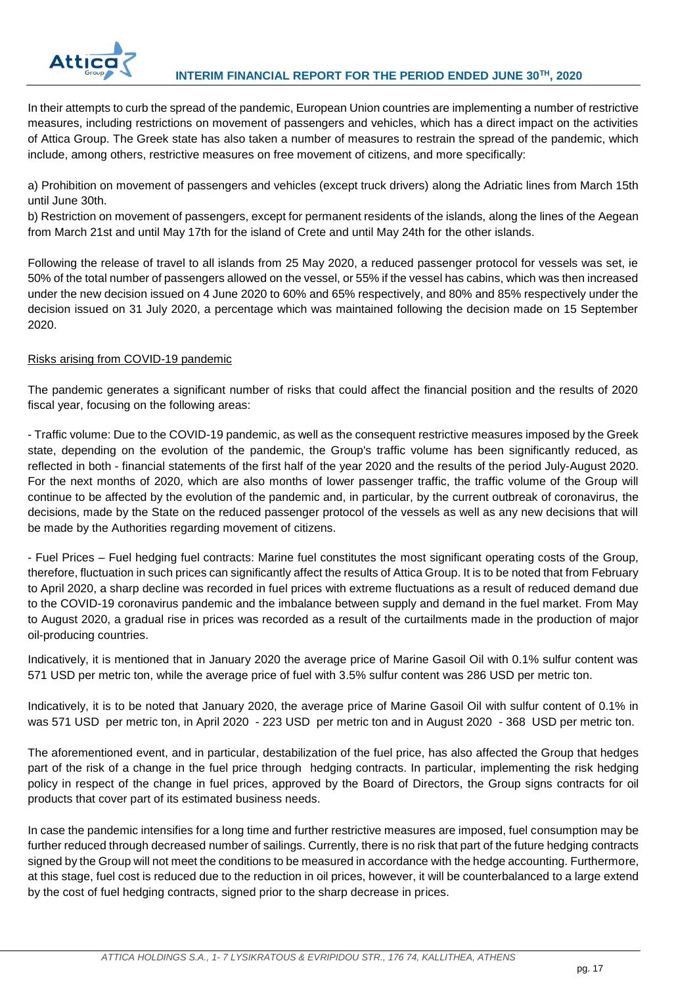

In their attempts to curb the spread of the pandemic, European Union countries are implementing a number of restrictive measures, including restrictions on movement of passengers and vehicles, which has a direct impact on the activities of Attica Group. The Greek state has also taken a number of measures to restrain the spread of the pandemic, which include, among others, restrictive measures on free movement of citizens, and more specifically:

a) Prohibition on movement of passengers and vehicles (except truck drivers) along the Adriatic lines from March 15th until June 30th.

b) Restriction on movement of passengers, except for permanent residents of the islands, along the lines of the Aegean from March 21st and until May 17th for the island of Crete and until May 24th for the other islands.

Following the release of travel to all islands from 25 May 2020, a reduced passenger protocol for vessels was set, ie 50% of the total number of passengers allowed on the vessel, or 55% if the vessel has cabins, which was then increased under the new decision issued on 4 June 2020 to 60% and 65% respectively, and 80% and 85% respectively under the decision issued on 31 July 2020, a percentage which was maintained following the decision made on 15 September 2020.

## Risks arising from COVID-19 pandemic

The pandemic generates a significant number of risks that could affect the financial position and the results of 2020 fiscal year, focusing on the following areas:

- Traffic volume: Due to the COVID-19 pandemic, as well as the consequent restrictive measures imposed by the Greek state, depending on the evolution of the pandemic, the Group's traffic volume has been significantly reduced, as reflected in both - financial statements of the first half of the year 2020 and the results of the period July-August 2020. For the next months of 2020, which are also months of lower passenger traffic, the traffic volume of the Group will continue to be affected by the evolution of the pandemic and, in particular, by the current outbreak of coronavirus, the decisions, made by the State on the reduced passenger protocol of the vessels as well as any new decisions that will be made by the Authorities regarding movement of citizens.

- Fuel Prices – Fuel hedging fuel contracts: Marine fuel constitutes the most significant operating costs of the Group, therefore, fluctuation in such prices can significantly affect the results of Attica Group. It is to be noted that from February to April 2020, a sharp decline was recorded in fuel prices with extreme fluctuations as a result of reduced demand due to the COVID-19 coronavirus pandemic and the imbalance between supply and demand in the fuel market. From May to August 2020, a gradual rise in prices was recorded as a result of the curtailments made in the production of major oil-producing countries.

Indicatively, it is mentioned that in January 2020 the average price of Marine Gasoil Oil with 0.1% sulfur content was 571 USD per metric ton, while the average price of fuel with 3.5% sulfur content was 286 USD per metric ton.

Indicatively, it is to be noted that January 2020, the average price of Marine Gasoil Oil with sulfur content of 0.1% in was 571 USD per metric ton, in April 2020 - 223 USD per metric ton and in August 2020 - 368 USD per metric ton.

The aforementioned event, and in particular, destabilization of the fuel price, has also affected the Group that hedges part of the risk of a change in the fuel price through hedging contracts. In particular, implementing the risk hedging policy in respect of the change in fuel prices, approved by the Board of Directors, the Group signs contracts for oil products that cover part of its estimated business needs.

In case the pandemic intensifies for a long time and further restrictive measures are imposed, fuel consumption may be further reduced through decreased number of sailings. Currently, there is no risk that part of the future hedging contracts signed by the Group will not meet the conditions to be measured in accordance with the hedge accounting. Furthermore, at this stage, fuel cost is reduced due to the reduction in oil prices, however, it will be counterbalanced to a large extend by the cost of fuel hedging contracts, signed prior to the sharp decrease in prices.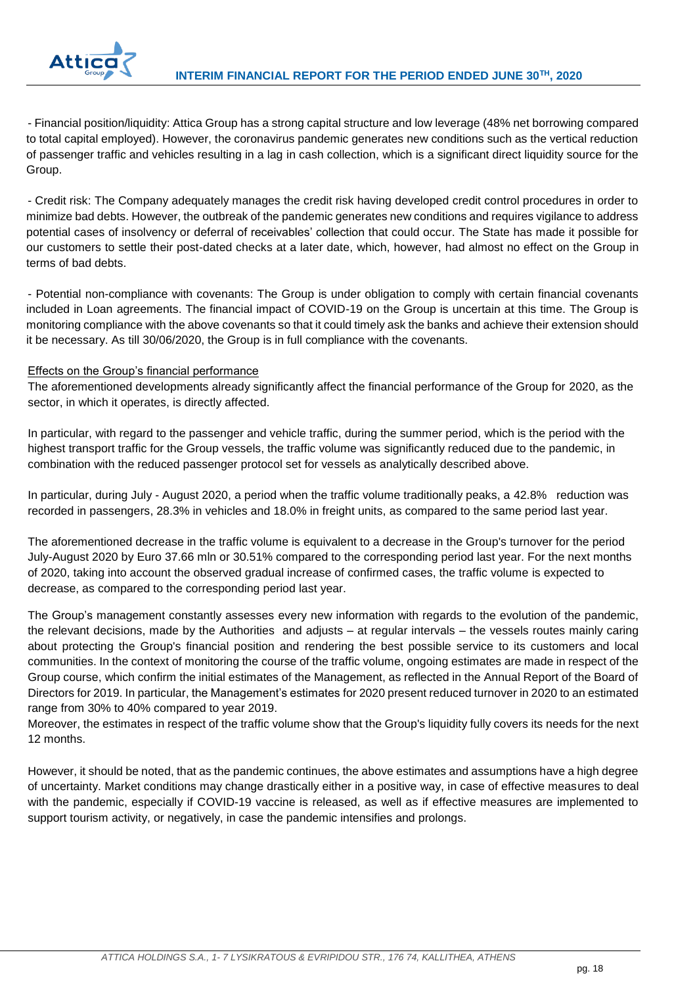

- Financial position/liquidity: Attica Group has a strong capital structure and low leverage (48% net borrowing compared to total capital employed). However, the coronavirus pandemic generates new conditions such as the vertical reduction of passenger traffic and vehicles resulting in a lag in cash collection, which is a significant direct liquidity source for the Group.

- Credit risk: The Company adequately manages the credit risk having developed credit control procedures in order to minimize bad debts. However, the outbreak of the pandemic generates new conditions and requires vigilance to address potential cases of insolvency or deferral of receivables' collection that could occur. The State has made it possible for our customers to settle their post-dated checks at a later date, which, however, had almost no effect on the Group in terms of bad debts.

- Potential non-compliance with covenants: The Group is under obligation to comply with certain financial covenants included in Loan agreements. The financial impact of COVID-19 on the Group is uncertain at this time. The Group is monitoring compliance with the above covenants so that it could timely ask the banks and achieve their extension should it be necessary. As till 30/06/2020, the Group is in full compliance with the covenants.

## Effects on the Group's financial performance

The aforementioned developments already significantly affect the financial performance of the Group for 2020, as the sector, in which it operates, is directly affected.

In particular, with regard to the passenger and vehicle traffic, during the summer period, which is the period with the highest transport traffic for the Group vessels, the traffic volume was significantly reduced due to the pandemic, in combination with the reduced passenger protocol set for vessels as analytically described above.

In particular, during July - August 2020, a period when the traffic volume traditionally peaks, a 42.8% reduction was recorded in passengers, 28.3% in vehicles and 18.0% in freight units, as compared to the same period last year.

The aforementioned decrease in the traffic volume is equivalent to a decrease in the Group's turnover for the period July-August 2020 by Euro 37.66 mln or 30.51% compared to the corresponding period last year. For the next months of 2020, taking into account the observed gradual increase of confirmed cases, the traffic volume is expected to decrease, as compared to the corresponding period last year.

The Group's management constantly assesses every new information with regards to the evolution of the pandemic, the relevant decisions, made by the Authorities and adjusts – at regular intervals – the vessels routes mainly caring about protecting the Group's financial position and rendering the best possible service to its customers and local communities. In the context of monitoring the course of the traffic volume, ongoing estimates are made in respect of the Group course, which confirm the initial estimates of the Management, as reflected in the Annual Report of the Board of Directors for 2019. In particular, the Management's estimates for 2020 present reduced turnover in 2020 to an estimated range from 30% to 40% compared to year 2019.

Moreover, the estimates in respect of the traffic volume show that the Group's liquidity fully covers its needs for the next 12 months.

However, it should be noted, that as the pandemic continues, the above estimates and assumptions have a high degree of uncertainty. Market conditions may change drastically either in a positive way, in case of effective measures to deal with the pandemic, especially if COVID-19 vaccine is released, as well as if effective measures are implemented to support tourism activity, or negatively, in case the pandemic intensifies and prolongs.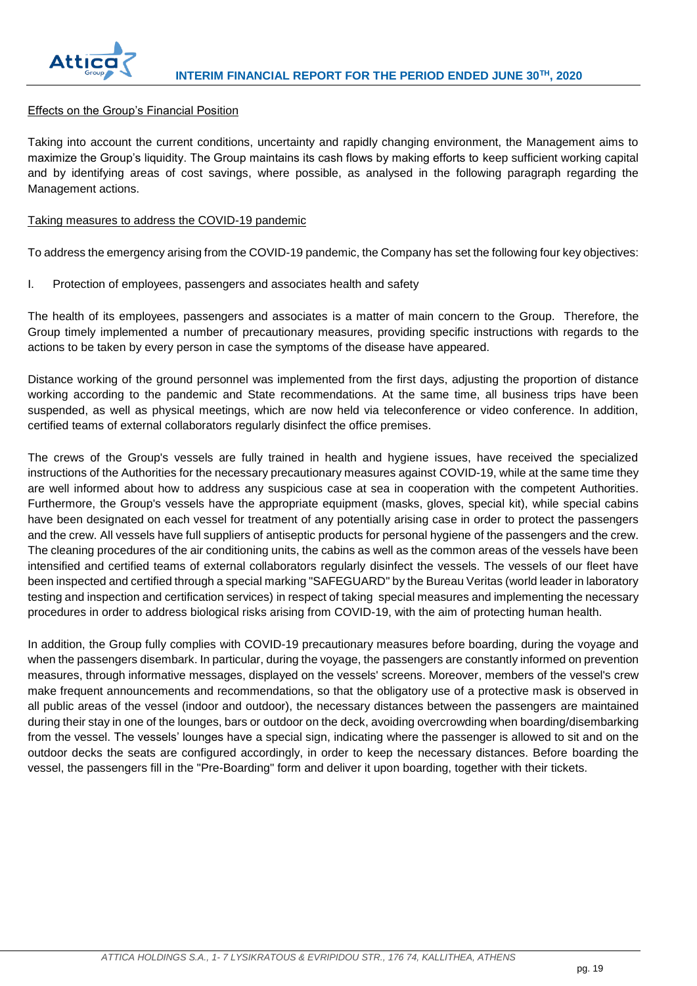

## Effects on the Group's Financial Position

Taking into account the current conditions, uncertainty and rapidly changing environment, the Management aims to maximize the Group's liquidity. The Group maintains its cash flows by making efforts to keep sufficient working capital and by identifying areas of cost savings, where possible, as analysed in the following paragraph regarding the Management actions.

#### Taking measures to address the COVID-19 pandemic

To address the emergency arising from the COVID-19 pandemic, the Company has set the following four key objectives:

I. Protection of employees, passengers and associates health and safety

The health of its employees, passengers and associates is a matter of main concern to the Group. Therefore, the Group timely implemented a number of precautionary measures, providing specific instructions with regards to the actions to be taken by every person in case the symptoms of the disease have appeared.

Distance working of the ground personnel was implemented from the first days, adjusting the proportion of distance working according to the pandemic and State recommendations. At the same time, all business trips have been suspended, as well as physical meetings, which are now held via teleconference or video conference. In addition, certified teams of external collaborators regularly disinfect the office premises.

The crews of the Group's vessels are fully trained in health and hygiene issues, have received the specialized instructions of the Authorities for the necessary precautionary measures against COVID-19, while at the same time they are well informed about how to address any suspicious case at sea in cooperation with the competent Authorities. Furthermore, the Group's vessels have the appropriate equipment (masks, gloves, special kit), while special cabins have been designated on each vessel for treatment of any potentially arising case in order to protect the passengers and the crew. All vessels have full suppliers of antiseptic products for personal hygiene of the passengers and the crew. The cleaning procedures of the air conditioning units, the cabins as well as the common areas of the vessels have been intensified and certified teams of external collaborators regularly disinfect the vessels. The vessels of our fleet have been inspected and certified through a special marking "SAFEGUARD" by the Bureau Veritas (world leader in laboratory testing and inspection and certification services) in respect of taking special measures and implementing the necessary procedures in order to address biological risks arising from COVID-19, with the aim of protecting human health.

In addition, the Group fully complies with COVID-19 precautionary measures before boarding, during the voyage and when the passengers disembark. In particular, during the voyage, the passengers are constantly informed on prevention measures, through informative messages, displayed on the vessels' screens. Moreover, members of the vessel's crew make frequent announcements and recommendations, so that the obligatory use of a protective mask is observed in all public areas of the vessel (indoor and outdoor), the necessary distances between the passengers are maintained during their stay in one of the lounges, bars or outdoor on the deck, avoiding overcrowding when boarding/disembarking from the vessel. The vessels' lounges have a special sign, indicating where the passenger is allowed to sit and on the outdoor decks the seats are configured accordingly, in order to keep the necessary distances. Before boarding the vessel, the passengers fill in the "Pre-Boarding" form and deliver it upon boarding, together with their tickets.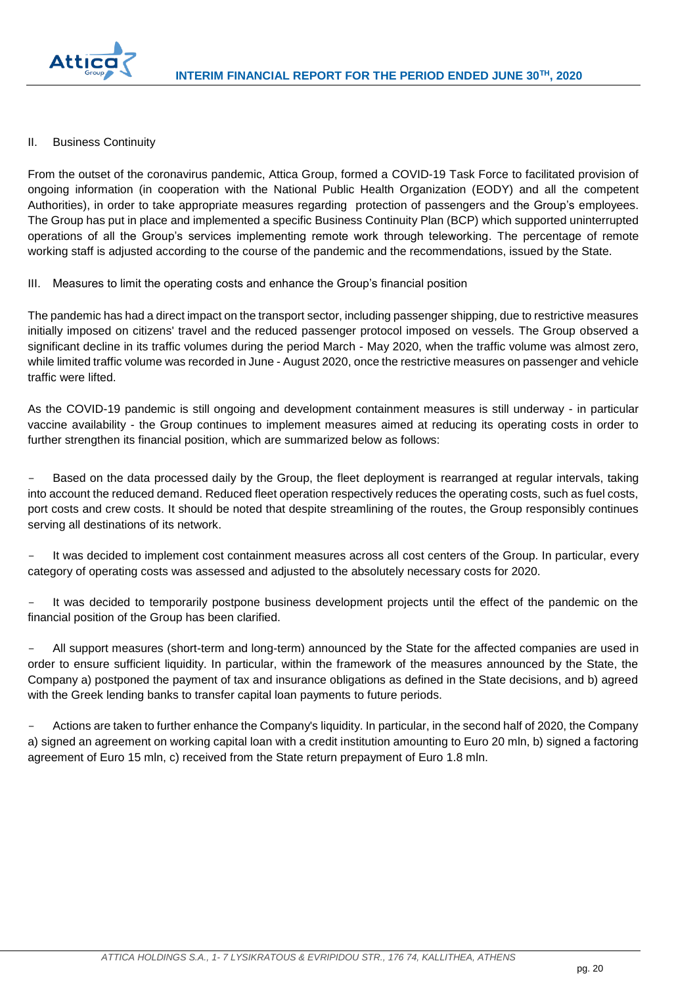

## II. Business Continuity

From the outset of the coronavirus pandemic, Attica Group, formed a COVID-19 Task Force to facilitated provision of ongoing information (in cooperation with the National Public Health Organization (EODY) and all the competent Authorities), in order to take appropriate measures regarding protection of passengers and the Group's employees. The Group has put in place and implemented a specific Business Continuity Plan (BCP) which supported uninterrupted operations of all the Group's services implementing remote work through teleworking. The percentage of remote working staff is adjusted according to the course of the pandemic and the recommendations, issued by the State.

III. Measures to limit the operating costs and enhance the Group's financial position

The pandemic has had a direct impact on the transport sector, including passenger shipping, due to restrictive measures initially imposed on citizens' travel and the reduced passenger protocol imposed on vessels. The Group observed a significant decline in its traffic volumes during the period March - May 2020, when the traffic volume was almost zero, while limited traffic volume was recorded in June - August 2020, once the restrictive measures on passenger and vehicle traffic were lifted.

As the COVID-19 pandemic is still ongoing and development containment measures is still underway - in particular vaccine availability - the Group continues to implement measures aimed at reducing its operating costs in order to further strengthen its financial position, which are summarized below as follows:

Based on the data processed daily by the Group, the fleet deployment is rearranged at regular intervals, taking into account the reduced demand. Reduced fleet operation respectively reduces the operating costs, such as fuel costs, port costs and crew costs. It should be noted that despite streamlining of the routes, the Group responsibly continues serving all destinations of its network.

It was decided to implement cost containment measures across all cost centers of the Group. In particular, every category of operating costs was assessed and adjusted to the absolutely necessary costs for 2020.

It was decided to temporarily postpone business development projects until the effect of the pandemic on the financial position of the Group has been clarified.

All support measures (short-term and long-term) announced by the State for the affected companies are used in order to ensure sufficient liquidity. In particular, within the framework of the measures announced by the State, the Company a) postponed the payment of tax and insurance obligations as defined in the State decisions, and b) agreed with the Greek lending banks to transfer capital loan payments to future periods.

- Actions are taken to further enhance the Company's liquidity. In particular, in the second half of 2020, the Company a) signed an agreement on working capital loan with a credit institution amounting to Euro 20 mln, b) signed a factoring agreement of Euro 15 mln, c) received from the State return prepayment of Euro 1.8 mln.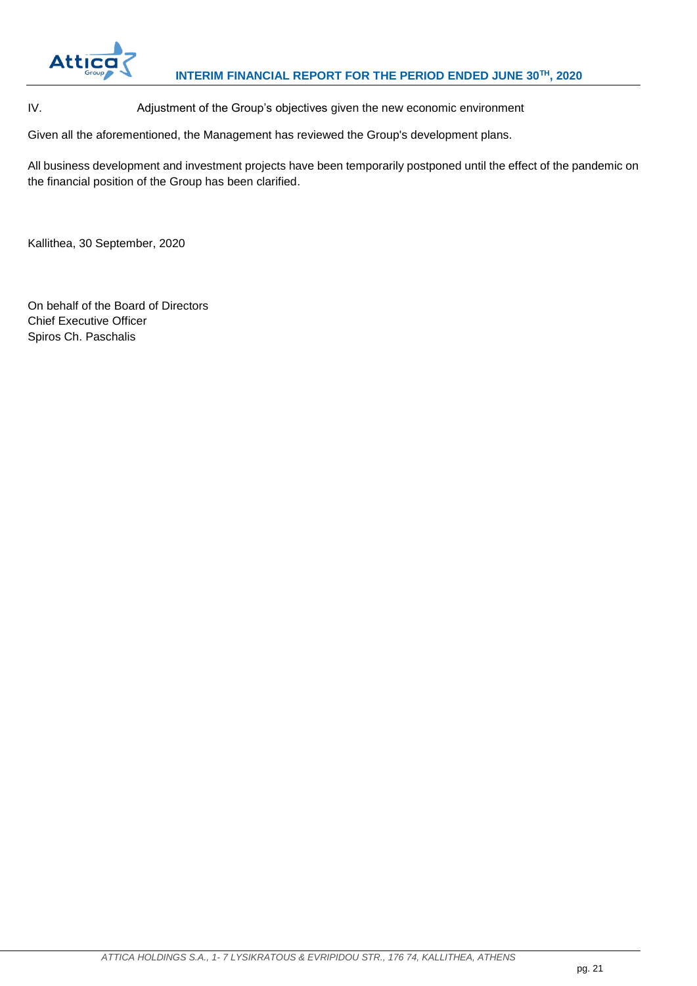

IV. Adjustment of the Group's objectives given the new economic environment

Given all the aforementioned, the Management has reviewed the Group's development plans.

All business development and investment projects have been temporarily postponed until the effect of the pandemic on the financial position of the Group has been clarified.

Kallithea, 30 September, 2020

On behalf of the Board of Directors Chief Executive Officer Spiros Ch. Paschalis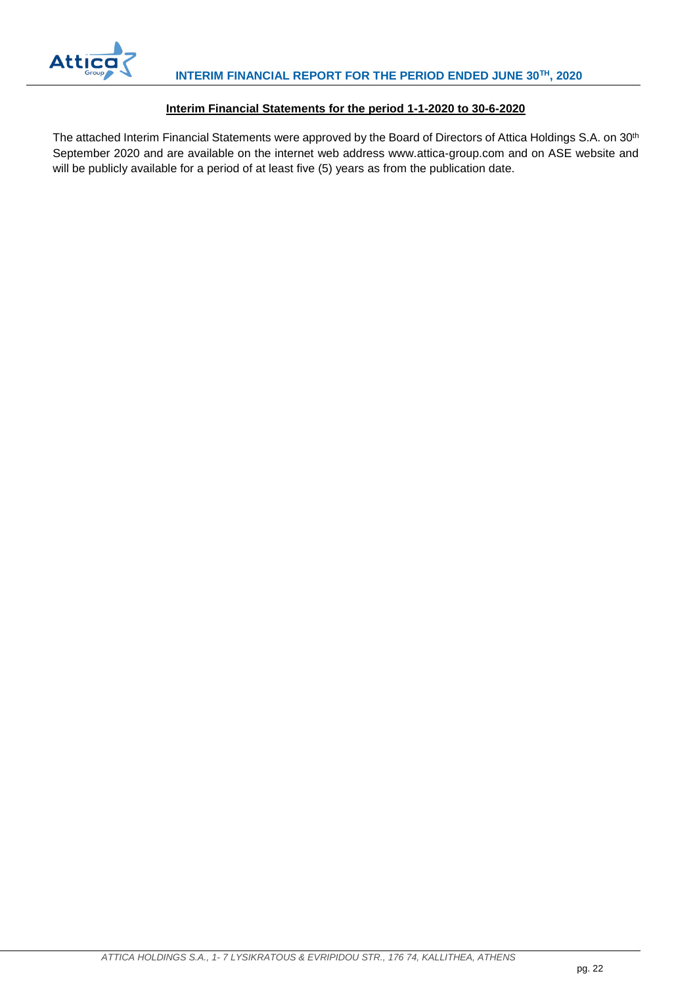

## **Interim Financial Statements for the period 1-1-2020 to 30-6-2020**

<span id="page-22-0"></span>The attached Interim Financial Statements were approved by the Board of Directors of Attica Holdings S.A. on 30<sup>th</sup> September 2020 and are available on the internet web address www.attica-group.com and on ASE website and will be publicly available for a period of at least five (5) years as from the publication date.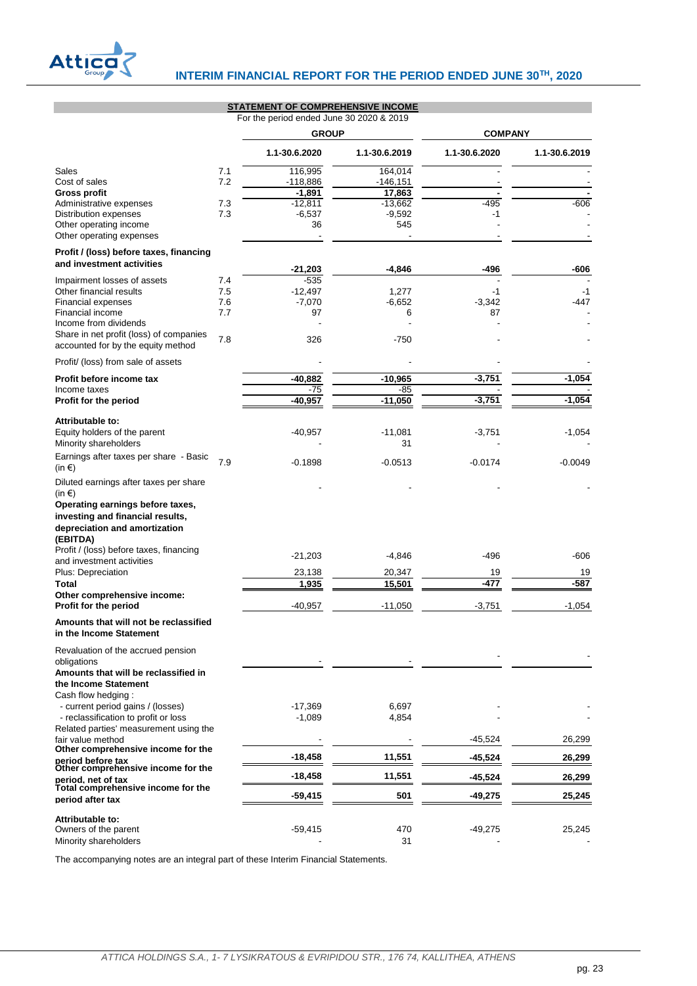

**STATEMENT OF COMPREHENSIVE INCOME**

|                                                                                                                             |     | STATEMENT OF COMPRETENSIVE INCOME<br>For the period ended June 30 2020 & 2019 |                 |                |               |
|-----------------------------------------------------------------------------------------------------------------------------|-----|-------------------------------------------------------------------------------|-----------------|----------------|---------------|
|                                                                                                                             |     | <b>GROUP</b>                                                                  |                 | <b>COMPANY</b> |               |
|                                                                                                                             |     | 1.1-30.6.2020                                                                 | 1.1-30.6.2019   | 1.1-30.6.2020  | 1.1-30.6.2019 |
| Sales                                                                                                                       | 7.1 | 116,995                                                                       | 164,014         |                |               |
| Cost of sales                                                                                                               | 7.2 | $-118,886$                                                                    | $-146,151$      |                |               |
| <b>Gross profit</b>                                                                                                         |     | -1,891                                                                        | 17,863          |                |               |
| Administrative expenses                                                                                                     | 7.3 | $-12,811$                                                                     | $-13,662$       | $-495$         | $-606$        |
| Distribution expenses                                                                                                       | 7.3 | $-6,537$                                                                      | $-9,592$        | -1             |               |
| Other operating income<br>Other operating expenses                                                                          |     | 36                                                                            | 545             |                |               |
| Profit / (loss) before taxes, financing                                                                                     |     |                                                                               |                 |                |               |
| and investment activities                                                                                                   |     | $-21,203$                                                                     | $-4.846$        | -496           | -606          |
| Impairment losses of assets                                                                                                 | 7.4 | $-535$                                                                        |                 |                |               |
| Other financial results                                                                                                     | 7.5 | $-12,497$                                                                     | 1,277           | -1             | -1            |
| <b>Financial expenses</b>                                                                                                   | 7.6 | $-7,070$                                                                      | $-6,652$        | $-3,342$       | -447          |
| Financial income                                                                                                            | 7.7 | 97                                                                            | 6               | 87             |               |
| Income from dividends                                                                                                       |     |                                                                               |                 |                |               |
| Share in net profit (loss) of companies<br>accounted for by the equity method                                               | 7.8 | 326                                                                           | $-750$          |                |               |
| Profit/ (loss) from sale of assets                                                                                          |     |                                                                               |                 |                |               |
| Profit before income tax                                                                                                    |     | -40,882                                                                       | $-10,965$       | $-3,751$       | $-1,054$      |
| Income taxes                                                                                                                |     | -75                                                                           | -85             |                |               |
| Profit for the period                                                                                                       |     | $-40,957$                                                                     | $-11,050$       | $-3,751$       | $-1,054$      |
| Attributable to:                                                                                                            |     |                                                                               |                 |                |               |
| Equity holders of the parent<br>Minority shareholders                                                                       |     | $-40,957$                                                                     | $-11,081$<br>31 | $-3,751$       | $-1,054$      |
| Earnings after taxes per share - Basic<br>(in €)                                                                            | 7.9 | $-0.1898$                                                                     | $-0.0513$       | $-0.0174$      | $-0.0049$     |
| Diluted earnings after taxes per share                                                                                      |     |                                                                               |                 |                |               |
| (in €)<br>Operating earnings before taxes,<br>investing and financial results,<br>depreciation and amortization<br>(EBITDA) |     |                                                                               |                 |                |               |
| Profit / (loss) before taxes, financing<br>and investment activities                                                        |     | $-21,203$                                                                     | $-4,846$        | $-496$         | -606          |
| Plus: Depreciation                                                                                                          |     | 23,138                                                                        | 20,347          | 19             | 19            |
| Total                                                                                                                       |     | 1,935                                                                         | 15,501          | -477           | $-587$        |
| Other comprehensive income:                                                                                                 |     |                                                                               |                 |                |               |
| Profit for the period                                                                                                       |     | $-40,957$                                                                     | $-11,050$       | $-3,751$       | $-1,054$      |
| Amounts that will not be reclassified<br>in the Income Statement                                                            |     |                                                                               |                 |                |               |
| Revaluation of the accrued pension                                                                                          |     |                                                                               |                 |                |               |
| obligations<br>Amounts that will be reclassified in                                                                         |     |                                                                               |                 |                |               |
| the Income Statement                                                                                                        |     |                                                                               |                 |                |               |
| Cash flow hedging:                                                                                                          |     |                                                                               |                 |                |               |
| - current period gains / (losses)                                                                                           |     | $-17,369$                                                                     | 6,697           |                |               |
| - reclassification to profit or loss                                                                                        |     | $-1,089$                                                                      | 4,854           |                |               |
| Related parties' measurement using the<br>fair value method                                                                 |     |                                                                               |                 | $-45,524$      | 26,299        |
| Other comprehensive income for the<br>period before tax                                                                     |     | $-18,458$                                                                     | 11,551          | -45,524        | 26,299        |
| Other comprehensive income for the<br>period, net of tax                                                                    |     | $-18,458$                                                                     | 11,551          | $-45,524$      | 26,299        |
| Total comprehensive income for the<br>period after tax                                                                      |     | $-59,415$                                                                     | 501             | $-49,275$      | 25,245        |
|                                                                                                                             |     |                                                                               |                 |                |               |
| Attributable to:                                                                                                            |     |                                                                               |                 |                |               |
| Owners of the parent                                                                                                        |     | $-59,415$                                                                     | 470             | -49,275        | 25,245        |
| Minority shareholders                                                                                                       |     |                                                                               | 31              |                |               |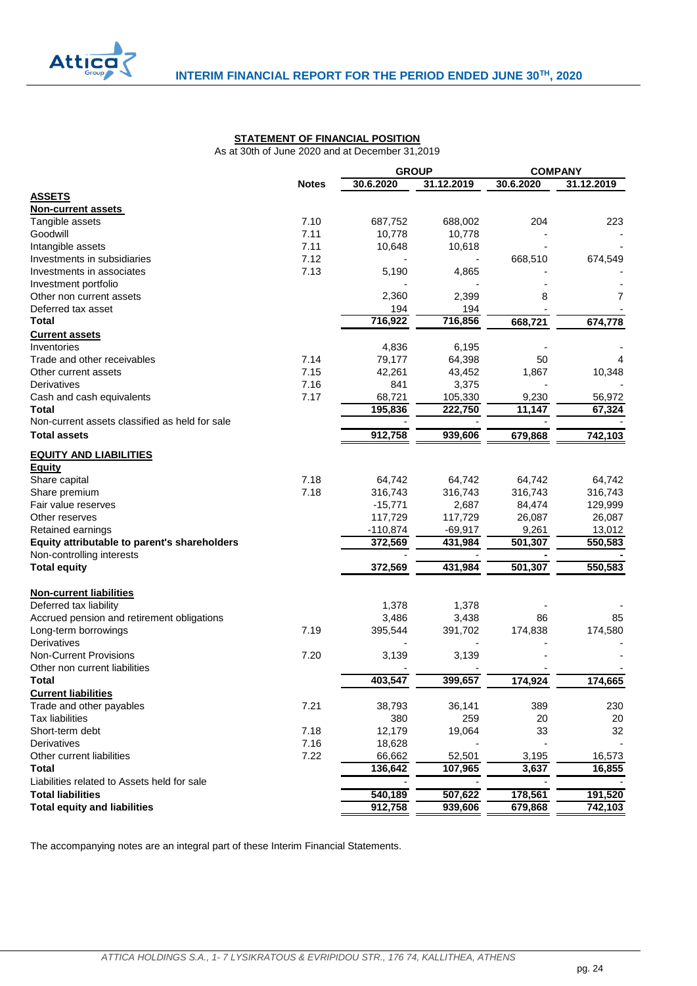<span id="page-24-0"></span>

#### **STATEMENT OF FINANCIAL POSITION**

As at 30th of June 2020 and at December 31,2019

<span id="page-24-1"></span>

|                                                | <b>GROUP</b> |            |            | <b>COMPANY</b> |            |
|------------------------------------------------|--------------|------------|------------|----------------|------------|
|                                                | <b>Notes</b> | 30.6.2020  | 31.12.2019 | 30.6.2020      | 31.12.2019 |
| <b>ASSETS</b>                                  |              |            |            |                |            |
| <b>Non-current assets</b>                      |              |            |            |                |            |
| Tangible assets                                | 7.10         | 687,752    | 688,002    | 204            | 223        |
| Goodwill                                       | 7.11         | 10,778     | 10,778     |                |            |
| Intangible assets                              | 7.11         | 10,648     | 10,618     |                |            |
| Investments in subsidiaries                    | 7.12         |            |            | 668,510        | 674,549    |
| Investments in associates                      | 7.13         | 5,190      | 4,865      |                |            |
| Investment portfolio                           |              |            |            |                |            |
| Other non current assets                       |              | 2,360      | 2,399      | 8              | 7          |
| Deferred tax asset                             |              | 194        | 194        |                |            |
| Total                                          |              | 716,922    | 716,856    | 668,721        | 674,778    |
| <b>Current assets</b>                          |              |            |            |                |            |
| Inventories                                    |              | 4,836      | 6,195      |                |            |
| Trade and other receivables                    | 7.14         | 79,177     | 64,398     | 50             |            |
| Other current assets                           | 7.15         | 42,261     | 43,452     | 1,867          | 10,348     |
| Derivatives                                    | 7.16         | 841        | 3,375      |                |            |
| Cash and cash equivalents                      | 7.17         | 68,721     | 105,330    | 9,230          | 56,972     |
| Total                                          |              | 195,836    | 222,750    | 11,147         | 67,324     |
| Non-current assets classified as held for sale |              |            |            |                |            |
| <b>Total assets</b>                            |              | 912,758    | 939,606    | 679,868        | 742,103    |
| <b>EQUITY AND LIABILITIES</b>                  |              |            |            |                |            |
| Equity                                         |              |            |            |                |            |
| Share capital                                  | 7.18         | 64,742     | 64,742     | 64,742         | 64,742     |
| Share premium                                  | 7.18         | 316,743    | 316,743    | 316,743        | 316,743    |
| Fair value reserves                            |              | $-15,771$  | 2,687      | 84,474         | 129,999    |
| Other reserves                                 |              | 117,729    | 117,729    | 26,087         | 26,087     |
| Retained earnings                              |              | $-110,874$ | $-69,917$  | 9,261          | 13,012     |
| Equity attributable to parent's shareholders   |              | 372,569    | 431,984    | 501,307        | 550,583    |
| Non-controlling interests                      |              |            |            |                |            |
| <b>Total equity</b>                            |              | 372,569    | 431,984    | 501,307        | 550,583    |
| <b>Non-current liabilities</b>                 |              |            |            |                |            |
| Deferred tax liability                         |              | 1,378      | 1,378      |                |            |
| Accrued pension and retirement obligations     |              | 3,486      | 3,438      | 86             | 85         |
| Long-term borrowings                           | 7.19         | 395,544    | 391,702    | 174,838        | 174,580    |
| Derivatives                                    |              |            |            |                |            |
| <b>Non-Current Provisions</b>                  | 7.20         | 3,139      | 3,139      |                |            |
| Other non current liabilities                  |              |            |            |                |            |
| Total                                          |              | 403,547    | 399,657    | 174,924        | 174,665    |
| <b>Current liabilities</b>                     |              |            |            |                |            |
| Trade and other payables                       | 7.21         | 38,793     | 36,141     | 389            | 230        |
| <b>Tax liabilities</b>                         |              | 380        | 259        | 20             | 20         |
| Short-term debt                                | 7.18         | 12,179     | 19,064     | 33             | 32         |
| Derivatives                                    | 7.16         | 18,628     |            |                |            |
| Other current liabilities                      | 7.22         | 66,662     | 52,501     | 3,195          | 16,573     |
| Total                                          |              | 136,642    | 107,965    | 3,637          | 16,855     |
| Liabilities related to Assets held for sale    |              |            |            |                |            |
| <b>Total liabilities</b>                       |              |            |            |                |            |
|                                                |              | 540,189    | 507,622    | 178,561        | 191,520    |
| <b>Total equity and liabilities</b>            |              | 912,758    | 939,606    | 679,868        | 742,103    |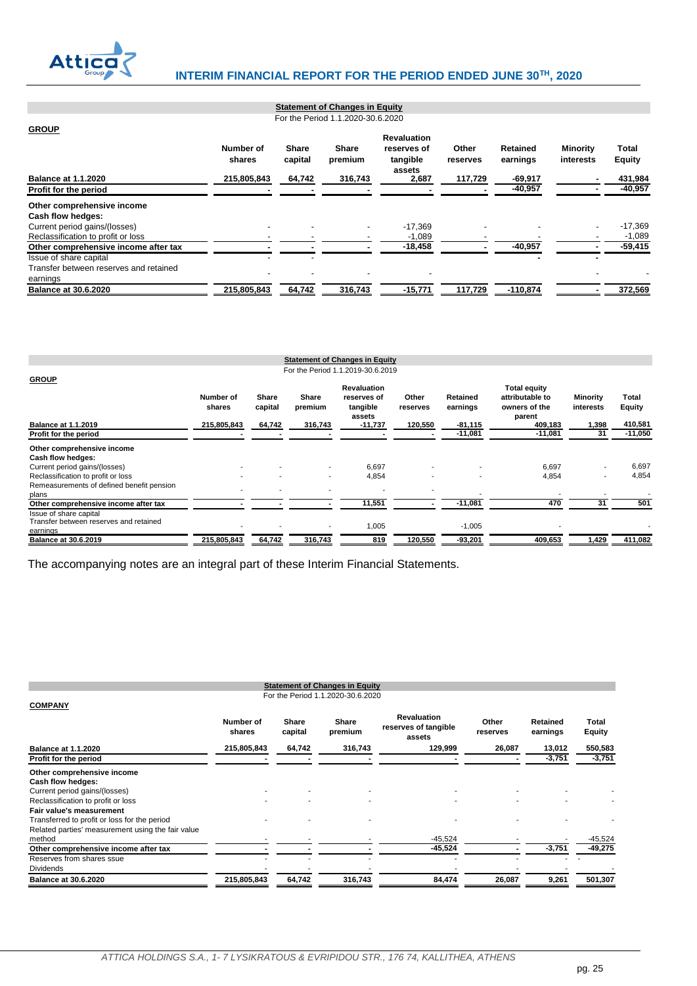

#### **GROUP Number of shares Share capital Share premium Revaluation reserves of tangible assets Other reserves Retained earnings Minority interests Total Equity Balance at 1.1.2020 215,805,843 64,742 316,743 2,687 117,729 -69,917 - 431,984 Profit for the period Other comprehensive income Cash flow hedges:** Current period gains/(losses) - - - -17,369 - - - -17,369 Reclassification to profit or loss - - - -1,089 - - - -1,089 **Other comprehensive income after tax - - - -18,458 - -40,957 - -59,415** Issue of share capital - - **- -** Transfer between reserves and retained earnings - - - - - - **Balance at 30.6.2020 215,805,843 64,742 316,743 -15,771 117,729 -110,874 - 372,569 Statement of Changes in Equity** For the Period 1.1.2020-30.6.2020

<span id="page-25-1"></span><span id="page-25-0"></span>

|                                                                              |                       |                   |                    | <b>Statement of Changes in Equity</b> |                     |                       |                                        |                    |                          |
|------------------------------------------------------------------------------|-----------------------|-------------------|--------------------|---------------------------------------|---------------------|-----------------------|----------------------------------------|--------------------|--------------------------|
|                                                                              |                       |                   |                    | For the Period 1.1.2019-30.6.2019     |                     |                       |                                        |                    |                          |
| <b>GROUP</b>                                                                 | Number of             | Share             | Share              | <b>Revaluation</b><br>reserves of     | Other               | Retained              | <b>Total equity</b><br>attributable to | Minority           | Total                    |
| <b>Balance at 1.1.2019</b>                                                   | shares<br>215,805,843 | capital<br>64,742 | premium<br>316,743 | tangible<br>assets<br>-11,737         | reserves<br>120,550 | earnings<br>$-81,115$ | owners of the<br>parent<br>409,183     | interests<br>1,398 | <b>Equity</b><br>410,581 |
| Profit for the period                                                        |                       |                   |                    |                                       |                     | $-11,081$             | $-11,081$                              | 31                 | $-11,050$                |
| Other comprehensive income                                                   |                       |                   |                    |                                       |                     |                       |                                        |                    |                          |
| Cash flow hedges:<br>Current period gains/(losses)                           |                       |                   |                    | 6,697                                 |                     |                       | 6,697                                  |                    | 6,697                    |
| Reclassification to profit or loss                                           |                       |                   |                    | 4,854                                 |                     |                       | 4,854                                  |                    | 4,854                    |
| Remeasurements of defined benefit pension<br>plans                           |                       |                   |                    |                                       | ٠                   |                       |                                        |                    |                          |
| Other comprehensive income after tax                                         |                       |                   |                    | 11,551                                |                     | $-11,081$             | 470                                    | 31                 | 501                      |
| Issue of share capital<br>Transfer between reserves and retained<br>earnings |                       |                   |                    | 1,005                                 |                     | $-1,005$              | ۰                                      |                    |                          |
| <b>Balance at 30.6.2019</b>                                                  | 215,805,843           | 64,742            | 316,743            | 819                                   | 120,550             | $-93,201$             | 409,653                                | 1,429              | 411,082                  |

|                                                   |                     |                  | <b>Statement of Changes in Equity</b> |                                                      |                   |                      |                        |
|---------------------------------------------------|---------------------|------------------|---------------------------------------|------------------------------------------------------|-------------------|----------------------|------------------------|
|                                                   |                     |                  | For the Period 1.1.2020-30.6.2020     |                                                      |                   |                      |                        |
| <b>COMPANY</b>                                    |                     |                  |                                       |                                                      |                   |                      |                        |
|                                                   | Number of<br>shares | Share<br>capital | Share<br>premium                      | <b>Revaluation</b><br>reserves of tangible<br>assets | Other<br>reserves | Retained<br>earnings | Total<br><b>Equity</b> |
| <b>Balance at 1.1.2020</b>                        | 215,805,843         | 64,742           | 316,743                               | 129,999                                              | 26,087            | 13,012               | 550,583                |
| Profit for the period                             |                     |                  |                                       |                                                      |                   | $-3,751$             | $-3,751$               |
| Other comprehensive income                        |                     |                  |                                       |                                                      |                   |                      |                        |
| Cash flow hedges:                                 |                     |                  |                                       |                                                      |                   |                      |                        |
| Current period gains/(losses)                     |                     |                  |                                       |                                                      |                   |                      |                        |
| Reclassification to profit or loss                |                     |                  |                                       |                                                      |                   |                      |                        |
| <b>Fair value's measurement</b>                   |                     |                  |                                       |                                                      |                   |                      |                        |
| Transferred to profit or loss for the period      |                     |                  |                                       |                                                      |                   |                      |                        |
| Related parties' measurement using the fair value |                     |                  |                                       |                                                      |                   |                      |                        |
| method                                            |                     |                  |                                       | $-45,524$                                            |                   |                      | $-45,524$              |
| Other comprehensive income after tax              |                     |                  |                                       | -45,524                                              |                   | $-3,751$             | $-49,275$              |
| Reserves from shares ssue                         |                     |                  |                                       |                                                      |                   |                      |                        |
| <b>Dividends</b>                                  |                     |                  |                                       |                                                      |                   |                      |                        |
| <b>Balance at 30.6.2020</b>                       | 215,805,843         | 64,742           | 316,743                               | 84,474                                               | 26,087            | 9,261                | 501,307                |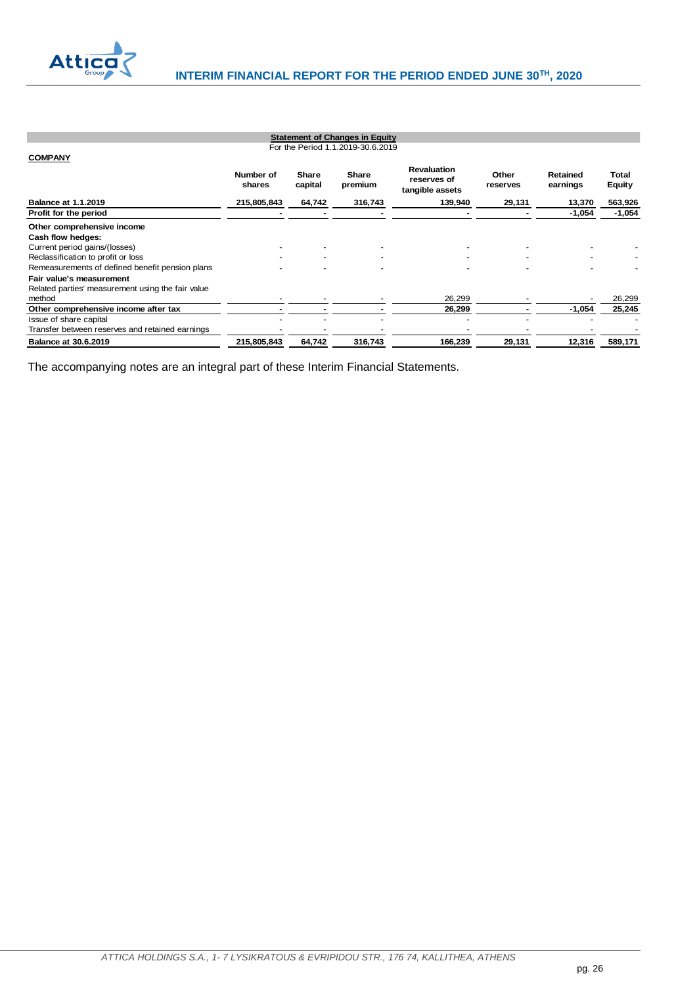

<span id="page-26-1"></span><span id="page-26-0"></span>

|                                                   |                     |                  | <b>Statement of Changes in Equity</b> |                                                      |                   |                      |                        |
|---------------------------------------------------|---------------------|------------------|---------------------------------------|------------------------------------------------------|-------------------|----------------------|------------------------|
|                                                   |                     |                  | For the Period 1.1.2019-30.6.2019     |                                                      |                   |                      |                        |
| <b>COMPANY</b>                                    |                     |                  |                                       |                                                      |                   |                      |                        |
|                                                   | Number of<br>shares | Share<br>capital | <b>Share</b><br>premium               | <b>Revaluation</b><br>reserves of<br>tangible assets | Other<br>reserves | Retained<br>earnings | Total<br><b>Equity</b> |
| <b>Balance at 1.1.2019</b>                        | 215,805,843         | 64,742           | 316,743                               | 139,940                                              | 29,131            | 13,370               | 563,926                |
| Profit for the period                             |                     |                  |                                       |                                                      |                   | $-1,054$             | $-1,054$               |
| Other comprehensive income                        |                     |                  |                                       |                                                      |                   |                      |                        |
| Cash flow hedges:                                 |                     |                  |                                       |                                                      |                   |                      |                        |
| Current period gains/(losses)                     |                     |                  |                                       |                                                      |                   |                      |                        |
| Reclassification to profit or loss                |                     |                  |                                       |                                                      |                   |                      |                        |
| Remeasurements of defined benefit pension plans   |                     |                  |                                       |                                                      |                   |                      |                        |
| Fair value's measurement                          |                     |                  |                                       |                                                      |                   |                      |                        |
| Related parties' measurement using the fair value |                     |                  |                                       |                                                      |                   |                      |                        |
| method                                            |                     |                  |                                       | 26,299                                               |                   |                      | 26,299                 |
| Other comprehensive income after tax              |                     |                  |                                       | 26,299                                               |                   | $-1,054$             | 25,245                 |
| Issue of share capital                            |                     |                  |                                       |                                                      |                   |                      |                        |
| Transfer between reserves and retained earnings   |                     |                  |                                       |                                                      |                   |                      |                        |
| <b>Balance at 30.6.2019</b>                       | 215,805,843         | 64,742           | 316,743                               | 166,239                                              | 29,131            | 12,316               | 589,171                |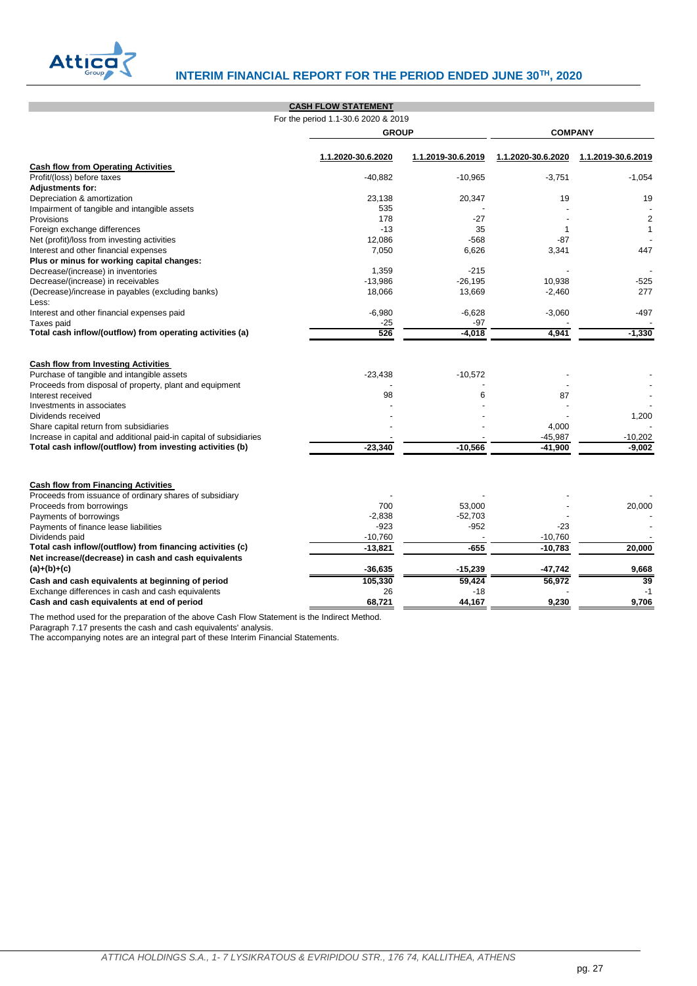

# **Atticary** INTERIM FINANCIAL REPORT FOR THE PERIOD ENDED JUNE 30<sup>TH</sup>, 2020

|                                                                       | <b>CASH FLOW STATEMENT</b>          |                    |                    |                    |  |  |
|-----------------------------------------------------------------------|-------------------------------------|--------------------|--------------------|--------------------|--|--|
|                                                                       | For the period 1.1-30.6 2020 & 2019 |                    |                    |                    |  |  |
|                                                                       | <b>GROUP</b>                        |                    |                    | <b>COMPANY</b>     |  |  |
|                                                                       | 1.1.2020-30.6.2020                  | 1.1.2019-30.6.2019 | 1.1.2020-30.6.2020 | 1.1.2019-30.6.2019 |  |  |
| <b>Cash flow from Operating Activities</b>                            |                                     |                    |                    |                    |  |  |
| Profit/(loss) before taxes                                            | $-40,882$                           | $-10,965$          | $-3,751$           | $-1,054$           |  |  |
| Adjustments for:                                                      |                                     |                    |                    |                    |  |  |
| Depreciation & amortization                                           | 23,138                              | 20,347             | 19                 | 19                 |  |  |
| Impairment of tangible and intangible assets<br><b>Provisions</b>     | 535<br>178                          | $-27$              |                    | $\overline{2}$     |  |  |
| Foreign exchange differences                                          | $-13$                               | 35                 | $\mathbf{1}$       | 1                  |  |  |
| Net (profit)/loss from investing activities                           | 12.086                              | $-568$             | $-87$              |                    |  |  |
| Interest and other financial expenses                                 | 7,050                               | 6,626              | 3,341              | 447                |  |  |
| Plus or minus for working capital changes:                            |                                     |                    |                    |                    |  |  |
| Decrease/(increase) in inventories                                    | 1,359                               | $-215$             |                    |                    |  |  |
| Decrease/(increase) in receivables                                    | $-13,986$                           | $-26,195$          | 10,938             | $-525$             |  |  |
| (Decrease)/increase in payables (excluding banks)                     | 18,066                              | 13,669             | $-2,460$           | 277                |  |  |
| Less:                                                                 |                                     |                    |                    |                    |  |  |
| Interest and other financial expenses paid                            | $-6,980$                            | $-6,628$           | $-3,060$           | $-497$             |  |  |
| Taxes paid                                                            | $-25$                               | $-97$              |                    |                    |  |  |
| Total cash inflow/(outflow) from operating activities (a)             | 526                                 | $-4,018$           | 4,941              | $-1,330$           |  |  |
|                                                                       |                                     |                    |                    |                    |  |  |
| <b>Cash flow from Investing Activities</b>                            |                                     |                    |                    |                    |  |  |
| Purchase of tangible and intangible assets                            | $-23,438$                           | $-10,572$          |                    |                    |  |  |
| Proceeds from disposal of property, plant and equipment               |                                     |                    |                    |                    |  |  |
| Interest received                                                     | 98                                  | 6                  | 87                 |                    |  |  |
| Investments in associates                                             |                                     |                    |                    |                    |  |  |
| Dividends received                                                    |                                     |                    |                    | 1,200              |  |  |
| Share capital return from subsidiaries                                |                                     |                    | 4,000              |                    |  |  |
| Increase in capital and additional paid-in capital of subsidiaries    |                                     |                    | $-45,987$          | $-10,202$          |  |  |
| Total cash inflow/(outflow) from investing activities (b)             | $-23,340$                           | $-10,566$          | $-41,900$          | $-9.002$           |  |  |
|                                                                       |                                     |                    |                    |                    |  |  |
| <b>Cash flow from Financing Activities</b>                            |                                     |                    |                    |                    |  |  |
| Proceeds from issuance of ordinary shares of subsidiary               |                                     |                    |                    |                    |  |  |
| Proceeds from borrowings                                              | 700                                 | 53,000             |                    | 20,000             |  |  |
| Payments of borrowings                                                | $-2,838$                            | $-52,703$          |                    |                    |  |  |
| Payments of finance lease liabilities                                 | $-923$                              | $-952$             | $-23$              |                    |  |  |
| Dividends paid                                                        | $-10,760$                           |                    | $-10,760$          |                    |  |  |
| Total cash inflow/(outflow) from financing activities (c)             | $-13,821$                           | $-655$             | $-10,783$          | 20,000             |  |  |
| Net increase/(decrease) in cash and cash equivalents<br>$(a)+(b)+(c)$ | $-36,635$                           | $-15,239$          | -47,742            | 9,668              |  |  |
| Cash and cash equivalents at beginning of period                      | 105,330                             | 59,424             | 56,972             | 39                 |  |  |
| Exchange differences in cash and cash equivalents                     | 26                                  | $-18$              |                    | $-1$               |  |  |
| Cash and cash equivalents at end of period                            | 68,721                              | 44,167             | 9,230              | 9,706              |  |  |
|                                                                       |                                     |                    |                    |                    |  |  |

The method used for the preparation of the above Cash Flow Statement is the Indirect Method.

<span id="page-27-0"></span>Paragraph 7.17 presents the cash and cash equivalents' analysis.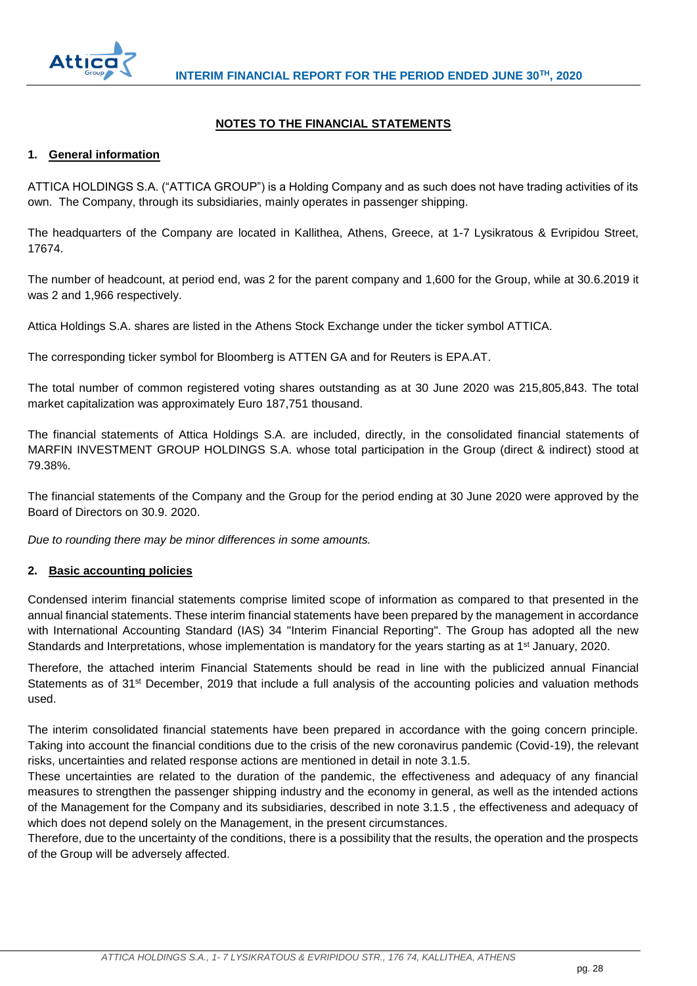

## **NOTES TO THE FINANCIAL STATEMENTS**

## <span id="page-28-1"></span><span id="page-28-0"></span>**1. General information**

ATTICA HOLDINGS S.A. ("ATTICA GROUP") is a Holding Company and as such does not have trading activities of its own. The Company, through its subsidiaries, mainly operates in passenger shipping.

The headquarters of the Company are located in Kallithea, Athens, Greece, at 1-7 Lysikratous & Evripidou Street, 17674.

The number of headcount, at period end, was 2 for the parent company and 1,600 for the Group, while at 30.6.2019 it was 2 and 1,966 respectively.

Attica Holdings S.A. shares are listed in the Athens Stock Exchange under the ticker symbol ATTICA.

The corresponding ticker symbol for Bloomberg is ATTEN GA and for Reuters is EPA.AT.

The total number of common registered voting shares outstanding as at 30 June 2020 was 215,805,843. The total market capitalization was approximately Euro 187,751 thousand.

The financial statements of Attica Holdings S.A. are included, directly, in the consolidated financial statements of MARFIN INVESTMENT GROUP HOLDINGS S.A. whose total participation in the Group (direct & indirect) stood at 79.38%.

The financial statements of the Company and the Group for the period ending at 30 June 2020 were approved by the Board of Directors on 30.9. 2020.

*Due to rounding there may be minor differences in some amounts.*

## <span id="page-28-2"></span>**2. Basic accounting policies**

Condensed interim financial statements comprise limited scope of information as compared to that presented in the annual financial statements. These interim financial statements have been prepared by the management in accordance with International Accounting Standard (IAS) 34 "Interim Financial Reporting". The Group has adopted all the new Standards and Interpretations, whose implementation is mandatory for the years starting as at 1<sup>st</sup> January, 2020.

Therefore, the attached interim Financial Statements should be read in line with the publicized annual Financial Statements as of 31<sup>st</sup> December, 2019 that include a full analysis of the accounting policies and valuation methods used.

The interim consolidated financial statements have been prepared in accordance with the going concern principle. Taking into account the financial conditions due to the crisis of the new coronavirus pandemic (Covid-19), the relevant risks, uncertainties and related response actions are mentioned in detail in note 3.1.5.

These uncertainties are related to the duration of the pandemic, the effectiveness and adequacy of any financial measures to strengthen the passenger shipping industry and the economy in general, as well as the intended actions of the Management for the Company and its subsidiaries, described in note 3.1.5 , the effectiveness and adequacy of which does not depend solely on the Management, in the present circumstances.

Therefore, due to the uncertainty of the conditions, there is a possibility that the results, the operation and the prospects of the Group will be adversely affected.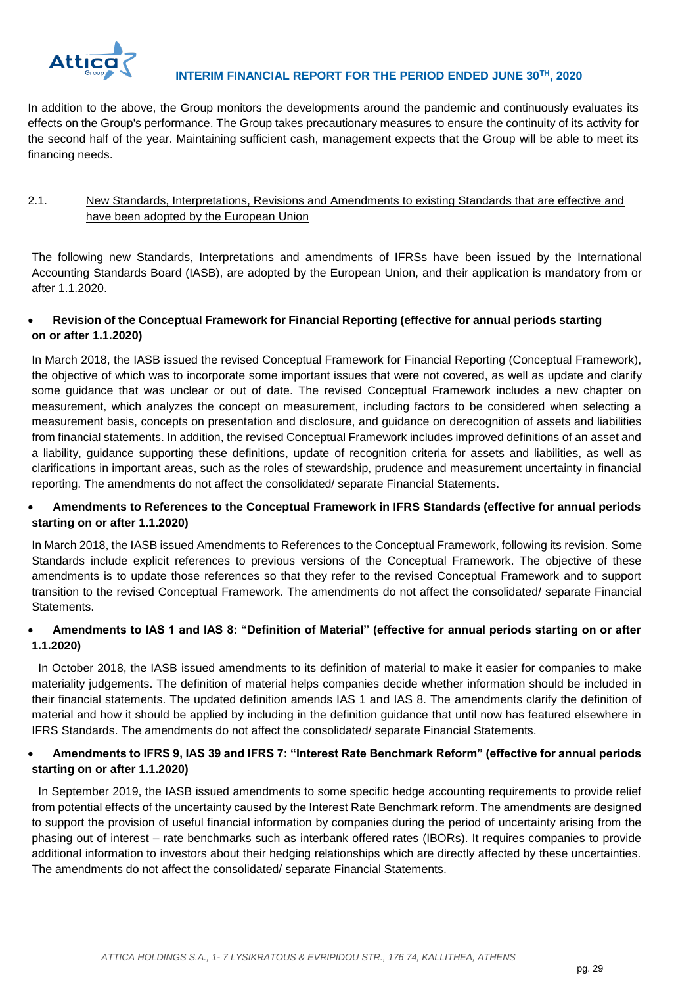

In addition to the above, the Group monitors the developments around the pandemic and continuously evaluates its effects on the Group's performance. The Group takes precautionary measures to ensure the continuity of its activity for the second half of the year. Maintaining sufficient cash, management expects that the Group will be able to meet its financing needs.

## <span id="page-29-0"></span>2.1. New Standards, Interpretations, Revisions and Amendments to existing Standards that are effective and have been adopted by the European Union

The following new Standards, Interpretations and amendments of IFRSs have been issued by the International Accounting Standards Board (IASB), are adopted by the European Union, and their application is mandatory from or after 1.1.2020.

## **Revision of the Conceptual Framework for Financial Reporting (effective for annual periods starting on or after 1.1.2020)**

In March 2018, the IASB issued the revised Conceptual Framework for Financial Reporting (Conceptual Framework), the objective of which was to incorporate some important issues that were not covered, as well as update and clarify some guidance that was unclear or out of date. The revised Conceptual Framework includes a new chapter on measurement, which analyzes the concept on measurement, including factors to be considered when selecting a measurement basis, concepts on presentation and disclosure, and guidance on derecognition of assets and liabilities from financial statements. In addition, the revised Conceptual Framework includes improved definitions of an asset and a liability, guidance supporting these definitions, update of recognition criteria for assets and liabilities, as well as clarifications in important areas, such as the roles of stewardship, prudence and measurement uncertainty in financial reporting. The amendments do not affect the consolidated/ separate Financial Statements.

## **Amendments to References to the Conceptual Framework in IFRS Standards (effective for annual periods starting on or after 1.1.2020)**

In March 2018, the IASB issued Amendments to References to the Conceptual Framework, following its revision. Some Standards include explicit references to previous versions of the Conceptual Framework. The objective of these amendments is to update those references so that they refer to the revised Conceptual Framework and to support transition to the revised Conceptual Framework. The amendments do not affect the consolidated/ separate Financial Statements.

## **Amendments to IAS 1 and IAS 8: "Definition of Material" (effective for annual periods starting on or after 1.1.2020)**

In October 2018, the IASB issued amendments to its definition of material to make it easier for companies to make materiality judgements. The definition of material helps companies decide whether information should be included in their financial statements. The updated definition amends IAS 1 and IAS 8. The amendments clarify the definition of material and how it should be applied by including in the definition guidance that until now has featured elsewhere in IFRS Standards. The amendments do not affect the consolidated/ separate Financial Statements.

## **Amendments to IFRS 9, IAS 39 and IFRS 7: "Interest Rate Benchmark Reform" (effective for annual periods starting on or after 1.1.2020)**

In September 2019, the IASB issued amendments to some specific hedge accounting requirements to provide relief from potential effects of the uncertainty caused by the Interest Rate Benchmark reform. The amendments are designed to support the provision of useful financial information by companies during the period of uncertainty arising from the phasing out of interest – rate benchmarks such as interbank offered rates (IBORs). It requires companies to provide additional information to investors about their hedging relationships which are directly affected by these uncertainties. The amendments do not affect the consolidated/ separate Financial Statements.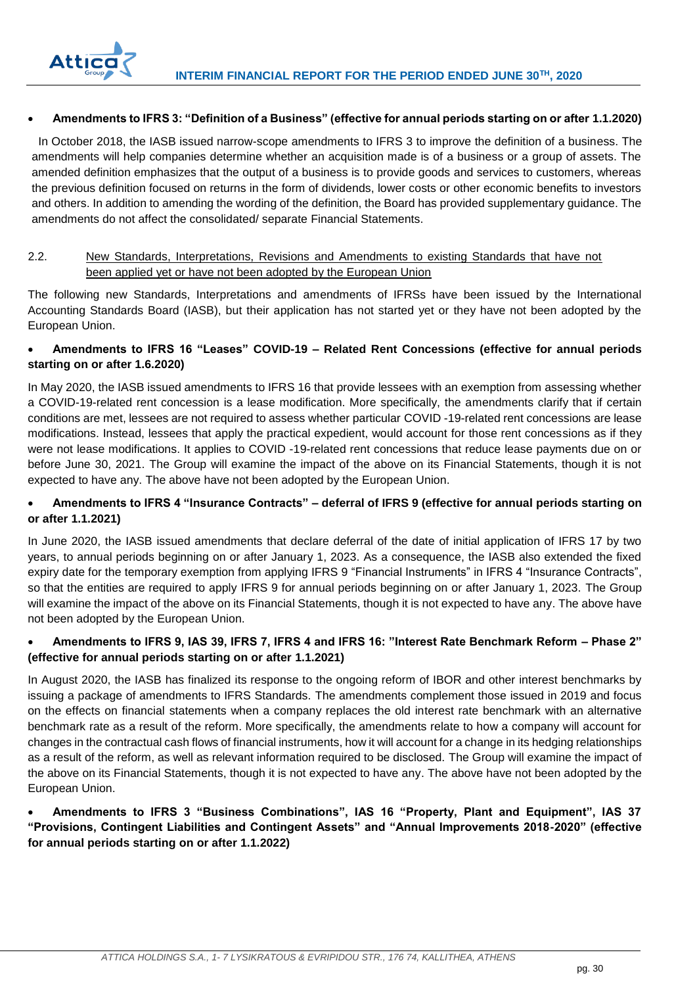

## **Amendments to IFRS 3: "Definition of a Business" (effective for annual periods starting on or after 1.1.2020)**

In October 2018, the IASB issued narrow-scope amendments to IFRS 3 to improve the definition of a business. The amendments will help companies determine whether an acquisition made is of a business or a group of assets. The amended definition emphasizes that the output of a business is to provide goods and services to customers, whereas the previous definition focused on returns in the form of dividends, lower costs or other economic benefits to investors and others. In addition to amending the wording of the definition, the Board has provided supplementary guidance. The amendments do not affect the consolidated/ separate Financial Statements.

## <span id="page-30-0"></span>2.2. New Standards, Interpretations, Revisions and Amendments to existing Standards that have not been applied yet or have not been adopted by the European Union

The following new Standards, Interpretations and amendments of IFRSs have been issued by the International Accounting Standards Board (IASB), but their application has not started yet or they have not been adopted by the European Union.

## **Amendments to IFRS 16 "Leases" COVID-19 – Related Rent Concessions (effective for annual periods starting on or after 1.6.2020)**

In May 2020, the IASB issued amendments to IFRS 16 that provide lessees with an exemption from assessing whether a COVID-19-related rent concession is a lease modification. More specifically, the amendments clarify that if certain conditions are met, lessees are not required to assess whether particular COVID -19-related rent concessions are lease modifications. Instead, lessees that apply the practical expedient, would account for those rent concessions as if they were not lease modifications. It applies to COVID -19-related rent concessions that reduce lease payments due on or before June 30, 2021. The Group will examine the impact of the above on its Financial Statements, though it is not expected to have any. The above have not been adopted by the European Union.

## **Amendments to IFRS 4 "Insurance Contracts" – deferral of IFRS 9 (effective for annual periods starting on or after 1.1.2021)**

In June 2020, the IASB issued amendments that declare deferral of the date of initial application of IFRS 17 by two years, to annual periods beginning on or after January 1, 2023. As a consequence, the IASB also extended the fixed expiry date for the temporary exemption from applying IFRS 9 "Financial Instruments" in IFRS 4 "Insurance Contracts", so that the entities are required to apply IFRS 9 for annual periods beginning on or after January 1, 2023. The Group will examine the impact of the above on its Financial Statements, though it is not expected to have any. The above have not been adopted by the European Union.

## **Amendments to IFRS 9, IAS 39, IFRS 7, IFRS 4 and IFRS 16: "Interest Rate Benchmark Reform – Phase 2" (effective for annual periods starting on or after 1.1.2021)**

In August 2020, the IASB has finalized its response to the ongoing reform of IBOR and other interest benchmarks by issuing a package of amendments to IFRS Standards. The amendments complement those issued in 2019 and focus on the effects on financial statements when a company replaces the old interest rate benchmark with an alternative benchmark rate as a result of the reform. More specifically, the amendments relate to how a company will account for changes in the contractual cash flows of financial instruments, how it will account for a change in its hedging relationships as a result of the reform, as well as relevant information required to be disclosed. The Group will examine the impact of the above on its Financial Statements, though it is not expected to have any. The above have not been adopted by the European Union.

## **Amendments to IFRS 3 "Business Combinations", IAS 16 "Property, Plant and Equipment", IAS 37 "Provisions, Contingent Liabilities and Contingent Assets" and "Annual Improvements 2018-2020" (effective for annual periods starting on or after 1.1.2022)**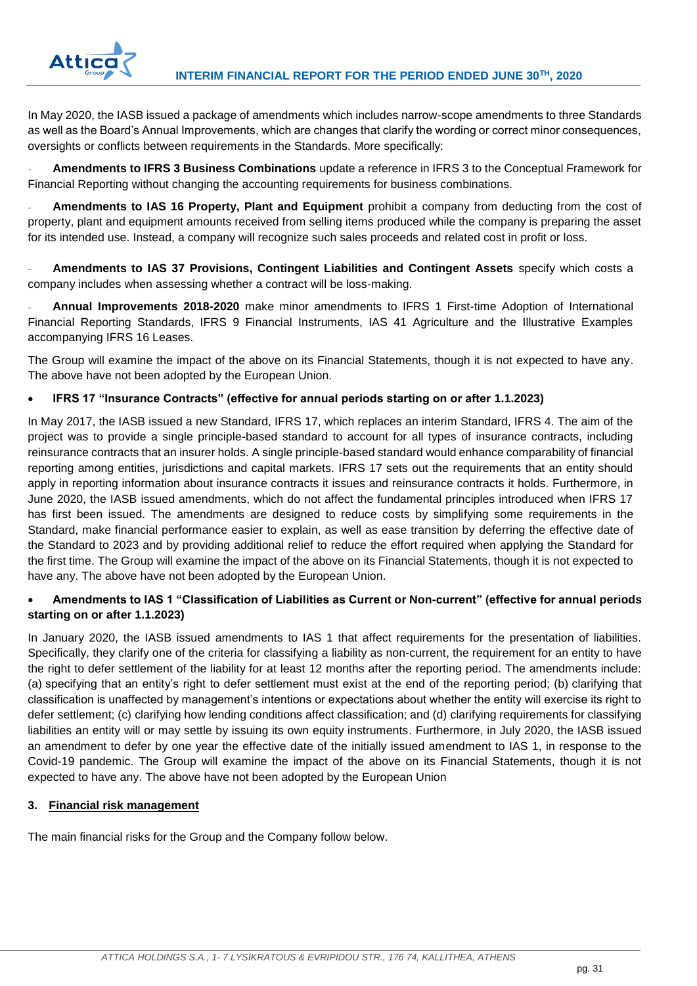

In May 2020, the IASB issued a package of amendments which includes narrow-scope amendments to three Standards as well as the Board's Annual Improvements, which are changes that clarify the wording or correct minor consequences, oversights or conflicts between requirements in the Standards. More specifically:

- **Amendments to IFRS 3 Business Combinations** update a reference in IFRS 3 to the Conceptual Framework for Financial Reporting without changing the accounting requirements for business combinations.

- **Amendments to IAS 16 Property, Plant and Equipment** prohibit a company from deducting from the cost of property, plant and equipment amounts received from selling items produced while the company is preparing the asset for its intended use. Instead, a company will recognize such sales proceeds and related cost in profit or loss.

- **Amendments to IAS 37 Provisions, Contingent Liabilities and Contingent Assets** specify which costs a company includes when assessing whether a contract will be loss-making.

- **Annual Improvements 2018-2020** make minor amendments to IFRS 1 First-time Adoption of International Financial Reporting Standards, IFRS 9 Financial Instruments, IAS 41 Agriculture and the Illustrative Examples accompanying IFRS 16 Leases.

The Group will examine the impact of the above on its Financial Statements, though it is not expected to have any. The above have not been adopted by the European Union.

## **IFRS 17 "Insurance Contracts" (effective for annual periods starting on or after 1.1.2023)**

In May 2017, the IASB issued a new Standard, IFRS 17, which replaces an interim Standard, IFRS 4. The aim of the project was to provide a single principle-based standard to account for all types of insurance contracts, including reinsurance contracts that an insurer holds. A single principle-based standard would enhance comparability of financial reporting among entities, jurisdictions and capital markets. IFRS 17 sets out the requirements that an entity should apply in reporting information about insurance contracts it issues and reinsurance contracts it holds. Furthermore, in June 2020, the IASB issued amendments, which do not affect the fundamental principles introduced when IFRS 17 has first been issued. The amendments are designed to reduce costs by simplifying some requirements in the Standard, make financial performance easier to explain, as well as ease transition by deferring the effective date of the Standard to 2023 and by providing additional relief to reduce the effort required when applying the Standard for the first time. The Group will examine the impact of the above on its Financial Statements, though it is not expected to have any. The above have not been adopted by the European Union.

## **Amendments to IAS 1 "Classification of Liabilities as Current or Non-current" (effective for annual periods starting on or after 1.1.2023)**

In January 2020, the IASB issued amendments to IAS 1 that affect requirements for the presentation of liabilities. Specifically, they clarify one of the criteria for classifying a liability as non-current, the requirement for an entity to have the right to defer settlement of the liability for at least 12 months after the reporting period. The amendments include: (a) specifying that an entity's right to defer settlement must exist at the end of the reporting period; (b) clarifying that classification is unaffected by management's intentions or expectations about whether the entity will exercise its right to defer settlement; (c) clarifying how lending conditions affect classification; and (d) clarifying requirements for classifying liabilities an entity will or may settle by issuing its own equity instruments. Furthermore, in July 2020, the IASB issued an amendment to defer by one year the effective date of the initially issued amendment to IAS 1, in response to the Covid-19 pandemic. The Group will examine the impact of the above on its Financial Statements, though it is not expected to have any. The above have not been adopted by the European Union

## <span id="page-31-0"></span>**3. Financial risk management**

The main financial risks for the Group and the Company follow below.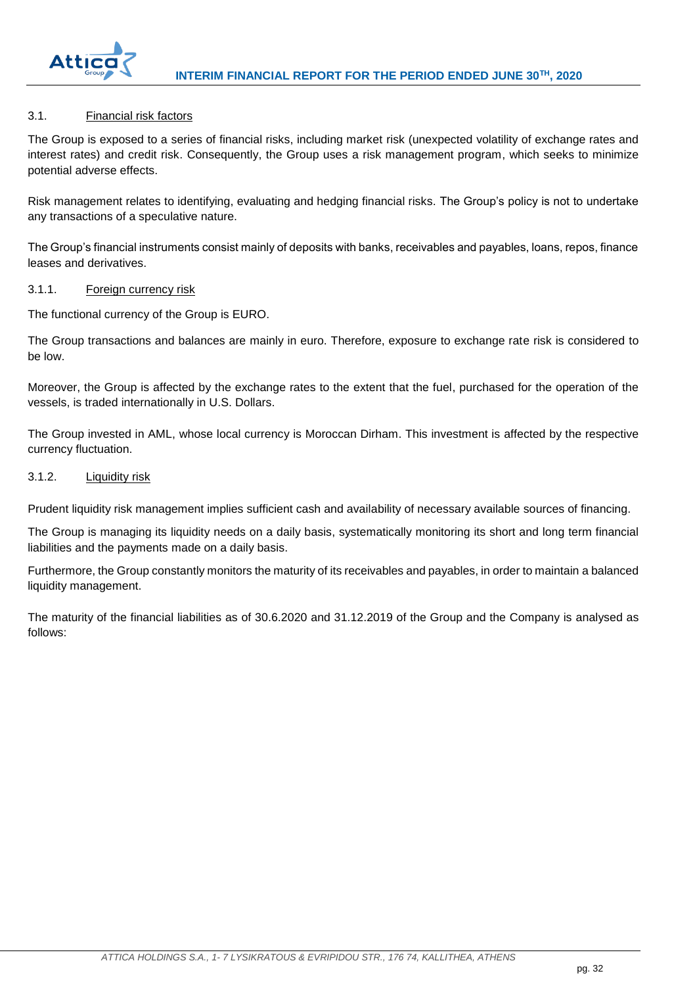

## <span id="page-32-0"></span>3.1. Financial risk factors

The Group is exposed to a series of financial risks, including market risk (unexpected volatility of exchange rates and interest rates) and credit risk. Consequently, the Group uses a risk management program, which seeks to minimize potential adverse effects.

Risk management relates to identifying, evaluating and hedging financial risks. The Group's policy is not to undertake any transactions of a speculative nature.

The Group's financial instruments consist mainly of deposits with banks, receivables and payables, loans, repos, finance leases and derivatives.

#### <span id="page-32-1"></span>3.1.1. Foreign currency risk

The functional currency of the Group is EURO.

The Group transactions and balances are mainly in euro. Therefore, exposure to exchange rate risk is considered to be low.

Moreover, the Group is affected by the exchange rates to the extent that the fuel, purchased for the operation of the vessels, is traded internationally in U.S. Dollars.

The Group invested in AML, whose local currency is Moroccan Dirham. This investment is affected by the respective currency fluctuation.

## <span id="page-32-2"></span>3.1.2. Liquidity risk

Prudent liquidity risk management implies sufficient cash and availability of necessary available sources of financing.

The Group is managing its liquidity needs on a daily basis, systematically monitoring its short and long term financial liabilities and the payments made on a daily basis.

Furthermore, the Group constantly monitors the maturity of its receivables and payables, in order to maintain a balanced liquidity management.

The maturity of the financial liabilities as of 30.6.2020 and 31.12.2019 of the Group and the Company is analysed as follows: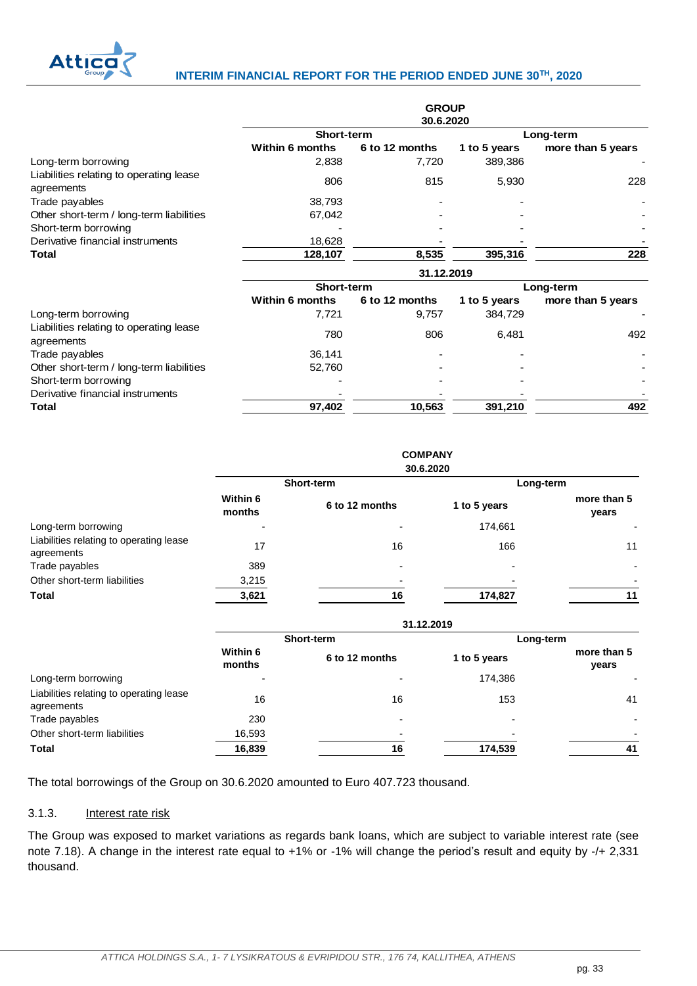

## **INTERIM FINANCIAL REPORT FOR THE PERIOD ENDED JUNE 30TH, 2020**

|                                                       | <b>GROUP</b><br>30.6.2020 |                |              |                   |  |  |  |  |
|-------------------------------------------------------|---------------------------|----------------|--------------|-------------------|--|--|--|--|
|                                                       | Short-term                |                |              | Long-term         |  |  |  |  |
|                                                       | <b>Within 6 months</b>    | 6 to 12 months | 1 to 5 years | more than 5 years |  |  |  |  |
| Long-term borrowing                                   | 2,838                     | 7,720          | 389,386      |                   |  |  |  |  |
| Liabilities relating to operating lease<br>agreements | 806                       | 815            | 5,930        | 228               |  |  |  |  |
| Trade payables                                        | 38,793                    |                |              |                   |  |  |  |  |
| Other short-term / long-term liabilities              | 67,042                    |                |              |                   |  |  |  |  |
| Short-term borrowing                                  |                           |                |              |                   |  |  |  |  |
| Derivative financial instruments                      | 18,628                    |                |              |                   |  |  |  |  |
| Total                                                 | 128,107                   | 8,535          | 395,316      | 228               |  |  |  |  |
|                                                       | 31.12.2019                |                |              |                   |  |  |  |  |
|                                                       | Short-term                |                | Long-term    |                   |  |  |  |  |
|                                                       | <b>Within 6 months</b>    | 6 to 12 months | 1 to 5 years | more than 5 years |  |  |  |  |
| Long-term borrowing                                   | 7,721                     | 9,757          | 384,729      |                   |  |  |  |  |
| Liabilities relating to operating lease<br>agreements | 780                       | 806            | 6,481        | 492               |  |  |  |  |
| Trade payables                                        | 36,141                    |                |              |                   |  |  |  |  |
| Other short-term / long-term liabilities              | 52,760                    |                |              |                   |  |  |  |  |
| Short-term borrowing                                  |                           |                |              |                   |  |  |  |  |
| Derivative financial instruments                      |                           |                |              |                   |  |  |  |  |
| Total                                                 | 97,402                    | 10,563         | 391,210      | 492               |  |  |  |  |

|                                                       |                    |                | <b>COMPANY</b> |                      |  |  |  |
|-------------------------------------------------------|--------------------|----------------|----------------|----------------------|--|--|--|
|                                                       |                    | 30.6.2020      |                |                      |  |  |  |
|                                                       |                    | Short-term     | Long-term      |                      |  |  |  |
|                                                       | Within 6<br>months | 6 to 12 months | 1 to 5 years   | more than 5<br>years |  |  |  |
| Long-term borrowing                                   | $\blacksquare$     | ٠              | 174,661        |                      |  |  |  |
| Liabilities relating to operating lease<br>agreements | 17                 | 16             | 166            | 11                   |  |  |  |
| Trade payables                                        | 389                |                |                |                      |  |  |  |
| Other short-term liabilities                          | 3,215              |                |                |                      |  |  |  |
| <b>Total</b>                                          | 3,621              | 16             | 174,827        | 11                   |  |  |  |
|                                                       | 31.12.2019         |                |                |                      |  |  |  |
|                                                       |                    | Short-term     | Long-term      |                      |  |  |  |
|                                                       | Within 6<br>months | 6 to 12 months | 1 to 5 years   | more than 5<br>years |  |  |  |
| Long-term borrowing                                   |                    |                | 174,386        |                      |  |  |  |

Liabilities relating to operating lease Liabilities Islaming to operating rease the control of the 16 16 153 agreements that the control of the 16 153 the control of the 16 agreements that the control of the control of the control of the control of the control o

Τhe total borrowings of the Group on 30.6.2020 amounted to Euro 407.723 thousand.

Trade payables and the contract of the 230 contract of the contract of the contract of the contract of the contract of the contract of the contract of the contract of the contract of the contract of the contract of the con

## <span id="page-33-0"></span>3.1.3. Interest rate risk

Other short-term liabilities 16,593

The Group was exposed to market variations as regards bank loans, which are subject to variable interest rate (see note 7.18). Α change in the interest rate equal to +1% or -1% will change the period's result and equity by -/+ 2,331 thousand.

**Total 16,839 16 174,539 41**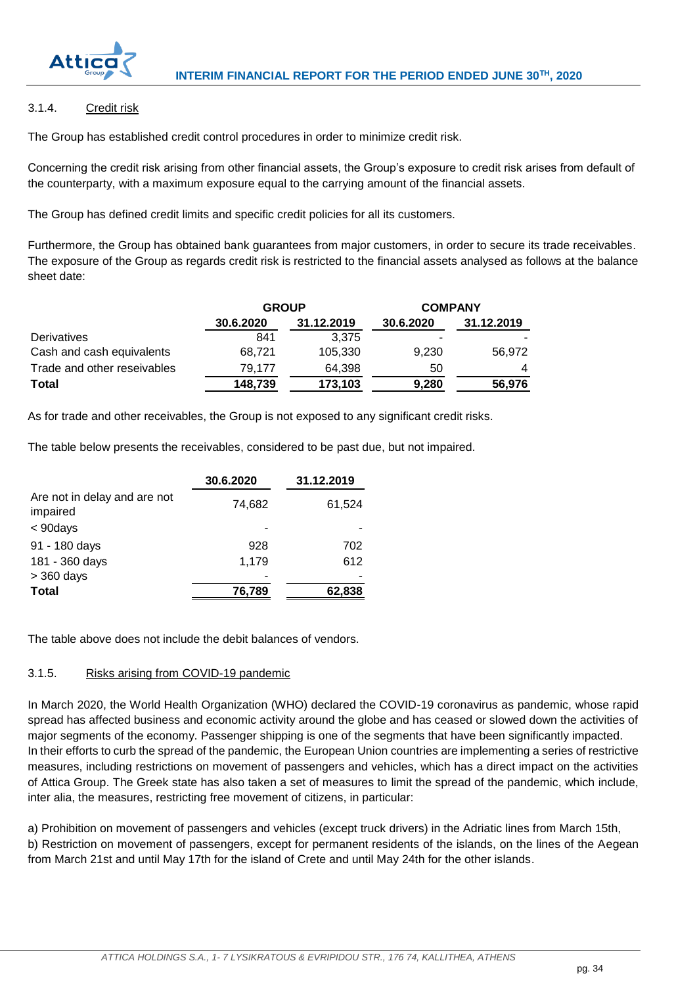

## <span id="page-34-0"></span>3.1.4. Credit risk

The Group has established credit control procedures in order to minimize credit risk.

Concerning the credit risk arising from other financial assets, the Group's exposure to credit risk arises from default of the counterparty, with a maximum exposure equal to the carrying amount of the financial assets.

The Group has defined credit limits and specific credit policies for all its customers.

Furthermore, the Group has obtained bank guarantees from major customers, in order to secure its trade receivables. The exposure of the Group as regards credit risk is restricted to the financial assets analysed as follows at the balance sheet date:

|                             | <b>GROUP</b> |            | <b>COMPANY</b> |            |  |
|-----------------------------|--------------|------------|----------------|------------|--|
|                             | 30.6.2020    | 31.12.2019 | 30.6.2020      | 31.12.2019 |  |
| <b>Derivatives</b>          | 841          | 3.375      |                |            |  |
| Cash and cash equivalents   | 68.721       | 105.330    | 9,230          | 56.972     |  |
| Trade and other reseivables | 79.177       | 64.398     | 50             | 4          |  |
| Total                       | 148,739      | 173,103    | 9,280          | 56,976     |  |

As for trade and other receivables, the Group is not exposed to any significant credit risks.

The table below presents the receivables, considered to be past due, but not impaired.

|                                          | 30.6.2020 | 31.12.2019 |
|------------------------------------------|-----------|------------|
| Are not in delay and are not<br>impaired | 74,682    | 61,524     |
| $<$ 90days                               |           |            |
| 91 - 180 days                            | 928       | 702        |
| 181 - 360 days                           | 1,179     | 612        |
| $>$ 360 days                             |           |            |
| <b>Total</b>                             | 76,789    | 62,838     |

The table above does not include the debit balances of vendors.

## <span id="page-34-1"></span>3.1.5. Risks arising from COVID-19 pandemic

In March 2020, the World Health Organization (WHO) declared the COVID-19 coronavirus as pandemic, whose rapid spread has affected business and economic activity around the globe and has ceased or slowed down the activities of major segments of the economy. Passenger shipping is one of the segments that have been significantly impacted. In their efforts to curb the spread of the pandemic, the European Union countries are implementing a series of restrictive measures, including restrictions on movement of passengers and vehicles, which has a direct impact on the activities of Attica Group. The Greek state has also taken a set of measures to limit the spread of the pandemic, which include, inter alia, the measures, restricting free movement of citizens, in particular:

a) Prohibition on movement of passengers and vehicles (except truck drivers) in the Adriatic lines from March 15th, b) Restriction on movement of passengers, except for permanent residents of the islands, on the lines of the Aegean from March 21st and until May 17th for the island of Crete and until May 24th for the other islands.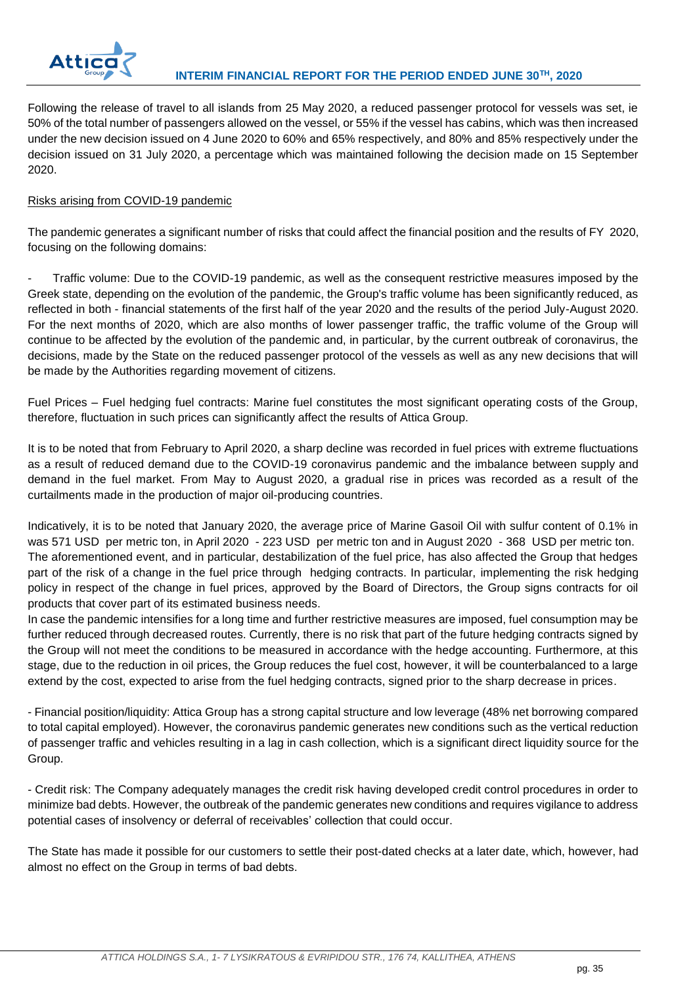

Following the release of travel to all islands from 25 May 2020, a reduced passenger protocol for vessels was set, ie 50% of the total number of passengers allowed on the vessel, or 55% if the vessel has cabins, which was then increased under the new decision issued on 4 June 2020 to 60% and 65% respectively, and 80% and 85% respectively under the decision issued on 31 July 2020, a percentage which was maintained following the decision made on 15 September 2020.

## Risks arising from COVID-19 pandemic

The pandemic generates a significant number of risks that could affect the financial position and the results of FY 2020, focusing on the following domains:

- Traffic volume: Due to the COVID-19 pandemic, as well as the consequent restrictive measures imposed by the Greek state, depending on the evolution of the pandemic, the Group's traffic volume has been significantly reduced, as reflected in both - financial statements of the first half of the year 2020 and the results of the period July-August 2020. For the next months of 2020, which are also months of lower passenger traffic, the traffic volume of the Group will continue to be affected by the evolution of the pandemic and, in particular, by the current outbreak of coronavirus, the decisions, made by the State on the reduced passenger protocol of the vessels as well as any new decisions that will be made by the Authorities regarding movement of citizens.

Fuel Prices – Fuel hedging fuel contracts: Marine fuel constitutes the most significant operating costs of the Group, therefore, fluctuation in such prices can significantly affect the results of Attica Group.

It is to be noted that from February to April 2020, a sharp decline was recorded in fuel prices with extreme fluctuations as a result of reduced demand due to the COVID-19 coronavirus pandemic and the imbalance between supply and demand in the fuel market. From May to August 2020, a gradual rise in prices was recorded as a result of the curtailments made in the production of major oil-producing countries.

Indicatively, it is to be noted that January 2020, the average price of Marine Gasoil Oil with sulfur content of 0.1% in was 571 USD per metric ton, in April 2020 - 223 USD per metric ton and in August 2020 - 368 USD per metric ton. The aforementioned event, and in particular, destabilization of the fuel price, has also affected the Group that hedges part of the risk of a change in the fuel price through hedging contracts. In particular, implementing the risk hedging policy in respect of the change in fuel prices, approved by the Board of Directors, the Group signs contracts for oil products that cover part of its estimated business needs.

In case the pandemic intensifies for a long time and further restrictive measures are imposed, fuel consumption may be further reduced through decreased routes. Currently, there is no risk that part of the future hedging contracts signed by the Group will not meet the conditions to be measured in accordance with the hedge accounting. Furthermore, at this stage, due to the reduction in oil prices, the Group reduces the fuel cost, however, it will be counterbalanced to a large extend by the cost, expected to arise from the fuel hedging contracts, signed prior to the sharp decrease in prices.

- Financial position/liquidity: Attica Group has a strong capital structure and low leverage (48% net borrowing compared to total capital employed). However, the coronavirus pandemic generates new conditions such as the vertical reduction of passenger traffic and vehicles resulting in a lag in cash collection, which is a significant direct liquidity source for the Group.

- Credit risk: The Company adequately manages the credit risk having developed credit control procedures in order to minimize bad debts. However, the outbreak of the pandemic generates new conditions and requires vigilance to address potential cases of insolvency or deferral of receivables' collection that could occur.

The State has made it possible for our customers to settle their post-dated checks at a later date, which, however, had almost no effect on the Group in terms of bad debts.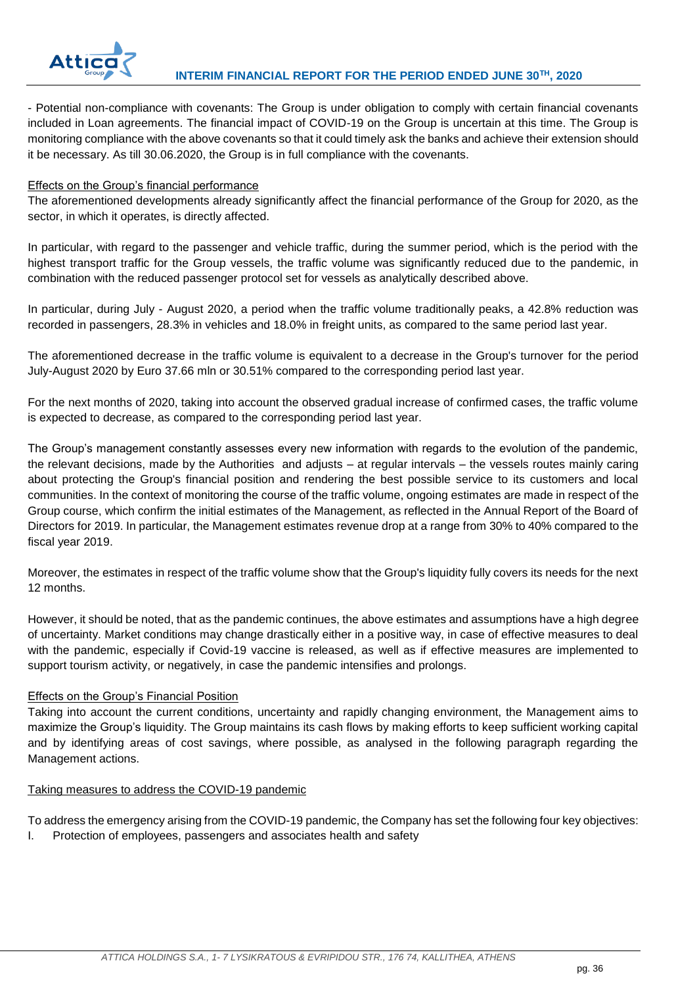

- Potential non-compliance with covenants: The Group is under obligation to comply with certain financial covenants included in Loan agreements. The financial impact of COVID-19 on the Group is uncertain at this time. The Group is monitoring compliance with the above covenants so that it could timely ask the banks and achieve their extension should it be necessary. As till 30.06.2020, the Group is in full compliance with the covenants.

## Effects on the Group's financial performance

The aforementioned developments already significantly affect the financial performance of the Group for 2020, as the sector, in which it operates, is directly affected.

In particular, with regard to the passenger and vehicle traffic, during the summer period, which is the period with the highest transport traffic for the Group vessels, the traffic volume was significantly reduced due to the pandemic, in combination with the reduced passenger protocol set for vessels as analytically described above.

In particular, during July - August 2020, a period when the traffic volume traditionally peaks, a 42.8% reduction was recorded in passengers, 28.3% in vehicles and 18.0% in freight units, as compared to the same period last year.

The aforementioned decrease in the traffic volume is equivalent to a decrease in the Group's turnover for the period July-August 2020 by Euro 37.66 mln or 30.51% compared to the corresponding period last year.

For the next months of 2020, taking into account the observed gradual increase of confirmed cases, the traffic volume is expected to decrease, as compared to the corresponding period last year.

The Group's management constantly assesses every new information with regards to the evolution of the pandemic, the relevant decisions, made by the Authorities and adjusts – at regular intervals – the vessels routes mainly caring about protecting the Group's financial position and rendering the best possible service to its customers and local communities. In the context of monitoring the course of the traffic volume, ongoing estimates are made in respect of the Group course, which confirm the initial estimates of the Management, as reflected in the Annual Report of the Board of Directors for 2019. In particular, the Management estimates revenue drop at a range from 30% to 40% compared to the fiscal year 2019.

Moreover, the estimates in respect of the traffic volume show that the Group's liquidity fully covers its needs for the next 12 months.

However, it should be noted, that as the pandemic continues, the above estimates and assumptions have a high degree of uncertainty. Market conditions may change drastically either in a positive way, in case of effective measures to deal with the pandemic, especially if Covid-19 vaccine is released, as well as if effective measures are implemented to support tourism activity, or negatively, in case the pandemic intensifies and prolongs.

## Effects on the Group's Financial Position

Taking into account the current conditions, uncertainty and rapidly changing environment, the Management aims to maximize the Group's liquidity. The Group maintains its cash flows by making efforts to keep sufficient working capital and by identifying areas of cost savings, where possible, as analysed in the following paragraph regarding the Management actions.

#### Taking measures to address the COVID-19 pandemic

To address the emergency arising from the COVID-19 pandemic, the Company has set the following four key objectives:

I. Protection of employees, passengers and associates health and safety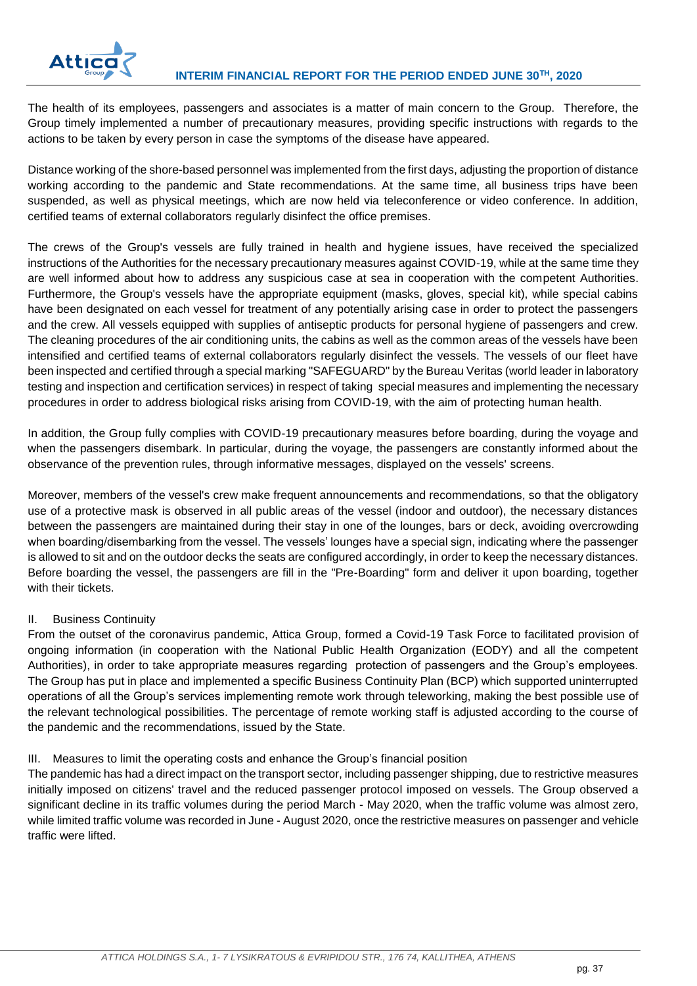The health of its employees, passengers and associates is a matter of main concern to the Group. Therefore, the Group timely implemented a number of precautionary measures, providing specific instructions with regards to the actions to be taken by every person in case the symptoms of the disease have appeared.

Distance working of the shore-based personnel was implemented from the first days, adjusting the proportion of distance working according to the pandemic and State recommendations. At the same time, all business trips have been suspended, as well as physical meetings, which are now held via teleconference or video conference. In addition, certified teams of external collaborators regularly disinfect the office premises.

The crews of the Group's vessels are fully trained in health and hygiene issues, have received the specialized instructions of the Authorities for the necessary precautionary measures against COVID-19, while at the same time they are well informed about how to address any suspicious case at sea in cooperation with the competent Authorities. Furthermore, the Group's vessels have the appropriate equipment (masks, gloves, special kit), while special cabins have been designated on each vessel for treatment of any potentially arising case in order to protect the passengers and the crew. All vessels equipped with supplies of antiseptic products for personal hygiene of passengers and crew. The cleaning procedures of the air conditioning units, the cabins as well as the common areas of the vessels have been intensified and certified teams of external collaborators regularly disinfect the vessels. The vessels of our fleet have been inspected and certified through a special marking "SAFEGUARD" by the Bureau Veritas (world leader in laboratory testing and inspection and certification services) in respect of taking special measures and implementing the necessary procedures in order to address biological risks arising from COVID-19, with the aim of protecting human health.

In addition, the Group fully complies with COVID-19 precautionary measures before boarding, during the voyage and when the passengers disembark. In particular, during the voyage, the passengers are constantly informed about the observance of the prevention rules, through informative messages, displayed on the vessels' screens.

Moreover, members of the vessel's crew make frequent announcements and recommendations, so that the obligatory use of a protective mask is observed in all public areas of the vessel (indoor and outdoor), the necessary distances between the passengers are maintained during their stay in one of the lounges, bars or deck, avoiding overcrowding when boarding/disembarking from the vessel. The vessels' lounges have a special sign, indicating where the passenger is allowed to sit and on the outdoor decks the seats are configured accordingly, in order to keep the necessary distances. Before boarding the vessel, the passengers are fill in the "Pre-Boarding" form and deliver it upon boarding, together with their tickets.

## II. Business Continuity

From the outset of the coronavirus pandemic, Attica Group, formed a Covid-19 Task Force to facilitated provision of ongoing information (in cooperation with the National Public Health Organization (EODY) and all the competent Authorities), in order to take appropriate measures regarding protection of passengers and the Group's employees. The Group has put in place and implemented a specific Business Continuity Plan (BCP) which supported uninterrupted operations of all the Group's services implementing remote work through teleworking, making the best possible use of the relevant technological possibilities. The percentage of remote working staff is adjusted according to the course of the pandemic and the recommendations, issued by the State.

## III. Measures to limit the operating costs and enhance the Group's financial position

The pandemic has had a direct impact on the transport sector, including passenger shipping, due to restrictive measures initially imposed on citizens' travel and the reduced passenger protocol imposed on vessels. The Group observed a significant decline in its traffic volumes during the period March - May 2020, when the traffic volume was almost zero, while limited traffic volume was recorded in June - August 2020, once the restrictive measures on passenger and vehicle traffic were lifted.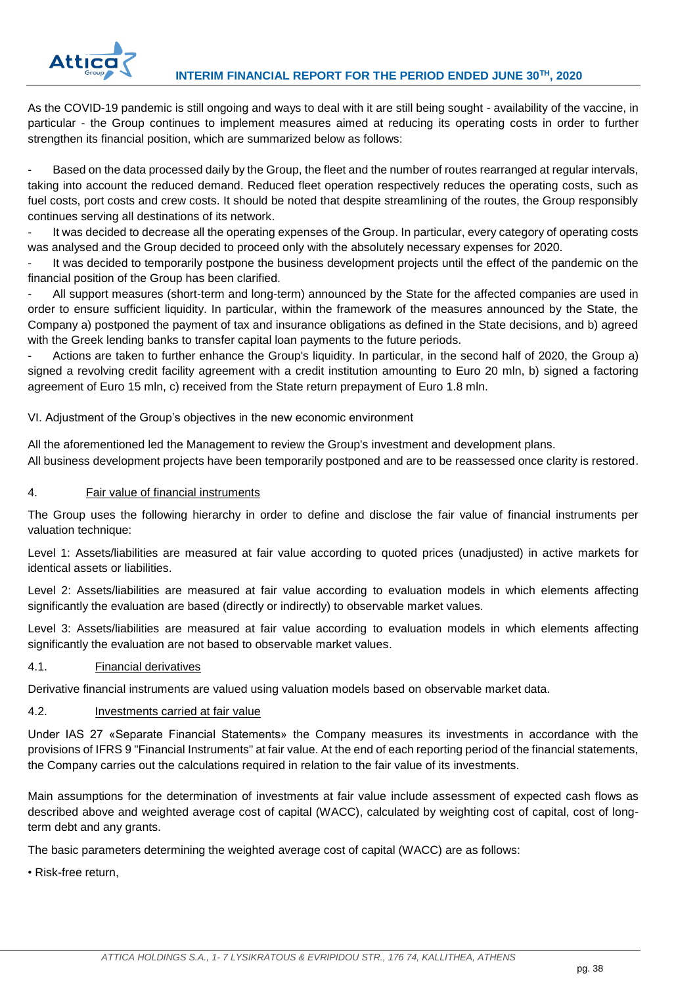

As the COVID-19 pandemic is still ongoing and ways to deal with it are still being sought - availability of the vaccine, in particular - the Group continues to implement measures aimed at reducing its operating costs in order to further strengthen its financial position, which are summarized below as follows:

Based on the data processed daily by the Group, the fleet and the number of routes rearranged at regular intervals, taking into account the reduced demand. Reduced fleet operation respectively reduces the operating costs, such as fuel costs, port costs and crew costs. It should be noted that despite streamlining of the routes, the Group responsibly continues serving all destinations of its network.

It was decided to decrease all the operating expenses of the Group. In particular, every category of operating costs was analysed and the Group decided to proceed only with the absolutely necessary expenses for 2020.

It was decided to temporarily postpone the business development projects until the effect of the pandemic on the financial position of the Group has been clarified.

All support measures (short-term and long-term) announced by the State for the affected companies are used in order to ensure sufficient liquidity. In particular, within the framework of the measures announced by the State, the Company a) postponed the payment of tax and insurance obligations as defined in the State decisions, and b) agreed with the Greek lending banks to transfer capital loan payments to the future periods.

- Actions are taken to further enhance the Group's liquidity. In particular, in the second half of 2020, the Group a) signed a revolving credit facility agreement with a credit institution amounting to Euro 20 mln, b) signed a factoring agreement of Euro 15 mln, c) received from the State return prepayment of Euro 1.8 mln.

VI. Adjustment of the Group's objectives in the new economic environment

All the aforementioned led the Management to review the Group's investment and development plans. All business development projects have been temporarily postponed and are to be reassessed once clarity is restored.

## <span id="page-38-0"></span>4. Fair value of financial instruments

The Group uses the following hierarchy in order to define and disclose the fair value of financial instruments per valuation technique:

Level 1: Assets/liabilities are measured at fair value according to quoted prices (unadjusted) in active markets for identical assets or liabilities.

Level 2: Assets/liabilities are measured at fair value according to evaluation models in which elements affecting significantly the evaluation are based (directly or indirectly) to observable market values.

Level 3: Assets/liabilities are measured at fair value according to evaluation models in which elements affecting significantly the evaluation are not based to observable market values.

## <span id="page-38-1"></span>4.1. Financial derivatives

Derivative financial instruments are valued using valuation models based on observable market data.

## <span id="page-38-2"></span>4.2. Investments carried at fair value

Under IAS 27 «Separate Financial Statements» the Company measures its investments in accordance with the provisions of IFRS 9 "Financial Instruments" at fair value. At the end of each reporting period of the financial statements, the Company carries out the calculations required in relation to the fair value of its investments.

Main assumptions for the determination of investments at fair value include assessment of expected cash flows as described above and weighted average cost of capital (WACC), calculated by weighting cost of capital, cost of longterm debt and any grants.

The basic parameters determining the weighted average cost of capital (WACC) are as follows:

• Risk-free return,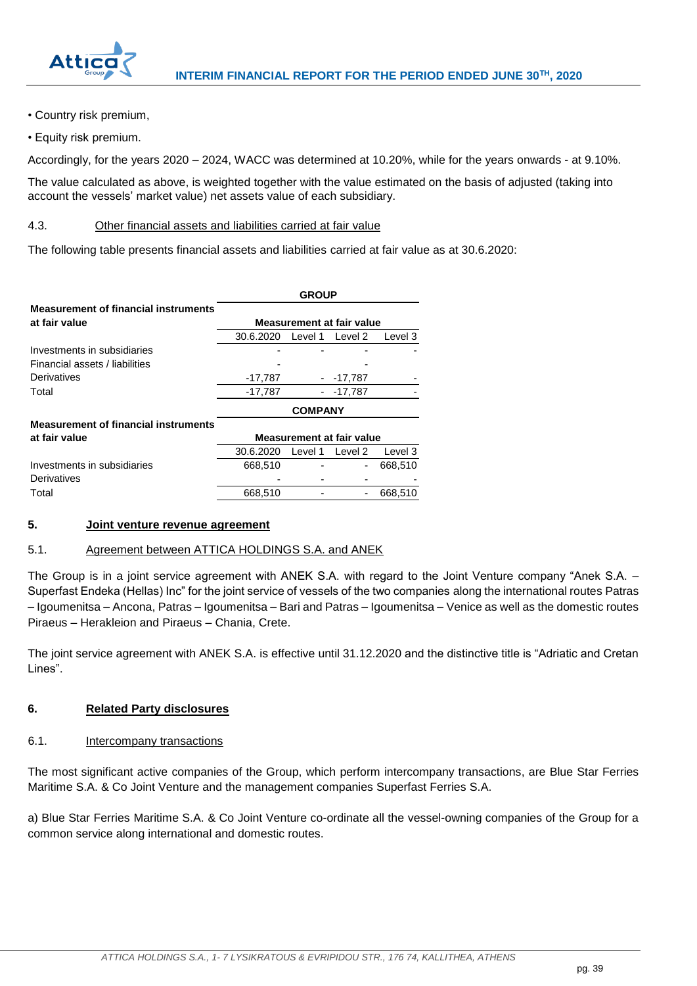

- Country risk premium,
- Equity risk premium.

Accordingly, for the years 2020 – 2024, WACC was determined at 10.20%, while for the years onwards - at 9.10%.

The value calculated as above, is weighted together with the value estimated on the basis of adjusted (taking into account the vessels' market value) net assets value of each subsidiary.

## <span id="page-39-0"></span>4.3. Other financial assets and liabilities carried at fair value

The following table presents financial assets and liabilities carried at fair value as at 30.6.2020:

|                                             | <b>GROUP</b> |                |                                  |         |  |
|---------------------------------------------|--------------|----------------|----------------------------------|---------|--|
| <b>Measurement of financial instruments</b> |              |                |                                  |         |  |
| at fair value                               |              |                | <b>Measurement at fair value</b> |         |  |
|                                             | 30.6.2020    | Level 1        | Level 2                          | Level 3 |  |
| Investments in subsidiaries                 |              |                |                                  |         |  |
| Financial assets / liabilities              |              |                |                                  |         |  |
| Derivatives                                 | $-17,787$    |                | $-17,787$                        |         |  |
| Total                                       | $-17,787$    |                | $-17.787$                        |         |  |
|                                             |              | <b>COMPANY</b> |                                  |         |  |
| <b>Measurement of financial instruments</b> |              |                |                                  |         |  |
| at fair value                               |              |                | <b>Measurement at fair value</b> |         |  |
|                                             | 30.6.2020    | Level 1        | Level 2                          | Level 3 |  |
| Investments in subsidiaries                 | 668.510      |                |                                  | 668,510 |  |
| Derivatives                                 |              |                |                                  |         |  |
| Total                                       | 668,510      |                |                                  | 668,510 |  |

## <span id="page-39-1"></span>**5. Joint venture revenue agreement**

#### <span id="page-39-2"></span>5.1. Agreement between ATTICA HOLDINGS S.A. and ANEK

The Group is in a joint service agreement with ANEK S.A. with regard to the Joint Venture company "Anek S.A. – Superfast Endeka (Hellas) Inc" for the joint service of vessels of the two companies along the international routes Patras – Igoumenitsa – Ancona, Patras – Igoumenitsa – Bari and Patras – Igoumenitsa – Venice as well as the domestic routes Piraeus – Herakleion and Piraeus – Chania, Crete.

The joint service agreement with ANEK S.A. is effective until 31.12.2020 and the distinctive title is "Adriatic and Cretan Lines".

## <span id="page-39-3"></span>**6. Related Party disclosures**

#### <span id="page-39-4"></span>6.1. Intercompany transactions

The most significant active companies of the Group, which perform intercompany transactions, are Blue Star Ferries Maritime S.A. & Co Joint Venture and the management companies Superfast Ferries S.A.

a) Blue Star Ferries Maritime S.A. & Co Joint Venture co-ordinate all the vessel-owning companies of the Group for a common service along international and domestic routes.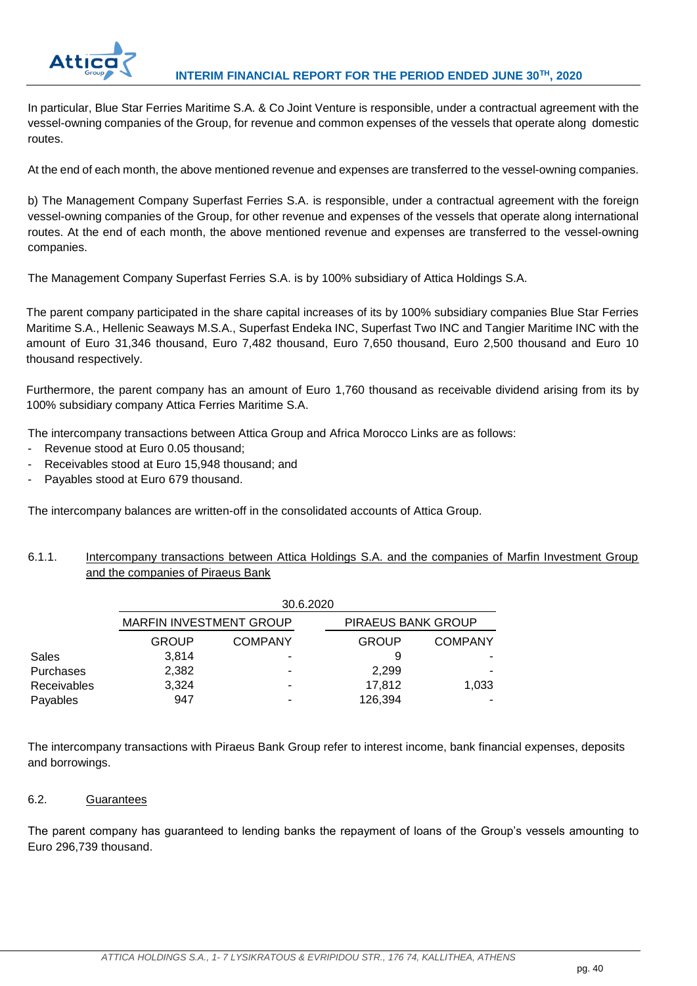

In particular, Blue Star Ferries Maritime S.A. & Co Joint Venture is responsible, under a contractual agreement with the vessel-owning companies of the Group, for revenue and common expenses of the vessels that operate along domestic routes.

At the end of each month, the above mentioned revenue and expenses are transferred to the vessel-owning companies.

b) The Management Company Superfast Ferries S.A. is responsible, under a contractual agreement with the foreign vessel-owning companies of the Group, for other revenue and expenses of the vessels that operate along international routes. At the end of each month, the above mentioned revenue and expenses are transferred to the vessel-owning companies.

The Management Company Superfast Ferries S.A. is by 100% subsidiary of Attica Holdings S.A.

The parent company participated in the share capital increases of its by 100% subsidiary companies Blue Star Ferries Maritime S.A., Hellenic Seaways M.S.A., Superfast Endeka INC, Superfast Two INC and Tangier Maritime INC with the amount of Euro 31,346 thousand, Euro 7,482 thousand, Euro 7,650 thousand, Euro 2,500 thousand and Euro 10 thousand respectively.

Furthermore, the parent company has an amount of Euro 1,760 thousand as receivable dividend arising from its by 100% subsidiary company Attica Ferries Maritime S.A.

The intercompany transactions between Attica Group and Africa Morocco Links are as follows:

- Revenue stood at Euro 0.05 thousand;
- Receivables stood at Euro 15,948 thousand; and
- Payables stood at Euro 679 thousand.

The intercompany balances are written-off in the consolidated accounts of Attica Group.

<span id="page-40-0"></span>6.1.1. Intercompany transactions between Attica Holdings S.A. and the companies of Marfin Investment Group and the companies of Piraeus Bank

|             | 30.6.2020                      |                |                           |                |  |  |
|-------------|--------------------------------|----------------|---------------------------|----------------|--|--|
|             | <b>MARFIN INVESTMENT GROUP</b> |                | <b>PIRAEUS BANK GROUP</b> |                |  |  |
|             | <b>GROUP</b>                   | <b>COMPANY</b> | <b>GROUP</b>              | <b>COMPANY</b> |  |  |
| Sales       | 3,814                          | -              | 9                         |                |  |  |
| Purchases   | 2,382                          | ۰              | 2.299                     |                |  |  |
| Receivables | 3,324                          | ۰              | 17.812                    | 1,033          |  |  |
| Payables    | 947                            | ۰              | 126,394                   |                |  |  |

The intercompany transactions with Piraeus Bank Group refer to interest income, bank financial expenses, deposits and borrowings.

## <span id="page-40-1"></span>6.2. Guarantees

The parent company has guaranteed to lending banks the repayment of loans of the Group's vessels amounting to Euro 296,739 thousand.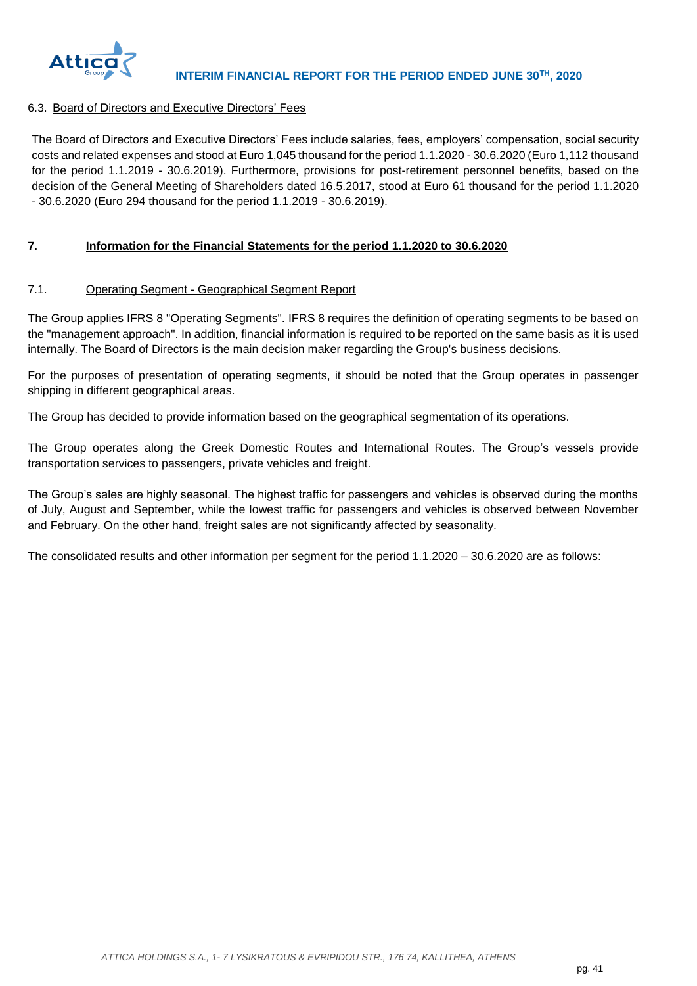

## <span id="page-41-0"></span>6.3. Board of Directors and Executive Directors' Fees

The Board of Directors and Executive Directors' Fees include salaries, fees, employers' compensation, social security costs and related expenses and stood at Euro 1,045 thousand for the period 1.1.2020 - 30.6.2020 (Euro 1,112 thousand for the period 1.1.2019 - 30.6.2019). Furthermore, provisions for post-retirement personnel benefits, based on the decision of the General Meeting of Shareholders dated 16.5.2017, stood at Euro 61 thousand for the period 1.1.2020 - 30.6.2020 (Euro 294 thousand for the period 1.1.2019 - 30.6.2019).

## <span id="page-41-1"></span>**7. Information for the Financial Statements for the period 1.1.2020 to 30.6.2020**

## <span id="page-41-2"></span>7.1. Operating Segment - Geographical Segment Report

The Group applies IFRS 8 "Operating Segments". IFRS 8 requires the definition of operating segments to be based on the "management approach". In addition, financial information is required to be reported on the same basis as it is used internally. The Board of Directors is the main decision maker regarding the Group's business decisions.

For the purposes of presentation of operating segments, it should be noted that the Group operates in passenger shipping in different geographical areas.

The Group has decided to provide information based on the geographical segmentation of its operations.

The Group operates along the Greek Domestic Routes and International Routes. The Group's vessels provide transportation services to passengers, private vehicles and freight.

The Group's sales are highly seasonal. The highest traffic for passengers and vehicles is observed during the months of July, August and September, while the lowest traffic for passengers and vehicles is observed between November and February. On the other hand, freight sales are not significantly affected by seasonality.

The consolidated results and other information per segment for the period 1.1.2020 – 30.6.2020 are as follows: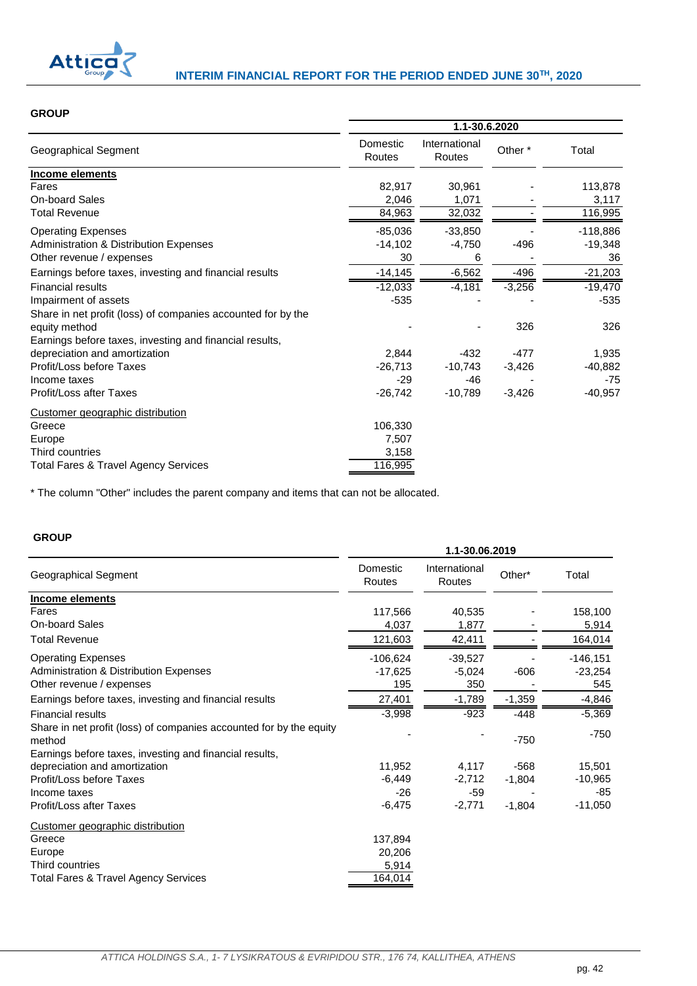

## **GROUP**

|                                                              | 1.1-30.6.2020      |                         |          |            |
|--------------------------------------------------------------|--------------------|-------------------------|----------|------------|
| Geographical Segment                                         | Domestic<br>Routes | International<br>Routes | Other *  | Total      |
| Income elements                                              |                    |                         |          |            |
| Fares                                                        | 82,917             | 30,961                  |          | 113,878    |
| <b>On-board Sales</b>                                        | 2,046              | 1,071                   |          | 3,117      |
| <b>Total Revenue</b>                                         | 84,963             | 32,032                  |          | 116,995    |
| <b>Operating Expenses</b>                                    | $-85,036$          | $-33,850$               |          | $-118,886$ |
| Administration & Distribution Expenses                       | $-14,102$          | -4,750                  | $-496$   | $-19,348$  |
| Other revenue / expenses                                     | 30                 | 6                       |          | 36         |
| Earnings before taxes, investing and financial results       | $-14,145$          | $-6,562$                | -496     | $-21,203$  |
| <b>Financial results</b>                                     | $-12,033$          | $-4,181$                | $-3,256$ | $-19,470$  |
| Impairment of assets                                         | $-535$             |                         |          | $-535$     |
| Share in net profit (loss) of companies accounted for by the |                    |                         |          |            |
| equity method                                                |                    |                         | 326      | 326        |
| Earnings before taxes, investing and financial results,      |                    |                         |          |            |
| depreciation and amortization                                | 2,844              | $-432$                  | $-477$   | 1,935      |
| Profit/Loss before Taxes                                     | $-26,713$          | $-10,743$               | $-3,426$ | $-40,882$  |
| Income taxes                                                 | $-29$              | $-46$                   |          | $-75$      |
| Profit/Loss after Taxes                                      | $-26,742$          | $-10,789$               | $-3,426$ | $-40,957$  |
| Customer geographic distribution                             |                    |                         |          |            |
| Greece                                                       | 106,330            |                         |          |            |
| Europe                                                       | 7,507              |                         |          |            |
| Third countries                                              | 3,158              |                         |          |            |
| <b>Total Fares &amp; Travel Agency Services</b>              | 116,995            |                         |          |            |

\* The column "Other" includes the parent company and items that can not be allocated.

## **GROUP**

|                                                                               | 1.1-30.06.2019     |                         |          |            |  |
|-------------------------------------------------------------------------------|--------------------|-------------------------|----------|------------|--|
| Geographical Segment                                                          | Domestic<br>Routes | International<br>Routes | Other*   | Total      |  |
| Income elements                                                               |                    |                         |          |            |  |
| Fares                                                                         | 117,566            | 40,535                  |          | 158,100    |  |
| <b>On-board Sales</b>                                                         | 4,037              | 1,877                   |          | 5,914      |  |
| <b>Total Revenue</b>                                                          | 121,603            | 42,411                  |          | 164,014    |  |
| <b>Operating Expenses</b>                                                     | $-106,624$         | $-39,527$               |          | $-146,151$ |  |
| Administration & Distribution Expenses                                        | $-17,625$          | $-5,024$                | $-606$   | $-23,254$  |  |
| Other revenue / expenses                                                      | 195                | 350                     |          | 545        |  |
| Earnings before taxes, investing and financial results                        | 27,401             | $-1,789$                | $-1,359$ | $-4,846$   |  |
| <b>Financial results</b>                                                      | $-3,998$           | $-923$                  | $-448$   | $-5,369$   |  |
| Share in net profit (loss) of companies accounted for by the equity<br>method |                    |                         | $-750$   | $-750$     |  |
| Earnings before taxes, investing and financial results,                       |                    |                         |          |            |  |
| depreciation and amortization                                                 | 11,952             | 4,117                   | $-568$   | 15,501     |  |
| Profit/Loss before Taxes                                                      | $-6,449$           | $-2,712$                | $-1,804$ | $-10,965$  |  |
| Income taxes                                                                  | $-26$              | $-59$                   |          | $-85$      |  |
| Profit/Loss after Taxes                                                       | $-6,475$           | $-2,771$                | $-1,804$ | $-11,050$  |  |
| Customer geographic distribution                                              |                    |                         |          |            |  |
| Greece                                                                        | 137,894            |                         |          |            |  |
| Europe                                                                        | 20,206             |                         |          |            |  |
| Third countries                                                               | 5,914              |                         |          |            |  |
| <b>Total Fares &amp; Travel Agency Services</b>                               | 164,014            |                         |          |            |  |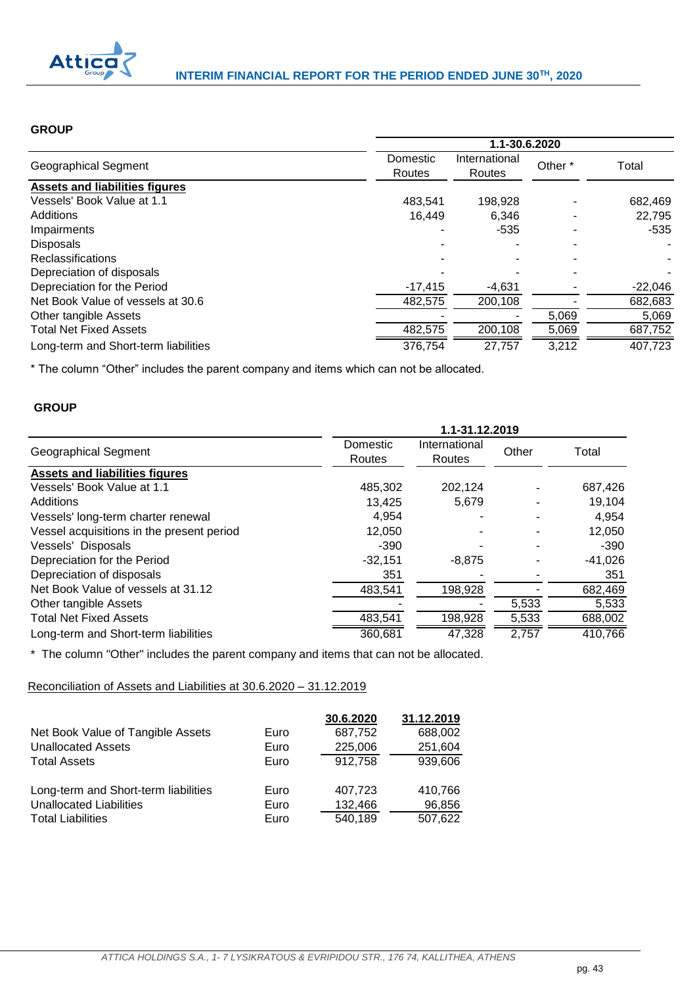

## **GROUP**

|                                       | 1.1-30.6.2020      |                         |         |           |  |
|---------------------------------------|--------------------|-------------------------|---------|-----------|--|
| Geographical Segment                  | Domestic<br>Routes | International<br>Routes | Other * | Total     |  |
| <b>Assets and liabilities figures</b> |                    |                         |         |           |  |
| Vessels' Book Value at 1.1            | 483.541            | 198.928                 |         | 682,469   |  |
| Additions                             | 16.449             | 6,346                   |         | 22.795    |  |
| Impairments                           |                    | $-535$                  |         | $-535$    |  |
| <b>Disposals</b>                      |                    |                         |         |           |  |
| <b>Reclassifications</b>              |                    |                         |         |           |  |
| Depreciation of disposals             |                    |                         |         |           |  |
| Depreciation for the Period           | $-17,415$          | $-4.631$                |         | $-22,046$ |  |
| Net Book Value of vessels at 30.6     | 482,575            | 200.108                 |         | 682,683   |  |
| Other tangible Assets                 |                    |                         | 5,069   | 5,069     |  |
| <b>Total Net Fixed Assets</b>         | 482,575            | 200,108                 | 5,069   | 687,752   |  |
| Long-term and Short-term liabilities  | 376,754            | 27,757                  | 3,212   | 407,723   |  |

\* The column "Other" includes the parent company and items which can not be allocated.

## **GROUP**

|                                           | 1.1-31.12.2019     |                                |       |           |  |  |
|-------------------------------------------|--------------------|--------------------------------|-------|-----------|--|--|
| <b>Geographical Segment</b>               | Domestic<br>Routes | International<br><b>Routes</b> | Other | Total     |  |  |
| <b>Assets and liabilities figures</b>     |                    |                                |       |           |  |  |
| Vessels' Book Value at 1.1                | 485,302            | 202,124                        |       | 687,426   |  |  |
| Additions                                 | 13,425             | 5,679                          |       | 19,104    |  |  |
| Vessels' long-term charter renewal        | 4.954              |                                |       | 4,954     |  |  |
| Vessel acquisitions in the present period | 12,050             |                                |       | 12,050    |  |  |
| Vessels' Disposals                        | $-390$             |                                |       | $-390$    |  |  |
| Depreciation for the Period               | $-32,151$          | $-8,875$                       |       | $-41,026$ |  |  |
| Depreciation of disposals                 | 351                |                                |       | 351       |  |  |
| Net Book Value of vessels at 31.12        | 483.541            | 198,928                        |       | 682,469   |  |  |
| Other tangible Assets                     |                    |                                | 5,533 | 5,533     |  |  |
| <b>Total Net Fixed Assets</b>             | 483,541            | 198,928                        | 5,533 | 688,002   |  |  |
| Long-term and Short-term liabilities      | 360,681            | 47,328                         | 2,757 | 410,766   |  |  |

\* The column "Other" includes the parent company and items that can not be allocated.

Reconciliation of Assets and Liabilities at 30.6.2020 – 31.12.2019

|                                      |      | 30.6.2020 | 31.12.2019 |
|--------------------------------------|------|-----------|------------|
| Net Book Value of Tangible Assets    | Euro | 687,752   | 688,002    |
| <b>Unallocated Assets</b>            | Euro | 225,006   | 251,604    |
| <b>Total Assets</b>                  | Euro | 912,758   | 939,606    |
| Long-term and Short-term liabilities | Euro | 407,723   | 410,766    |
| <b>Unallocated Liabilities</b>       | Euro | 132,466   | 96,856     |
| <b>Total Liabilities</b>             | Euro | 540,189   | 507,622    |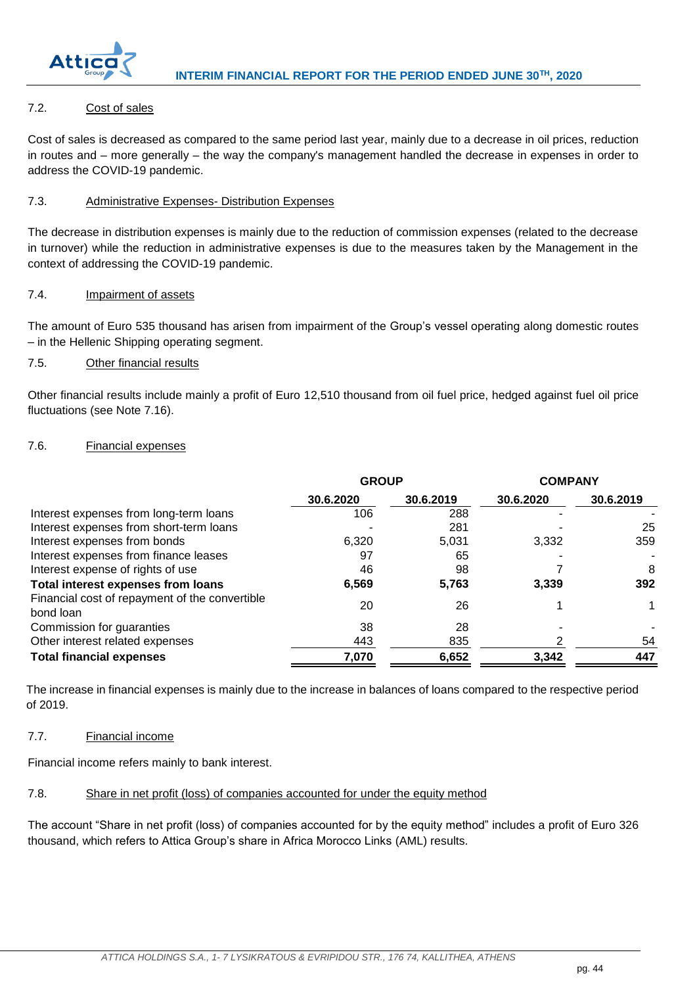

## <span id="page-44-0"></span>7.2. Cost of sales

Cost of sales is decreased as compared to the same period last year, mainly due to a decrease in oil prices, reduction in routes and – more generally – the way the company's management handled the decrease in expenses in order to address the COVID-19 pandemic.

## <span id="page-44-1"></span>7.3. Administrative Expenses- Distribution Expenses

The decrease in distribution expenses is mainly due to the reduction of commission expenses (related to the decrease in turnover) while the reduction in administrative expenses is due to the measures taken by the Management in the context of addressing the COVID-19 pandemic.

## <span id="page-44-2"></span>7.4. Impairment of assets

The amount of Euro 535 thousand has arisen from impairment of the Group's vessel operating along domestic routes – in the Hellenic Shipping operating segment.

## <span id="page-44-3"></span>7.5. Other financial results

Other financial results include mainly a profit of Euro 12,510 thousand from oil fuel price, hedged against fuel oil price fluctuations (see Note 7.16).

## <span id="page-44-4"></span>7.6. Financial expenses

|                                                             | <b>GROUP</b> |           | <b>COMPANY</b> |           |  |
|-------------------------------------------------------------|--------------|-----------|----------------|-----------|--|
|                                                             | 30.6.2020    | 30.6.2019 | 30.6.2020      | 30.6.2019 |  |
| Interest expenses from long-term loans                      | 106          | 288       |                |           |  |
| Interest expenses from short-term loans                     |              | 281       |                | 25        |  |
| Interest expenses from bonds                                | 6.320        | 5,031     | 3.332          | 359       |  |
| Interest expenses from finance leases                       | 97           | 65        |                |           |  |
| Interest expense of rights of use                           | 46           | 98        |                | 8         |  |
| Total interest expenses from loans                          | 6,569        | 5,763     | 3.339          | 392       |  |
| Financial cost of repayment of the convertible<br>bond loan | 20           | 26        |                |           |  |
| Commission for guaranties                                   | 38           | 28        |                |           |  |
| Other interest related expenses                             | 443          | 835       |                | 54        |  |
| <b>Total financial expenses</b>                             | 7,070        | 6,652     | 3,342          | 447       |  |

The increase in financial expenses is mainly due to the increase in balances of loans compared to the respective period of 2019.

## <span id="page-44-5"></span>7.7. Financial income

Financial income refers mainly to bank interest.

## <span id="page-44-6"></span>7.8. Share in net profit (loss) of companies accounted for under the equity method

The account "Share in net profit (loss) of companies accounted for by the equity method" includes a profit of Euro 326 thousand, which refers to Attica Group's share in Africa Morocco Links (AML) results.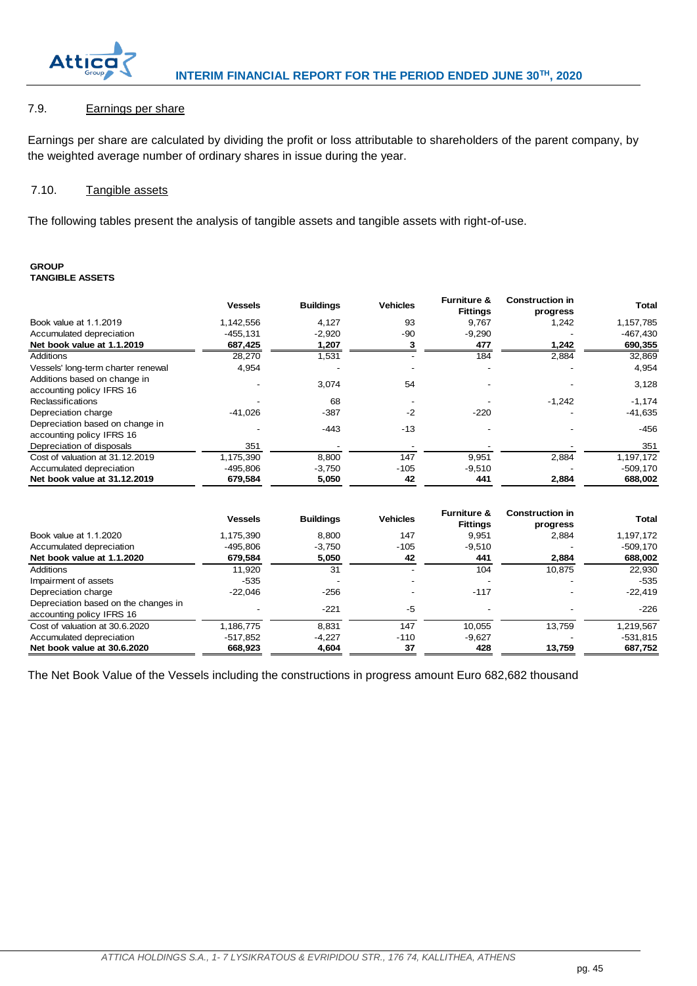

## <span id="page-45-0"></span>7.9. Earnings per share

Earnings per share are calculated by dividing the profit or loss attributable to shareholders of the parent company, by the weighted average number of ordinary shares in issue during the year.

#### <span id="page-45-1"></span>7.10. Tangible assets

The following tables present the analysis of tangible assets and tangible assets with right-of-use.

#### **GROUP TANGIBLE ASSETS**

| TANGIBLE ASSETS                                              |                |                  |                 |                                           |                                    |            |
|--------------------------------------------------------------|----------------|------------------|-----------------|-------------------------------------------|------------------------------------|------------|
|                                                              | <b>Vessels</b> | <b>Buildings</b> | <b>Vehicles</b> | <b>Furniture &amp;</b><br><b>Fittings</b> | <b>Construction in</b><br>progress | Total      |
| Book value at 1.1.2019                                       | 1,142,556      | 4,127            | 93              | 9,767                                     | 1,242                              | 1,157,785  |
| Accumulated depreciation                                     | $-455, 131$    | $-2,920$         | -90             | $-9,290$                                  |                                    | $-467,430$ |
| Net book value at 1.1.2019                                   | 687,425        | 1,207            |                 | 477                                       | 1,242                              | 690,355    |
| Additions                                                    | 28,270         | 1,531            |                 | 184                                       | 2,884                              | 32,869     |
| Vessels' long-term charter renewal                           | 4,954          |                  |                 |                                           |                                    | 4,954      |
| Additions based on change in<br>accounting policy IFRS 16    |                | 3,074            | 54              |                                           |                                    | 3,128      |
| <b>Reclassifications</b>                                     |                | 68               |                 |                                           | $-1,242$                           | $-1,174$   |
| Depreciation charge                                          | -41,026        | $-387$           | $-2$            | $-220$                                    |                                    | $-41,635$  |
| Depreciation based on change in<br>accounting policy IFRS 16 |                | $-443$           | $-13$           |                                           |                                    | $-456$     |
| Depreciation of disposals                                    | 351            |                  |                 |                                           |                                    | 351        |
| Cost of valuation at 31.12.2019                              | 1,175,390      | 8,800            | 147             | 9,951                                     | 2,884                              | 1,197,172  |
| Accumulated depreciation                                     | $-495,806$     | $-3,750$         | $-105$          | $-9,510$                                  |                                    | $-509,170$ |
| Net book value at 31.12.2019                                 | 679,584        | 5,050            | 42              | 441                                       | 2,884                              | 688,002    |

| Net book value at 31.12.2019                                      | 679,584        | 5,050            | 42              | 441                                       | 2,884                              | 688,002      |
|-------------------------------------------------------------------|----------------|------------------|-----------------|-------------------------------------------|------------------------------------|--------------|
|                                                                   | <b>Vessels</b> | <b>Buildings</b> | <b>Vehicles</b> | <b>Furniture &amp;</b><br><b>Fittings</b> | <b>Construction in</b><br>progress | <b>Total</b> |
| Book value at 1.1.2020                                            | 1,175,390      | 8,800            | 147             | 9,951                                     | 2,884                              | 1,197,172    |
| Accumulated depreciation                                          | $-495.806$     | $-3.750$         | $-105$          | $-9,510$                                  |                                    | $-509,170$   |
| Net book value at 1.1.2020                                        | 679,584        | 5,050            | 42              | 441                                       | 2,884                              | 688,002      |
| Additions                                                         | 11.920         | 31               |                 | 104                                       | 10.875                             | 22,930       |
| Impairment of assets                                              | $-535$         |                  |                 |                                           | $\overline{\phantom{a}}$           | $-535$       |
| Depreciation charge                                               | $-22,046$      | $-256$           |                 | $-117$                                    |                                    | $-22,419$    |
| Depreciation based on the changes in<br>accounting policy IFRS 16 |                | $-221$           | $-5$            |                                           |                                    | $-226$       |
| Cost of valuation at 30.6.2020                                    | 1,186,775      | 8,831            | 147             | 10,055                                    | 13,759                             | 1,219,567    |
| Accumulated depreciation                                          | $-517,852$     | $-4,227$         | $-110$          | $-9,627$                                  |                                    | $-531,815$   |
| Net book value at 30.6.2020                                       | 668,923        | 4,604            | 37              | 428                                       | 13,759                             | 687,752      |

The Net Book Value of the Vessels including the constructions in progress amount Euro 682,682 thousand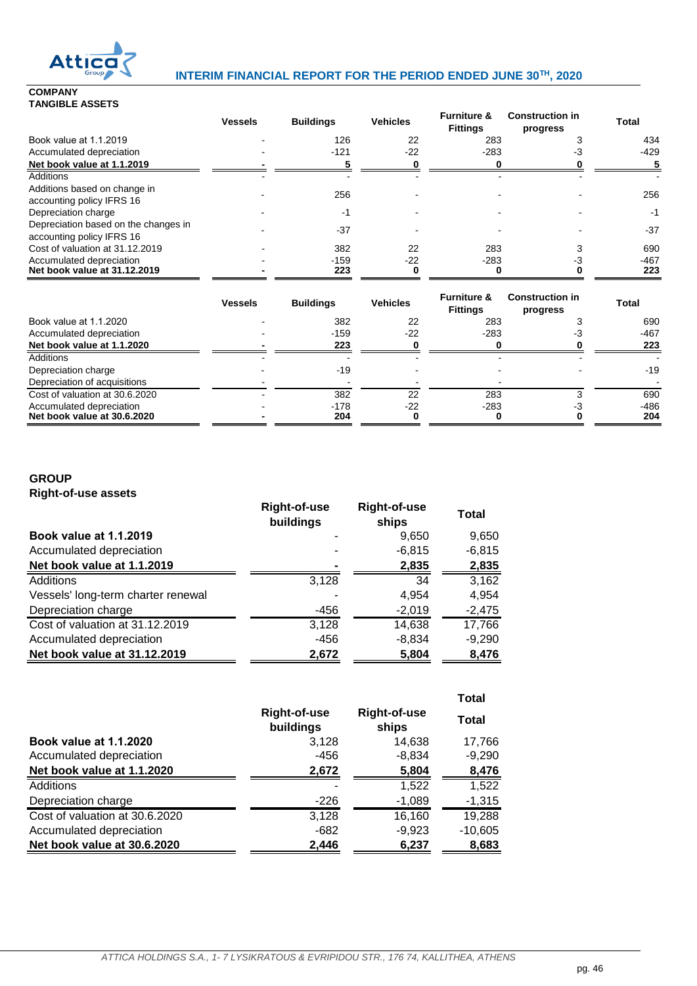

## **Attical Minterlim FINANCIAL REPORT FOR THE PERIOD ENDED JUNE 30<sup>TH</sup>, 2020**

**COMPANY TANGIBLE ASSETS**

|                                                                   | <b>Vessels</b> | <b>Buildings</b> | <b>Vehicles</b> | <b>Furniture &amp;</b><br><b>Fittings</b> | <b>Construction in</b><br>progress | <b>Total</b> |
|-------------------------------------------------------------------|----------------|------------------|-----------------|-------------------------------------------|------------------------------------|--------------|
| Book value at 1.1.2019                                            |                | 126              | 22              | 283                                       |                                    | 434          |
| Accumulated depreciation                                          |                | $-121$           | $-22$           | $-283$                                    | - 1                                | -429         |
| Net book value at 1.1.2019                                        |                |                  |                 |                                           |                                    |              |
| <b>Additions</b>                                                  |                |                  |                 |                                           |                                    |              |
| Additions based on change in<br>accounting policy IFRS 16         |                | 256              |                 |                                           |                                    | 256          |
| Depreciation charge                                               |                | -1               |                 |                                           |                                    | -1           |
| Depreciation based on the changes in<br>accounting policy IFRS 16 |                | $-37$            |                 |                                           |                                    | $-37$        |
| Cost of valuation at 31.12.2019                                   |                | 382              | 22              | 283                                       |                                    | 690          |
| Accumulated depreciation<br>Net book value at 31.12.2019          |                | $-159$<br>223    | $-22$           | $-283$                                    |                                    | -467<br>223  |

|                                                         | <b>Vessels</b> | <b>Buildings</b> | <b>Vehicles</b> | <b>Furniture &amp;</b><br><b>Fittings</b> | <b>Construction in</b><br>progress | <b>Total</b>  |
|---------------------------------------------------------|----------------|------------------|-----------------|-------------------------------------------|------------------------------------|---------------|
| Book value at 1.1.2020                                  |                | 382              | 22              | 283                                       |                                    | 690           |
| Accumulated depreciation                                |                | $-159$           | $-22$           | $-283$                                    |                                    | -467          |
| Net book value at 1.1.2020                              |                | 223              |                 |                                           |                                    | 223           |
| <b>Additions</b>                                        |                |                  |                 |                                           |                                    |               |
| Depreciation charge                                     |                | $-19$            |                 |                                           |                                    | $-19$         |
| Depreciation of acquisitions                            |                |                  |                 |                                           |                                    |               |
| Cost of valuation at 30.6.2020                          |                | 382              | 22              | 283                                       |                                    | 690           |
| Accumulated depreciation<br>Net book value at 30.6.2020 |                | $-178$<br>204    | $-22$           | $-283$                                    |                                    | $-486$<br>204 |

## **GROUP Right-of-use assets**

|                                    | <b>Right-of-use</b><br>buildings | <b>Right-of-use</b><br>ships | Total    |
|------------------------------------|----------------------------------|------------------------------|----------|
| <b>Book value at 1.1.2019</b>      |                                  | 9,650                        | 9,650    |
| Accumulated depreciation           |                                  | $-6,815$                     | $-6,815$ |
| Net book value at 1.1.2019         |                                  | 2,835                        | 2,835    |
| Additions                          | 3,128                            | 34                           | 3,162    |
| Vessels' long-term charter renewal |                                  | 4,954                        | 4,954    |
| Depreciation charge                | -456                             | $-2,019$                     | $-2,475$ |
| Cost of valuation at 31.12.2019    | 3,128                            | 14,638                       | 17,766   |
| Accumulated depreciation           | -456                             | $-8,834$                     | $-9,290$ |
| Net book value at 31.12.2019       | 2,672                            | 5,804                        | 8,476    |

|                                |                                  |                              | <b>Total</b> |
|--------------------------------|----------------------------------|------------------------------|--------------|
|                                | <b>Right-of-use</b><br>buildings | <b>Right-of-use</b><br>ships | Total        |
| <b>Book value at 1.1.2020</b>  | 3,128                            | 14,638                       | 17,766       |
| Accumulated depreciation       | -456                             | $-8,834$                     | $-9,290$     |
| Net book value at 1.1.2020     | 2,672                            | 5,804                        | 8,476        |
| <b>Additions</b>               |                                  | 1,522                        | 1,522        |
| Depreciation charge            | $-226$                           | $-1,089$                     | $-1,315$     |
| Cost of valuation at 30.6.2020 | 3,128                            | 16,160                       | 19,288       |
| Accumulated depreciation       | $-682$                           | $-9,923$                     | $-10,605$    |
| Net book value at 30.6.2020    | 2,446                            | 6,237                        | 8,683        |
|                                |                                  |                              |              |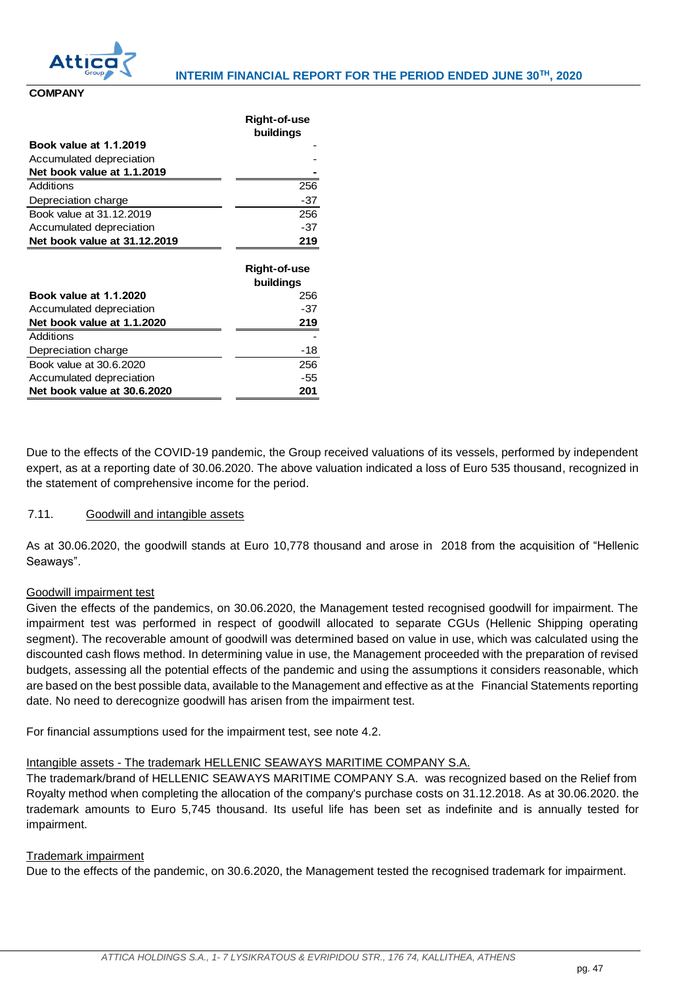

**Right-of-use** 

**COMPANY**

|                               | <b>Right-of-use</b> |
|-------------------------------|---------------------|
|                               | buildings           |
| Book value at 1.1.2019        |                     |
| Accumulated depreciation      |                     |
| Net book value at 1.1.2019    |                     |
| Additions                     | 256                 |
| Depreciation charge           | -37                 |
| Book value at 31.12.2019      | 256                 |
| Accumulated depreciation      | $-37$               |
| Net book value at 31.12.2019  | 219                 |
|                               |                     |
|                               |                     |
|                               | Right-of-use        |
|                               | buildings           |
| <b>Book value at 1.1.2020</b> | 256                 |
| Accumulated depreciation      | -37                 |
| Net book value at 1.1.2020    | 219                 |
| Additions                     |                     |
| Depreciation charge           | -18                 |
| Book value at 30.6.2020       | 256                 |
| Accumulated depreciation      | -55                 |

Due to the effects of the COVID-19 pandemic, the Group received valuations of its vessels, performed by independent expert, as at a reporting date of 30.06.2020. The above valuation indicated a loss of Euro 535 thousand, recognized in the statement of comprehensive income for the period.

## <span id="page-47-0"></span>7.11. Goodwill and intangible assets

As at 30.06.2020, the goodwill stands at Euro 10,778 thousand and arose in 2018 from the acquisition of "Hellenic Seaways".

## Goodwill impairment test

Given the effects of the pandemics, on 30.06.2020, the Management tested recognised goodwill for impairment. The impairment test was performed in respect of goodwill allocated to separate CGUs (Hellenic Shipping operating segment). The recoverable amount of goodwill was determined based on value in use, which was calculated using the discounted cash flows method. In determining value in use, the Management proceeded with the preparation of revised budgets, assessing all the potential effects of the pandemic and using the assumptions it considers reasonable, which are based on the best possible data, available to the Management and effective as at the Financial Statements reporting date. No need to derecognize goodwill has arisen from the impairment test.

For financial assumptions used for the impairment test, see note 4.2.

## Intangible assets - The trademark HELLENIC SEAWAYS MARITIME COMPANY S.A.

The trademark/brand of HELLENIC SEAWAYS MARITIME COMPANY S.A. was recognized based on the Relief from Royalty method when completing the allocation of the company's purchase costs on 31.12.2018. As at 30.06.2020. the trademark amounts to Euro 5,745 thousand. Its useful life has been set as indefinite and is annually tested for impairment.

## Trademark impairment

Due to the effects of the pandemic, on 30.6.2020, the Management tested the recognised trademark for impairment.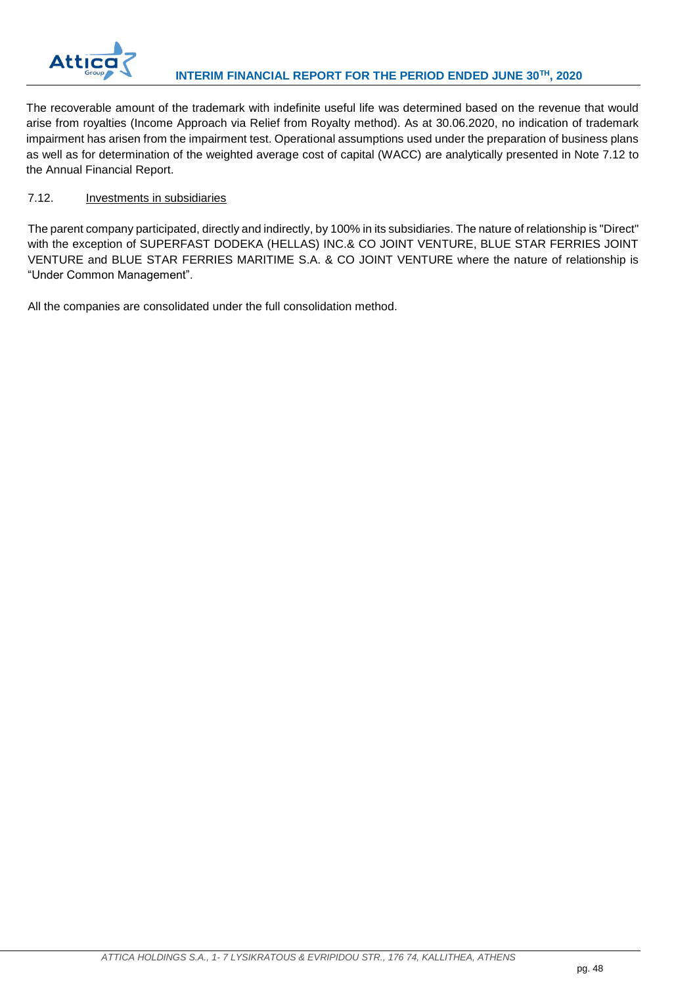

The recoverable amount of the trademark with indefinite useful life was determined based on the revenue that would arise from royalties (Income Approach via Relief from Royalty method). As at 30.06.2020, no indication of trademark impairment has arisen from the impairment test. Operational assumptions used under the preparation of business plans as well as for determination of the weighted average cost of capital (WACC) are analytically presented in Note 7.12 to the Annual Financial Report.

## <span id="page-48-0"></span>7.12. Investments in subsidiaries

The parent company participated, directly and indirectly, by 100% in its subsidiaries. The nature of relationship is "Direct" with the exception of SUPERFAST DODEKA (HELLAS) INC.& CO JOINT VENTURE, BLUE STAR FERRIES JOINT VENTURE and BLUE STAR FERRIES MARITIME S.A. & CO JOINT VENTURE where the nature of relationship is "Under Common Management".

All the companies are consolidated under the full consolidation method.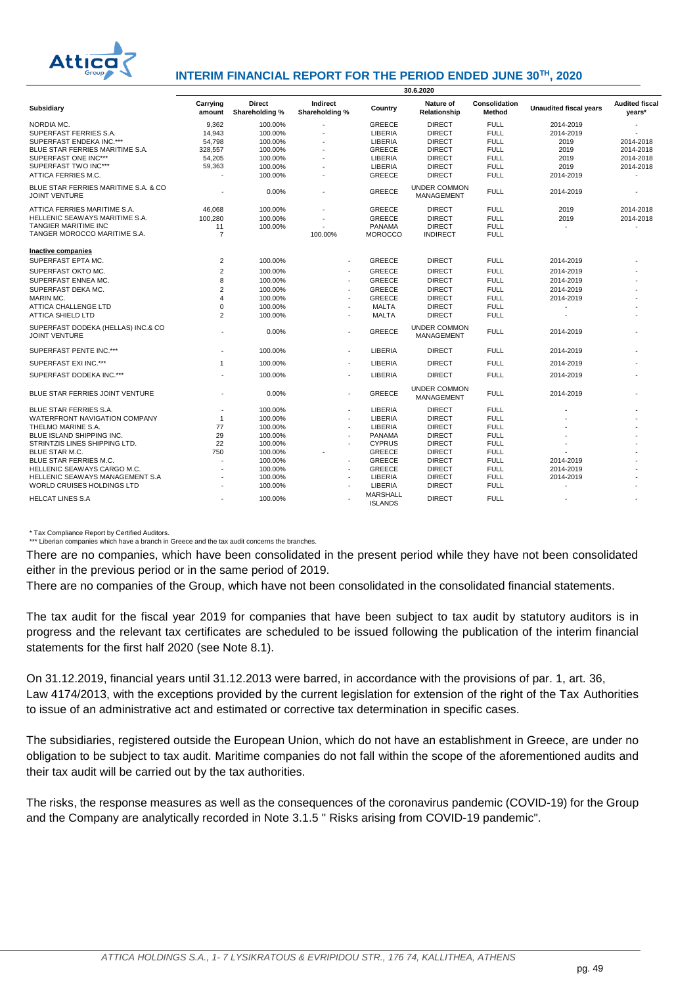

## **INTERIM FINANCIAL REPORT FOR THE PERIOD ENDED JUNE 30TH, 2020**

|                                                              | 30.6.2020          |                                 |                            |                                   |                                          |                         |                               |                                 |
|--------------------------------------------------------------|--------------------|---------------------------------|----------------------------|-----------------------------------|------------------------------------------|-------------------------|-------------------------------|---------------------------------|
| Subsidiary                                                   | Carrying<br>amount | <b>Direct</b><br>Shareholding % | Indirect<br>Shareholding % | Country                           | Nature of<br>Relationship                | Consolidation<br>Method | <b>Unaudited fiscal vears</b> | <b>Audited fiscal</b><br>years* |
| NORDIA MC.                                                   | 9,362              | 100.00%                         |                            | <b>GREECE</b>                     | <b>DIRECT</b>                            | <b>FULL</b>             | 2014-2019                     |                                 |
| SUPERFAST FERRIES S.A.                                       | 14.943             | 100.00%                         |                            | <b>LIBERIA</b>                    | <b>DIRECT</b>                            | <b>FULL</b>             | 2014-2019                     |                                 |
| SUPERFAST ENDEKA INC.***                                     | 54,798             | 100.00%                         | ٠                          | LIBERIA                           | <b>DIRECT</b>                            | <b>FULL</b>             | 2019                          | 2014-2018                       |
| BLUE STAR FERRIES MARITIME S.A.                              | 328,557            | 100.00%                         |                            | <b>GREECE</b>                     | <b>DIRECT</b>                            | <b>FULL</b>             | 2019                          | 2014-2018                       |
| SUPERFAST ONE INC***                                         | 54,205             | 100.00%                         | ٠                          | LIBERIA                           | <b>DIRECT</b>                            | <b>FULL</b>             | 2019                          | 2014-2018                       |
| SUPERFAST TWO INC***                                         | 59,363             | 100.00%                         |                            | <b>LIBERIA</b>                    | <b>DIRECT</b>                            | <b>FULL</b>             | 2019                          | 2014-2018                       |
| ATTICA FERRIES M.C.                                          |                    | 100.00%                         | $\blacksquare$             | <b>GREECE</b>                     | <b>DIRECT</b>                            | <b>FULL</b>             | 2014-2019                     |                                 |
| BLUE STAR FERRIES MARITIME S.A. & CO<br><b>JOINT VENTURE</b> |                    | 0.00%                           | ٠                          | <b>GREECE</b>                     | <b>UNDER COMMON</b><br><b>MANAGEMENT</b> | <b>FULL</b>             | 2014-2019                     |                                 |
| ATTICA FERRIES MARITIME S.A.                                 | 46.068             | 100.00%                         |                            | <b>GREECE</b>                     | <b>DIRECT</b>                            | <b>FULL</b>             | 2019                          | 2014-2018                       |
| HELLENIC SEAWAYS MARITIME S.A.                               | 100,280            | 100.00%                         |                            | <b>GREECE</b>                     | <b>DIRECT</b>                            | <b>FULL</b>             | 2019                          | 2014-2018                       |
| <b>TANGIER MARITIME INC</b>                                  | 11                 | 100.00%                         |                            | PANAMA                            | <b>DIRECT</b>                            | <b>FULL</b>             |                               |                                 |
| TANGER MOROCCO MARITIME S.A.                                 | $\overline{7}$     |                                 | 100.00%                    | <b>MOROCCO</b>                    | <b>INDIRECT</b>                          | <b>FULL</b>             |                               |                                 |
| <b>Inactive companies</b>                                    |                    |                                 |                            |                                   |                                          |                         |                               |                                 |
| SUPERFAST EPTA MC.                                           | $\overline{2}$     | 100.00%                         |                            | GREECE                            | <b>DIRECT</b>                            | <b>FULL</b>             | 2014-2019                     |                                 |
| SUPERFAST OKTO MC.                                           | $\overline{2}$     | 100.00%                         | $\sim$                     | <b>GREECE</b>                     | <b>DIRECT</b>                            | <b>FULL</b>             | 2014-2019                     |                                 |
| SUPERFAST ENNEA MC.                                          | 8                  | 100.00%                         | $\sim$                     | <b>GREECE</b>                     | <b>DIRECT</b>                            | <b>FULL</b>             | 2014-2019                     |                                 |
|                                                              | 2                  |                                 | $\sim$                     | <b>GREECE</b>                     |                                          | <b>FULL</b>             |                               |                                 |
| SUPERFAST DEKA MC.                                           | 4                  | 100.00%                         |                            | <b>GREECE</b>                     | <b>DIRECT</b>                            | <b>FULL</b>             | 2014-2019                     |                                 |
| MARIN MC.<br><b>ATTICA CHALLENGE LTD</b>                     | $\Omega$           | 100.00%<br>100.00%              | $\sim$<br>$\sim$           | <b>MALTA</b>                      | <b>DIRECT</b><br><b>DIRECT</b>           | <b>FULL</b>             | 2014-2019                     |                                 |
| <b>ATTICA SHIELD LTD</b>                                     | $\overline{2}$     | 100.00%                         |                            | <b>MALTA</b>                      | <b>DIRECT</b>                            | <b>FULL</b>             |                               |                                 |
|                                                              |                    |                                 | $\sim$                     |                                   |                                          |                         |                               |                                 |
| SUPERFAST DODEKA (HELLAS) INC.& CO<br><b>JOINT VENTURE</b>   |                    | 0.00%                           | $\sim$                     | <b>GREECE</b>                     | <b>UNDER COMMON</b><br><b>MANAGEMENT</b> | <b>FULL</b>             | 2014-2019                     |                                 |
| SUPERFAST PENTE INC.***                                      |                    | 100.00%                         | $\sim$                     | LIBERIA                           | <b>DIRECT</b>                            | <b>FULL</b>             | 2014-2019                     |                                 |
| SUPERFAST EXI INC.***                                        | $\mathbf{1}$       | 100.00%                         | $\blacksquare$             | LIBERIA                           | <b>DIRECT</b>                            | <b>FULL</b>             | 2014-2019                     |                                 |
| SUPERFAST DODEKA INC.***                                     |                    | 100.00%                         | $\sim$                     | LIBERIA                           | <b>DIRECT</b>                            | <b>FULL</b>             | 2014-2019                     |                                 |
| BLUE STAR FERRIES JOINT VENTURE                              |                    | 0.00%                           | $\sim$                     | <b>GREECE</b>                     | <b>UNDER COMMON</b><br>MANAGEMENT        | <b>FULL</b>             | 2014-2019                     |                                 |
| BLUE STAR FERRIES S.A.                                       |                    | 100.00%                         |                            | <b>LIBERIA</b>                    | <b>DIRECT</b>                            | <b>FULL</b>             |                               |                                 |
| WATERFRONT NAVIGATION COMPANY                                | $\mathbf{1}$       | 100.00%                         | $\sim$                     | LIBERIA                           | <b>DIRECT</b>                            | <b>FULL</b>             |                               |                                 |
| THELMO MARINE S.A.                                           | 77                 | 100.00%                         | $\sim$                     | <b>LIBERIA</b>                    | <b>DIRECT</b>                            | <b>FULL</b>             |                               |                                 |
| BLUE ISLAND SHIPPING INC.                                    | 29                 | 100.00%                         |                            | PANAMA                            | <b>DIRECT</b>                            | <b>FULL</b>             |                               |                                 |
| STRINTZIS LINES SHIPPING LTD.                                | 22                 | 100.00%                         | $\sim$                     | <b>CYPRUS</b>                     | <b>DIRECT</b>                            | <b>FULL</b>             |                               |                                 |
| <b>BLUE STAR M.C.</b>                                        | 750                | 100.00%                         |                            | <b>GREECE</b>                     | <b>DIRECT</b>                            | <b>FULL</b>             |                               |                                 |
| BLUE STAR FERRIES M.C.                                       |                    | 100.00%                         | $\sim$                     | <b>GREECE</b>                     | <b>DIRECT</b>                            | <b>FULL</b>             | 2014-2019                     |                                 |
| HELLENIC SEAWAYS CARGO M.C.                                  |                    | 100.00%                         |                            | <b>GREECE</b>                     | <b>DIRECT</b>                            | <b>FULL</b>             | 2014-2019                     |                                 |
| <b>HELLENIC SEAWAYS MANAGEMENT S.A</b>                       |                    | 100.00%                         | $\sim$                     | LIBERIA                           | <b>DIRECT</b>                            | <b>FULL</b>             | 2014-2019                     |                                 |
| WORLD CRUISES HOLDINGS LTD                                   |                    | 100.00%                         |                            | LIBERIA                           | <b>DIRECT</b>                            | <b>FULL</b>             |                               |                                 |
| <b>HELCAT LINES S.A</b>                                      |                    | 100.00%                         |                            | <b>MARSHALL</b><br><b>ISLANDS</b> | <b>DIRECT</b>                            | <b>FULL</b>             |                               |                                 |
|                                                              |                    |                                 |                            |                                   |                                          |                         |                               |                                 |

\* Tax Compliance Report by Certified Auditors. \*\*\* Liberian companies which have a branch in Greece and the tax audit concerns the branches.

There are no companies, which have been consolidated in the present period while they have not been consolidated either in the previous period or in the same period of 2019.

There are no companies of the Group, which have not been consolidated in the consolidated financial statements.

The tax audit for the fiscal year 2019 for companies that have been subject to tax audit by statutory auditors is in progress and the relevant tax certificates are scheduled to be issued following the publication of the interim financial statements for the first half 2020 (see Note 8.1).

On 31.12.2019, financial years until 31.12.2013 were barred, in accordance with the provisions of par. 1, art. 36, Law 4174/2013, with the exceptions provided by the current legislation for extension of the right of the Tax Authorities to issue of an administrative act and estimated or corrective tax determination in specific cases.

The subsidiaries, registered outside the European Union, which do not have an establishment in Greece, are under no obligation to be subject to tax audit. Maritime companies do not fall within the scope of the aforementioned audits and their tax audit will be carried out by the tax authorities.

The risks, the response measures as well as the consequences of the coronavirus pandemic (COVID-19) for the Group and the Company are analytically recorded in Note 3.1.5 " Risks arising from COVID-19 pandemic".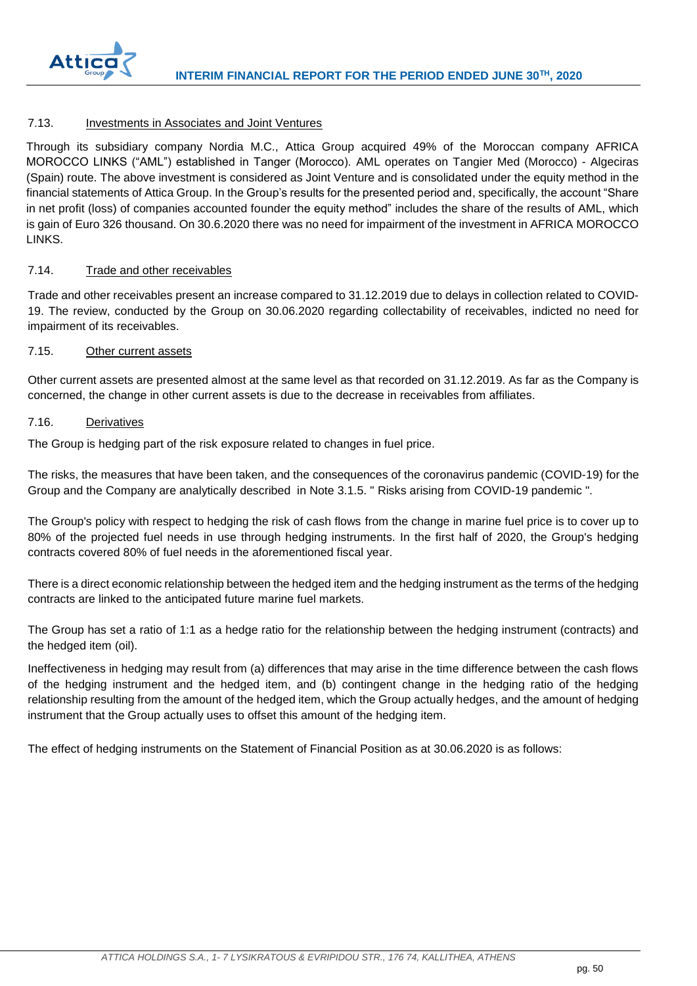

## <span id="page-50-0"></span>7.13. Investments in Associates and Joint Ventures

Through its subsidiary company Nordia M.C., Attica Group acquired 49% of the Moroccan company AFRICA MOROCCO LINKS ("AML") established in Tanger (Morocco). AML operates on Tangier Med (Morocco) - Algeciras (Spain) route. The above investment is considered as Joint Venture and is consolidated under the equity method in the financial statements of Attica Group. In the Group's results for the presented period and, specifically, the account "Share in net profit (loss) of companies accounted founder the equity method" includes the share of the results of AML, which is gain of Euro 326 thousand. On 30.6.2020 there was no need for impairment of the investment in AFRICA MOROCCO LINKS.

## <span id="page-50-1"></span>7.14. Trade and other receivables

Trade and other receivables present an increase compared to 31.12.2019 due to delays in collection related to COVID-19. The review, conducted by the Group on 30.06.2020 regarding collectability of receivables, indicted no need for impairment of its receivables.

## <span id="page-50-2"></span>7.15. Other current assets

Other current assets are presented almost at the same level as that recorded on 31.12.2019. As far as the Company is concerned, the change in other current assets is due to the decrease in receivables from affiliates.

#### <span id="page-50-3"></span>7.16. Derivatives

The Group is hedging part of the risk exposure related to changes in fuel price.

The risks, the measures that have been taken, and the consequences of the coronavirus pandemic (COVID-19) for the Group and the Company are analytically described in Note 3.1.5. " Risks arising from COVID-19 pandemic ".

The Group's policy with respect to hedging the risk of cash flows from the change in marine fuel price is to cover up to 80% of the projected fuel needs in use through hedging instruments. In the first half of 2020, the Group's hedging contracts covered 80% of fuel needs in the aforementioned fiscal year.

There is a direct economic relationship between the hedged item and the hedging instrument as the terms of the hedging contracts are linked to the anticipated future marine fuel markets.

The Group has set a ratio of 1:1 as a hedge ratio for the relationship between the hedging instrument (contracts) and the hedged item (oil).

Ineffectiveness in hedging may result from (a) differences that may arise in the time difference between the cash flows of the hedging instrument and the hedged item, and (b) contingent change in the hedging ratio of the hedging relationship resulting from the amount of the hedged item, which the Group actually hedges, and the amount of hedging instrument that the Group actually uses to offset this amount of the hedging item.

The effect of hedging instruments on the Statement of Financial Position as at 30.06.2020 is as follows: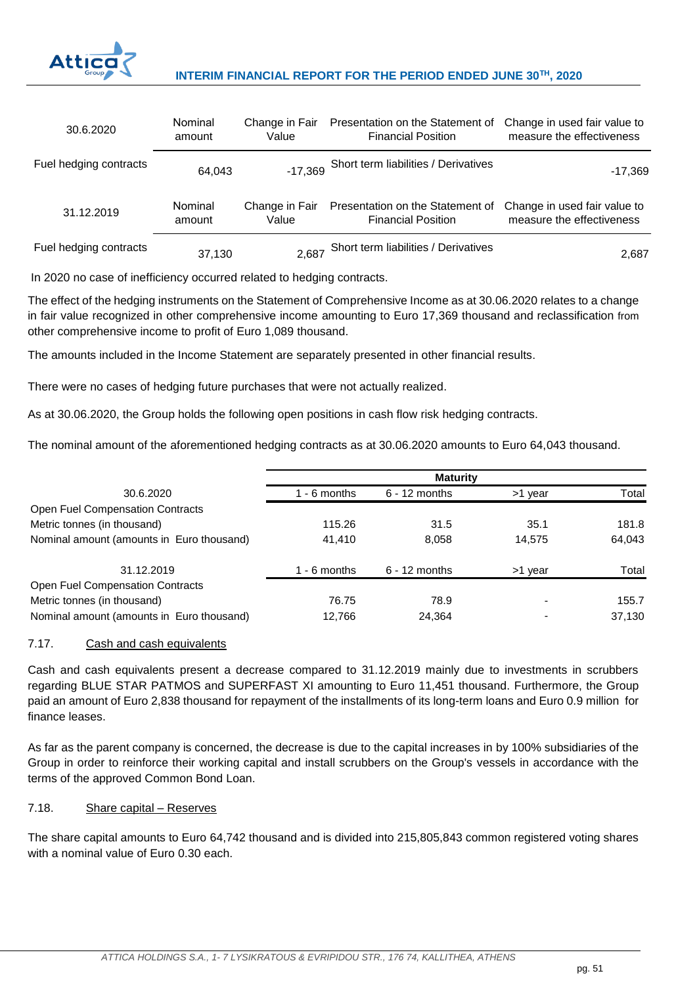

## **INTERIM FINANCIAL REPORT FOR THE PERIOD ENDED JUNE 30TH, 2020**

| 30.6.2020              | Nominal | Change in Fair | Presentation on the Statement of             | Change in used fair value to |
|------------------------|---------|----------------|----------------------------------------------|------------------------------|
|                        | amount  | Value          | <b>Financial Position</b>                    | measure the effectiveness    |
| Fuel hedging contracts | 64.043  |                | -17,369 Short term liabilities / Derivatives | $-17,369$                    |
| 31.12.2019             | Nominal | Change in Fair | Presentation on the Statement of             | Change in used fair value to |
|                        | amount  | Value          | <b>Financial Position</b>                    | measure the effectiveness    |
| Fuel hedging contracts | 37,130  |                | 2,687 Short term liabilities / Derivatives   | 2,687                        |

In 2020 no case of inefficiency occurred related to hedging contracts.

The effect of the hedging instruments on the Statement of Comprehensive Income as at 30.06.2020 relates to a change in fair value recognized in other comprehensive income amounting to Euro 17,369 thousand and reclassification from other comprehensive income to profit of Euro 1,089 thousand.

The amounts included in the Income Statement are separately presented in other financial results.

There were no cases of hedging future purchases that were not actually realized.

As at 30.06.2020, the Group holds the following open positions in cash flow risk hedging contracts.

The nominal amount of the aforementioned hedging contracts as at 30.06.2020 amounts to Euro 64,043 thousand.

| 30.6.2020                                 | 1 - 6 months | $6 - 12$ months | >1 year                  | Total  |
|-------------------------------------------|--------------|-----------------|--------------------------|--------|
| <b>Open Fuel Compensation Contracts</b>   |              |                 |                          |        |
| Metric tonnes (in thousand)               | 115.26       | 31.5            | 35.1                     | 181.8  |
| Nominal amount (amounts in Euro thousand) | 41,410       | 8,058           | 14.575                   | 64,043 |
| 31.12.2019                                | 1 - 6 months | $6 - 12$ months | >1 year                  | Total  |
| <b>Open Fuel Compensation Contracts</b>   |              |                 |                          |        |
| Metric tonnes (in thousand)               | 76.75        | 78.9            |                          | 155.7  |
| Nominal amount (amounts in Euro thousand) | 12.766       | 24.364          | $\overline{\phantom{a}}$ | 37.130 |

## <span id="page-51-0"></span>7.17. Cash and cash equivalents

Cash and cash equivalents present a decrease compared to 31.12.2019 mainly due to investments in scrubbers regarding BLUE STAR PATMOS and SUPERFAST XI amounting to Euro 11,451 thousand. Furthermore, the Group paid an amount of Euro 2,838 thousand for repayment of the installments of its long-term loans and Euro 0.9 million for finance leases.

As far as the parent company is concerned, the decrease is due to the capital increases in by 100% subsidiaries of the Group in order to reinforce their working capital and install scrubbers on the Group's vessels in accordance with the terms of the approved Common Bond Loan.

## <span id="page-51-1"></span>7.18. Share capital – Reserves

The share capital amounts to Euro 64,742 thousand and is divided into 215,805,843 common registered voting shares with a nominal value of Euro 0.30 each.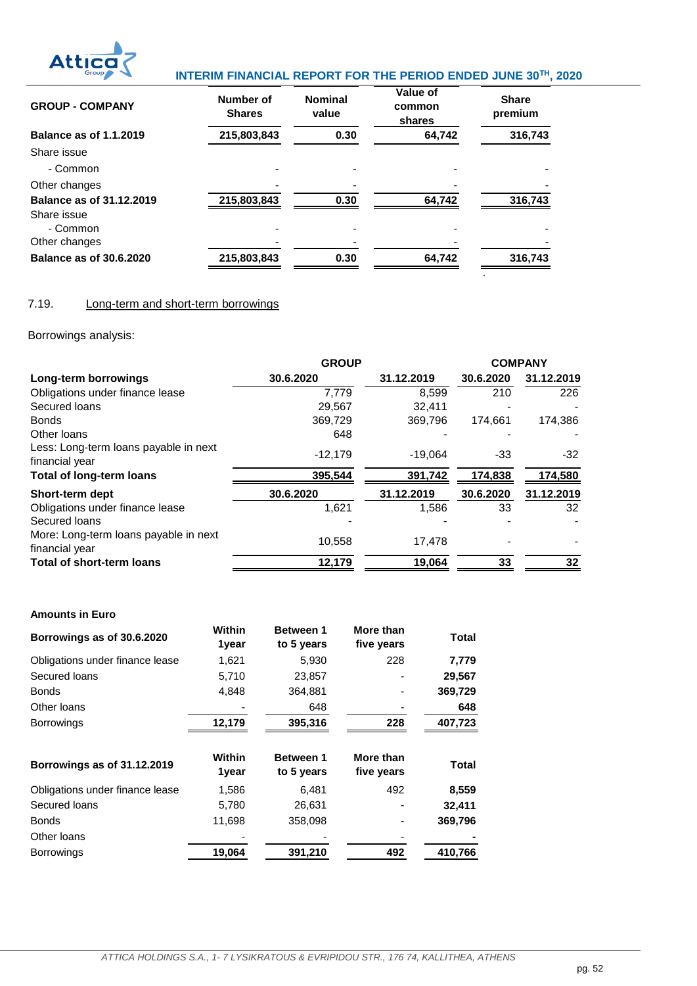

# **Atticary** INTERIM FINANCIAL REPORT FOR THE PERIOD ENDED JUNE 30<sup>TH</sup>, 2020

| <b>GROUP - COMPANY</b>                              | Number of<br><b>Shares</b> | <b>Nominal</b><br>value | Value of<br>common<br>shares | <b>Share</b><br>premium |
|-----------------------------------------------------|----------------------------|-------------------------|------------------------------|-------------------------|
| <b>Balance as of 1.1.2019</b>                       | 215,803,843                | 0.30                    | 64,742                       | 316,743                 |
| Share issue                                         |                            |                         |                              |                         |
| - Common                                            |                            |                         |                              |                         |
| Other changes                                       |                            |                         |                              |                         |
| Balance as of 31.12.2019<br>Share issue<br>- Common | 215,803,843                | 0.30                    | 64,742                       | 316,743                 |
| Other changes                                       |                            |                         |                              |                         |
| <b>Balance as of 30.6.2020</b>                      | 215,803,843                | 0.30                    | 64,742                       | 316,743                 |
|                                                     |                            |                         |                              |                         |

## <span id="page-52-0"></span>7.19. Long-term and short-term borrowings

Borrowings analysis:

|                                                         | <b>GROUP</b> |            |           | <b>COMPANY</b> |
|---------------------------------------------------------|--------------|------------|-----------|----------------|
| Long-term borrowings                                    | 30.6.2020    | 31.12.2019 | 30.6.2020 | 31.12.2019     |
| Obligations under finance lease                         | 7.779        | 8.599      | 210       | 226            |
| Secured loans                                           | 29.567       | 32.411     |           |                |
| <b>Bonds</b>                                            | 369,729      | 369,796    | 174,661   | 174,386        |
| Other loans                                             | 648          |            |           |                |
| Less: Long-term loans payable in next<br>financial year | $-12,179$    | $-19.064$  | -33       | $-32$          |
| <b>Total of long-term loans</b>                         | 395,544      | 391,742    | 174,838   | 174,580        |
| Short-term dept                                         | 30.6.2020    | 31.12.2019 | 30.6.2020 | 31.12.2019     |
| Obligations under finance lease                         | 1,621        | 1,586      | 33        | 32             |
| Secured loans                                           |              |            |           |                |
| More: Long-term loans payable in next<br>financial year | 10,558       | 17.478     |           |                |
| <b>Total of short-term loans</b>                        | 12,179       | 19,064     | 33        | 32             |

## **Amounts in Euro**

| Borrowings as of 30.6.2020      | <b>Within</b><br>1year | <b>Between 1</b><br>to 5 years | More than<br>five years | Total        |
|---------------------------------|------------------------|--------------------------------|-------------------------|--------------|
| Obligations under finance lease | 1,621                  | 5,930                          | 228                     | 7,779        |
| Secured loans                   | 5,710                  | 23,857                         |                         | 29,567       |
| <b>Bonds</b>                    | 4,848                  | 364,881                        |                         | 369,729      |
| Other loans                     |                        | 648                            |                         | 648          |
| <b>Borrowings</b>               | 12,179                 | 395,316                        | 228                     | 407,723      |
|                                 | <b>Within</b>          |                                |                         |              |
| Borrowings as of 31.12.2019     | 1year                  | Between 1<br>to 5 years        | More than<br>five years | <b>Total</b> |
| Obligations under finance lease | 1,586                  | 6,481                          | 492                     | 8,559        |
| Secured loans                   | 5,780                  | 26,631                         |                         | 32,411       |
| <b>Bonds</b>                    | 11,698                 | 358,098                        |                         | 369,796      |
| Other loans                     |                        |                                |                         |              |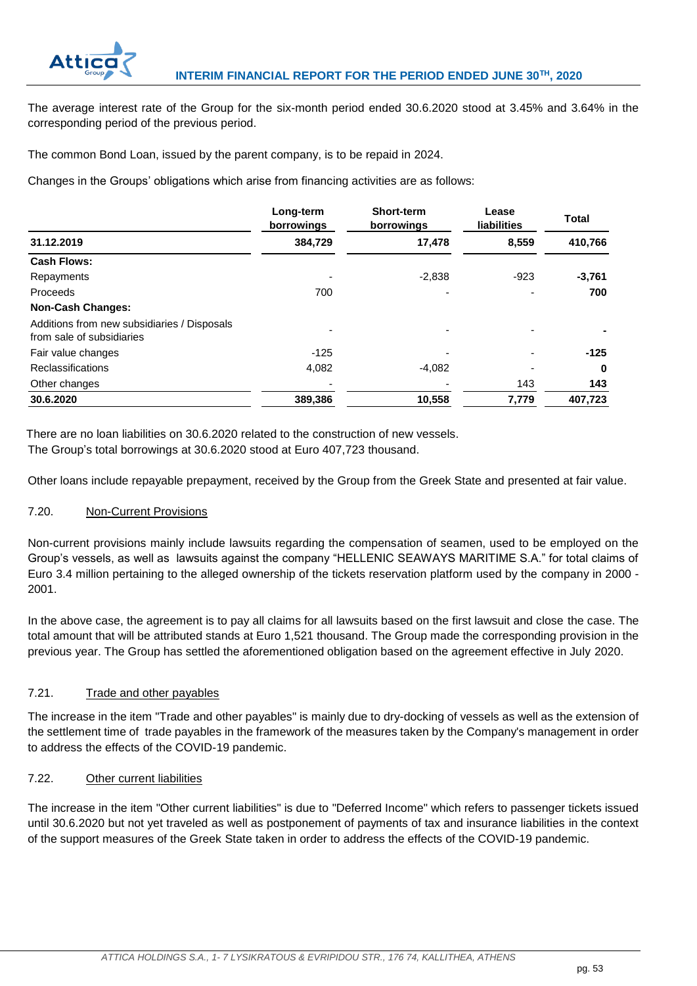

The average interest rate of the Group for the six-month period ended 30.6.2020 stood at 3.45% and 3.64% in the corresponding period of the previous period.

The common Bond Loan, issued by the parent company, is to be repaid in 2024.

Changes in the Groups' obligations which arise from financing activities are as follows:

|                                                                          | Long-term<br>borrowings | <b>Short-term</b><br>borrowings | Lease<br><b>liabilities</b> | <b>Total</b> |
|--------------------------------------------------------------------------|-------------------------|---------------------------------|-----------------------------|--------------|
| 31.12.2019                                                               | 384,729                 | 17,478                          | 8,559                       | 410,766      |
| <b>Cash Flows:</b>                                                       |                         |                                 |                             |              |
| Repayments                                                               |                         | $-2,838$                        | $-923$                      | $-3,761$     |
| Proceeds                                                                 | 700                     |                                 |                             | 700          |
| <b>Non-Cash Changes:</b>                                                 |                         |                                 |                             |              |
| Additions from new subsidiaries / Disposals<br>from sale of subsidiaries |                         |                                 |                             |              |
| Fair value changes                                                       | $-125$                  |                                 |                             | $-125$       |
| <b>Reclassifications</b>                                                 | 4,082                   | $-4,082$                        |                             | 0            |
| Other changes                                                            |                         |                                 | 143                         | 143          |
| 30.6.2020                                                                | 389,386                 | 10,558                          | 7,779                       | 407,723      |

There are no loan liabilities on 30.6.2020 related to the construction of new vessels. The Group's total borrowings at 30.6.2020 stood at Euro 407,723 thousand.

Other loans include repayable prepayment, received by the Group from the Greek State and presented at fair value.

## <span id="page-53-0"></span>7.20. Non-Current Provisions

Non-current provisions mainly include lawsuits regarding the compensation of seamen, used to be employed on the Group's vessels, as well as lawsuits against the company "HELLENIC SEAWAYS MARITIME S.A." for total claims of Euro 3.4 million pertaining to the alleged ownership of the tickets reservation platform used by the company in 2000 - 2001.

In the above case, the agreement is to pay all claims for all lawsuits based on the first lawsuit and close the case. The total amount that will be attributed stands at Euro 1,521 thousand. The Group made the corresponding provision in the previous year. The Group has settled the aforementioned obligation based on the agreement effective in July 2020.

## <span id="page-53-1"></span>7.21. Trade and other payables

The increase in the item "Trade and other payables" is mainly due to dry-docking of vessels as well as the extension of the settlement time of trade payables in the framework of the measures taken by the Company's management in order to address the effects of the COVID-19 pandemic.

## <span id="page-53-2"></span>7.22. Other current liabilities

The increase in the item "Other current liabilities" is due to "Deferred Income" which refers to passenger tickets issued until 30.6.2020 but not yet traveled as well as postponement of payments of tax and insurance liabilities in the context of the support measures of the Greek State taken in order to address the effects of the COVID-19 pandemic.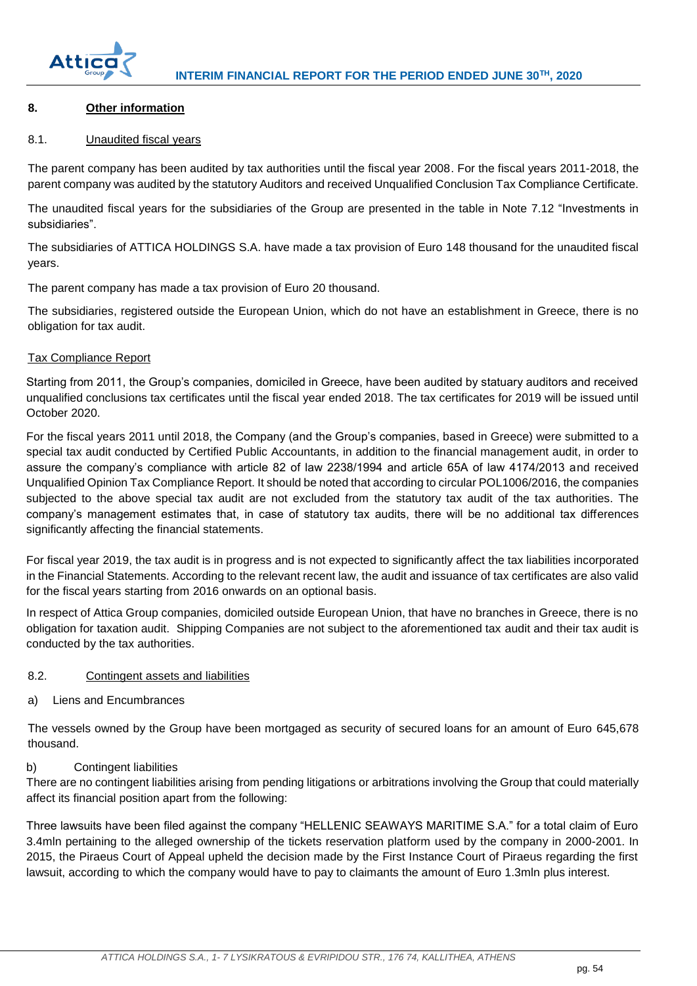

## <span id="page-54-0"></span>**8. Other information**

## <span id="page-54-1"></span>8.1. Unaudited fiscal years

The parent company has been audited by tax authorities until the fiscal year 2008. For the fiscal years 2011-2018, the parent company was audited by the statutory Auditors and received Unqualified Conclusion Tax Compliance Certificate.

The unaudited fiscal years for the subsidiaries of the Group are presented in the table in Note 7.12 "Investments in subsidiaries".

The subsidiaries of ATTICA HOLDINGS S.A. have made a tax provision of Euro 148 thousand for the unaudited fiscal years.

The parent company has made a tax provision of Euro 20 thousand.

The subsidiaries, registered outside the European Union, which do not have an establishment in Greece, there is no obligation for tax audit.

## Tax Compliance Report

Starting from 2011, the Group's companies, domiciled in Greece, have been audited by statuary auditors and received unqualified conclusions tax certificates until the fiscal year ended 2018. The tax certificates for 2019 will be issued until October 2020.

For the fiscal years 2011 until 2018, the Company (and the Group's companies, based in Greece) were submitted to a special tax audit conducted by Certified Public Accountants, in addition to the financial management audit, in order to assure the company's compliance with article 82 of law 2238/1994 and article 65A of law 4174/2013 and received Unqualified Opinion Tax Compliance Report. It should be noted that according to circular POL1006/2016, the companies subjected to the above special tax audit are not excluded from the statutory tax audit of the tax authorities. The company's management estimates that, in case of statutory tax audits, there will be no additional tax differences significantly affecting the financial statements.

For fiscal year 2019, the tax audit is in progress and is not expected to significantly affect the tax liabilities incorporated in the Financial Statements. According to the relevant recent law, the audit and issuance of tax certificates are also valid for the fiscal years starting from 2016 onwards on an optional basis.

In respect of Attica Group companies, domiciled outside European Union, that have no branches in Greece, there is no obligation for taxation audit. Shipping Companies are not subject to the aforementioned tax audit and their tax audit is conducted by the tax authorities.

#### <span id="page-54-2"></span>8.2. Contingent assets and liabilities

a) Liens and Encumbrances

Τhe vessels owned by the Group have been mortgaged as security of secured loans for an amount of Euro 645,678 thousand.

## b) Contingent liabilities

There are no contingent liabilities arising from pending litigations or arbitrations involving the Group that could materially affect its financial position apart from the following:

Three lawsuits have been filed against the company "HELLENIC SEAWAYS MARITIME S.A." for a total claim of Euro 3.4mln pertaining to the alleged ownership of the tickets reservation platform used by the company in 2000-2001. In 2015, the Piraeus Court of Appeal upheld the decision made by the First Instance Court of Piraeus regarding the first lawsuit, according to which the company would have to pay to claimants the amount of Euro 1.3mln plus interest.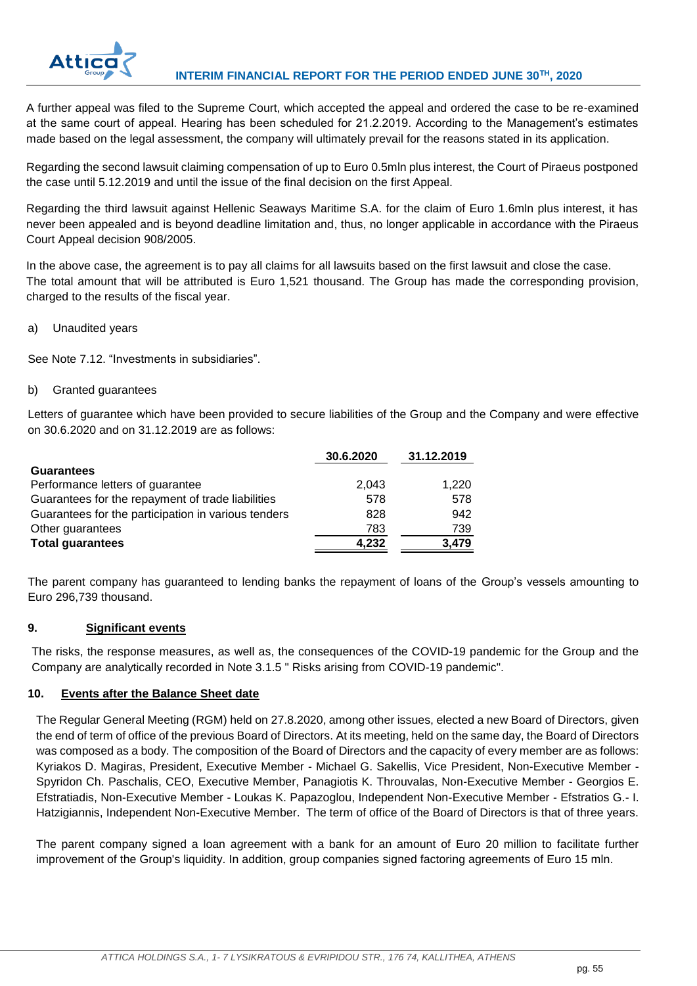

A further appeal was filed to the Supreme Court, which accepted the appeal and ordered the case to be re-examined at the same court of appeal. Hearing has been scheduled for 21.2.2019. According to the Management's estimates made based on the legal assessment, the company will ultimately prevail for the reasons stated in its application.

Regarding the second lawsuit claiming compensation of up to Euro 0.5mln plus interest, the Court of Piraeus postponed the case until 5.12.2019 and until the issue of the final decision on the first Appeal.

Regarding the third lawsuit against Hellenic Seaways Maritime S.A. for the claim of Euro 1.6mln plus interest, it has never been appealed and is beyond deadline limitation and, thus, no longer applicable in accordance with the Piraeus Court Appeal decision 908/2005.

In the above case, the agreement is to pay all claims for all lawsuits based on the first lawsuit and close the case. The total amount that will be attributed is Euro 1,521 thousand. The Group has made the corresponding provision, charged to the results of the fiscal year.

a) Unaudited years

See Note 7.12. "Investments in subsidiaries".

## b) Granted guarantees

Letters of guarantee which have been provided to secure liabilities of the Group and the Company and were effective on 30.6.2020 and on 31.12.2019 are as follows:

|                                                     | 30.6.2020 | 31.12.2019 |
|-----------------------------------------------------|-----------|------------|
| <b>Guarantees</b>                                   |           |            |
| Performance letters of guarantee                    | 2.043     | 1,220      |
| Guarantees for the repayment of trade liabilities   | 578       | 578        |
| Guarantees for the participation in various tenders | 828       | 942        |
| Other guarantees                                    | 783       | 739        |
| <b>Total guarantees</b>                             | 4,232     | 3,479      |

The parent company has guaranteed to lending banks the repayment of loans of the Group's vessels amounting to Euro 296,739 thousand.

## <span id="page-55-0"></span>**9. Significant events**

The risks, the response measures, as well as, the consequences of the COVID-19 pandemic for the Group and the Company are analytically recorded in Note 3.1.5 " Risks arising from COVID-19 pandemic".

#### <span id="page-55-1"></span>**10. Events after the Balance Sheet date**

The Regular General Meeting (RGM) held on 27.8.2020, among other issues, elected a new Board of Directors, given the end of term of office of the previous Board of Directors. At its meeting, held on the same day, the Board of Directors was composed as a body. The composition of the Board of Directors and the capacity of every member are as follows: Kyriakos D. Magiras, President, Executive Member - Michael G. Sakellis, Vice President, Non-Executive Member - Spyridon Ch. Paschalis, CEO, Executive Member, Panagiotis K. Throuvalas, Non-Executive Member - Georgios E. Efstratiadis, Non-Executive Member - Loukas K. Papazoglou, Independent Non-Executive Member - Efstratios G.- I. Hatzigiannis, Independent Non-Executive Member. The term of office of the Board of Directors is that of three years.

The parent company signed a loan agreement with a bank for an amount of Euro 20 million to facilitate further improvement of the Group's liquidity. In addition, group companies signed factoring agreements of Euro 15 mln.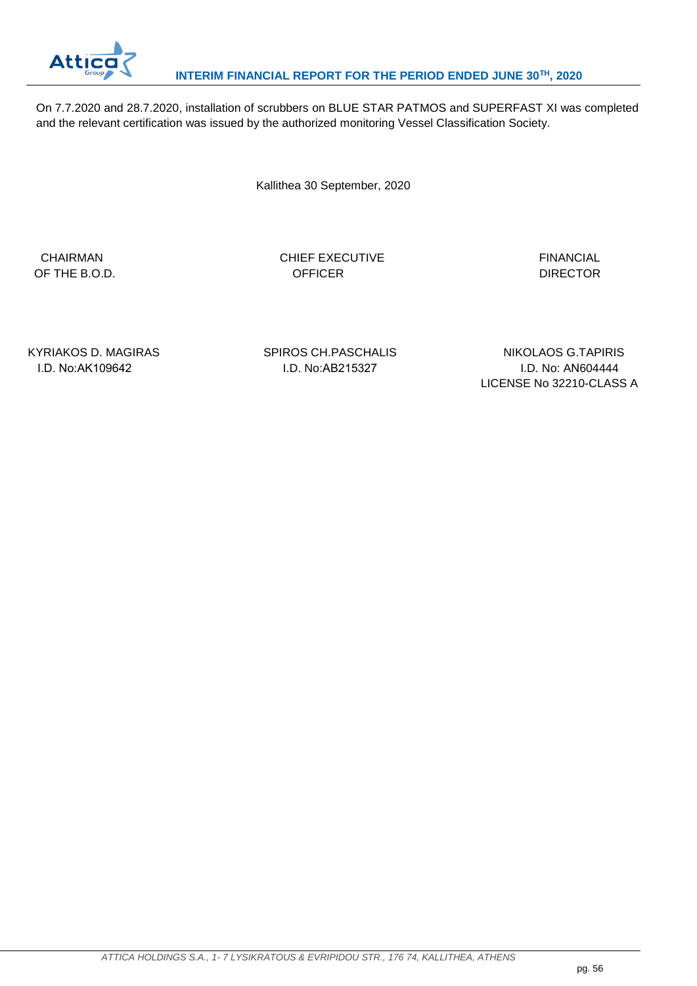

On 7.7.2020 and 28.7.2020, installation of scrubbers on BLUE STAR PATMOS and SUPERFAST XI was completed and the relevant certification was issued by the authorized monitoring Vessel Classification Society.

Kallithea 30 September, 2020

CHAIRMAN CHIEF EXECUTIVE **FINANCIAL** OF THE B.O.D. CONTROLL CONTROLLER THE B.O.D. CONTROLLER SERVICE RELATIONS OF THE B.O.D.

KYRIAKOS D. MAGIRAS SPIROS CH.PASCHALIS NIKOLAOS G.TAPIRIS I.D. No:ΑΚ109642 I.D. No:ΑΒ215327 I.D. No: AΝ604444 LICENSE No 32210-CLASS A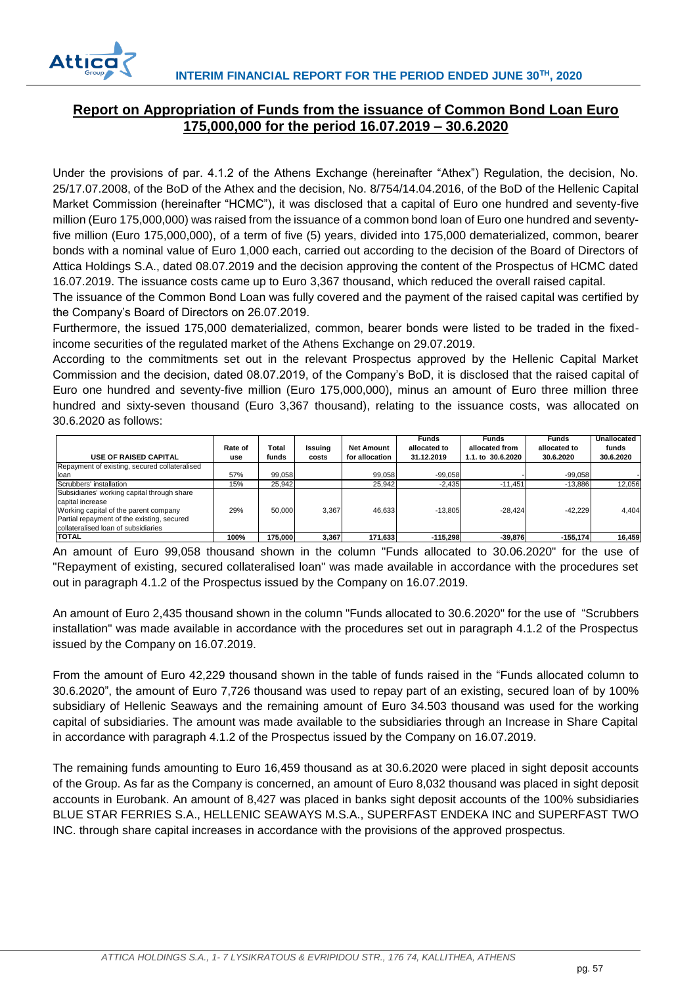

## <span id="page-57-0"></span>**Report on Appropriation of Funds from the issuance of Common Bond Loan Euro 175,000,000 for the period 16.07.2019 – 30.6.2020**

Under the provisions of par. 4.1.2 of the Athens Exchange (hereinafter "Athex") Regulation, the decision, No. 25/17.07.2008, of the BoD of the Athex and the decision, No. 8/754/14.04.2016, of the BoD of the Hellenic Capital Market Commission (hereinafter "HCMC"), it was disclosed that a capital of Euro one hundred and seventy-five million (Euro 175,000,000) was raised from the issuance of a common bond loan of Euro one hundred and seventyfive million (Euro 175,000,000), of a term of five (5) years, divided into 175,000 dematerialized, common, bearer bonds with a nominal value of Euro 1,000 each, carried out according to the decision of the Board of Directors of Attica Holdings S.A., dated 08.07.2019 and the decision approving the content of the Prospectus of HCMC dated 16.07.2019. The issuance costs came up to Euro 3,367 thousand, which reduced the overall raised capital.

The issuance of the Common Bond Loan was fully covered and the payment of the raised capital was certified by the Company's Board of Directors on 26.07.2019.

Furthermore, the issued 175,000 dematerialized, common, bearer bonds were listed to be traded in the fixedincome securities of the regulated market of the Athens Exchange on 29.07.2019.

According to the commitments set out in the relevant Prospectus approved by the Hellenic Capital Market Commission and the decision, dated 08.07.2019, of the Company's BoD, it is disclosed that the raised capital of Euro one hundred and seventy-five million (Euro 175,000,000), minus an amount of Euro three million three hundred and sixty-seven thousand (Euro 3,367 thousand), relating to the issuance costs, was allocated on 30.6.2020 as follows:

|                                               |         |         |         |                   | <b>Funds</b> | <b>Funds</b>      | <b>Funds</b> | <b>Unallocated</b> |
|-----------------------------------------------|---------|---------|---------|-------------------|--------------|-------------------|--------------|--------------------|
|                                               | Rate of | Total   | Issuina | <b>Net Amount</b> | allocated to | allocated from    | allocated to | funds              |
| <b>USE OF RAISED CAPITAL</b>                  | use     | funds   | costs   | for allocation    | 31.12.2019   | 1.1. to 30.6.2020 | 30.6.2020    | 30.6.2020          |
| Repayment of existing, secured collateralised |         |         |         |                   |              |                   |              |                    |
| <b>Iloan</b>                                  | 57%     | 99,058  |         | 99.058            | $-99.058$    |                   | $-99.058$    |                    |
| Scrubbers' installation                       | 15%     | 25.942  |         | 25.942            | $-2.435$     | $-11.451$         | $-13.886$    | 12,056             |
| Subsidiaries' working capital through share   |         |         |         |                   |              |                   |              |                    |
| capital increase                              |         |         |         |                   |              |                   |              |                    |
| Working capital of the parent company         | 29%     | 50,000  | 3.367   | 46.633            | $-13.805$    | $-28.424$         | $-42.229$    | 4.404              |
| Partial repayment of the existing, secured    |         |         |         |                   |              |                   |              |                    |
| collateralised loan of subsidiaries           |         |         |         |                   |              |                   |              |                    |
| <b>TOTAL</b>                                  | 100%    | 175,000 | 3.367   | 171.633           | $-115.298$   | $-39.876$         | $-155.174$   | 16,459             |

An amount of Euro 99,058 thousand shown in the column "Funds allocated to 30.06.2020" for the use of "Repayment of existing, secured collateralised loan" was made available in accordance with the procedures set out in paragraph 4.1.2 of the Prospectus issued by the Company on 16.07.2019.

An amount of Euro 2,435 thousand shown in the column "Funds allocated to 30.6.2020" for the use of "Scrubbers installation" was made available in accordance with the procedures set out in paragraph 4.1.2 of the Prospectus issued by the Company on 16.07.2019.

From the amount of Euro 42,229 thousand shown in the table of funds raised in the "Funds allocated column to 30.6.2020", the amount of Euro 7,726 thousand was used to repay part of an existing, secured loan of by 100% subsidiary of Hellenic Seaways and the remaining amount of Euro 34.503 thousand was used for the working capital of subsidiaries. The amount was made available to the subsidiaries through an Increase in Share Capital in accordance with paragraph 4.1.2 of the Prospectus issued by the Company on 16.07.2019.

The remaining funds amounting to Euro 16,459 thousand as at 30.6.2020 were placed in sight deposit accounts of the Group. As far as the Company is concerned, an amount of Euro 8,032 thousand was placed in sight deposit accounts in Eurobank. An amount of 8,427 was placed in banks sight deposit accounts of the 100% subsidiaries BLUE STAR FERRIES S.A., HELLENIC SEAWAYS M.S.A., SUPERFAST ENDEKA INC and SUPERFAST TWO INC. through share capital increases in accordance with the provisions of the approved prospectus.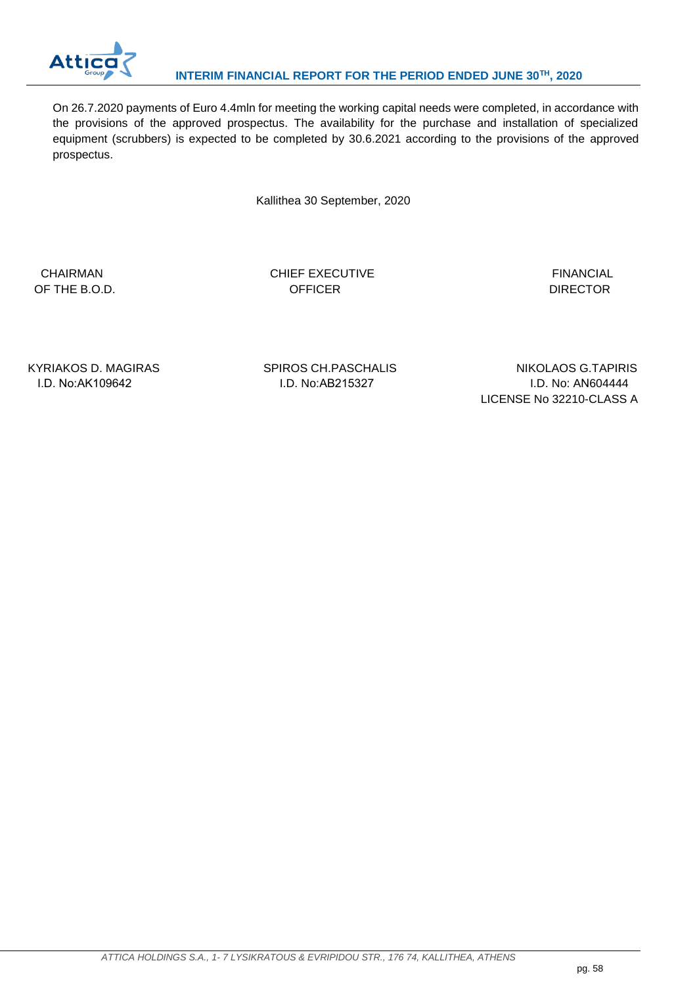

On 26.7.2020 payments of Euro 4.4mln for meeting the working capital needs were completed, in accordance with the provisions of the approved prospectus. The availability for the purchase and installation of specialized equipment (scrubbers) is expected to be completed by 30.6.2021 according to the provisions of the approved prospectus.

Kallithea 30 September, 2020

CHAIRMAN CHIEF EXECUTIVE CHIEF EXECUTIVE FINANCIAL OF THE B.O.D. CONTROLL CONTROLLER CONTROLLER THE B.O.D.

KYRIAKOS D. MAGIRAS SPIROS CH.PASCHALIS NIKOLAOS G.TAPIRIS I.D. No:ΑΚ109642 I.D. No:ΑΒ215327 I.D. No: AΝ604444 LICENSE No 32210-CLASS A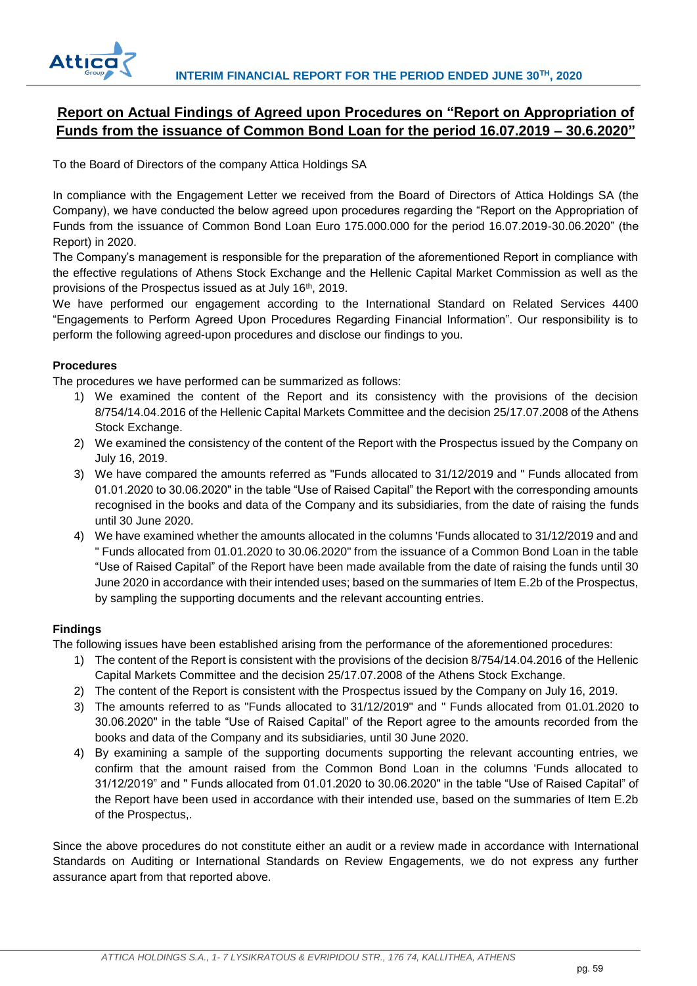

## <span id="page-59-0"></span>**Report on Actual Findings of Agreed upon Procedures on "Report on Appropriation of Funds from the issuance of Common Bond Loan for the period 16.07.2019 – 30.6.2020"**

To the Board of Directors of the company Attica Holdings SA

In compliance with the Engagement Letter we received from the Board of Directors of Attica Holdings SA (the Company), we have conducted the below agreed upon procedures regarding the "Report on the Appropriation of Funds from the issuance of Common Bond Loan Euro 175.000.000 for the period 16.07.2019-30.06.2020" (the Report) in 2020.

The Company's management is responsible for the preparation of the aforementioned Report in compliance with the effective regulations of Athens Stock Exchange and the Hellenic Capital Market Commission as well as the provisions of the Prospectus issued as at July 16<sup>th</sup>, 2019.

We have performed our engagement according to the International Standard on Related Services 4400 "Engagements to Perform Agreed Upon Procedures Regarding Financial Information". Our responsibility is to perform the following agreed-upon procedures and disclose our findings to you.

## **Procedures**

The procedures we have performed can be summarized as follows:

- 1) We examined the content of the Report and its consistency with the provisions of the decision 8/754/14.04.2016 of the Hellenic Capital Markets Committee and the decision 25/17.07.2008 of the Athens Stock Exchange.
- 2) We examined the consistency of the content of the Report with the Prospectus issued by the Company on July 16, 2019.
- 3) We have compared the amounts referred as "Funds allocated to 31/12/2019 and " Funds allocated from 01.01.2020 to 30.06.2020" in the table "Use of Raised Capital" the Report with the corresponding amounts recognised in the books and data of the Company and its subsidiaries, from the date of raising the funds until 30 June 2020.
- 4) We have examined whether the amounts allocated in the columns 'Funds allocated to 31/12/2019 and and " Funds allocated from 01.01.2020 to 30.06.2020" from the issuance of a Common Bond Loan in the table "Use of Raised Capital" of the Report have been made available from the date of raising the funds until 30 June 2020 in accordance with their intended uses; based on the summaries of Item E.2b of the Prospectus, by sampling the supporting documents and the relevant accounting entries.

## **Findings**

The following issues have been established arising from the performance of the aforementioned procedures:

- 1) The content of the Report is consistent with the provisions of the decision 8/754/14.04.2016 of the Hellenic Capital Markets Committee and the decision 25/17.07.2008 of the Athens Stock Exchange.
- 2) The content of the Report is consistent with the Prospectus issued by the Company on July 16, 2019.
- 3) The amounts referred to as "Funds allocated to 31/12/2019" and " Funds allocated from 01.01.2020 to 30.06.2020" in the table "Use of Raised Capital" of the Report agree to the amounts recorded from the books and data of the Company and its subsidiaries, until 30 June 2020.
- 4) Βy examining a sample of the supporting documents supporting the relevant accounting entries, we confirm that the amount raised from the Common Bond Loan in the columns 'Funds allocated to 31/12/2019" and " Funds allocated from 01.01.2020 to 30.06.2020" in the table "Use of Raised Capital" of the Report have been used in accordance with their intended use, based on the summaries of Item E.2b of the Prospectus,.

Since the above procedures do not constitute either an audit or a review made in accordance with International Standards on Auditing or International Standards on Review Engagements, we do not express any further assurance apart from that reported above.